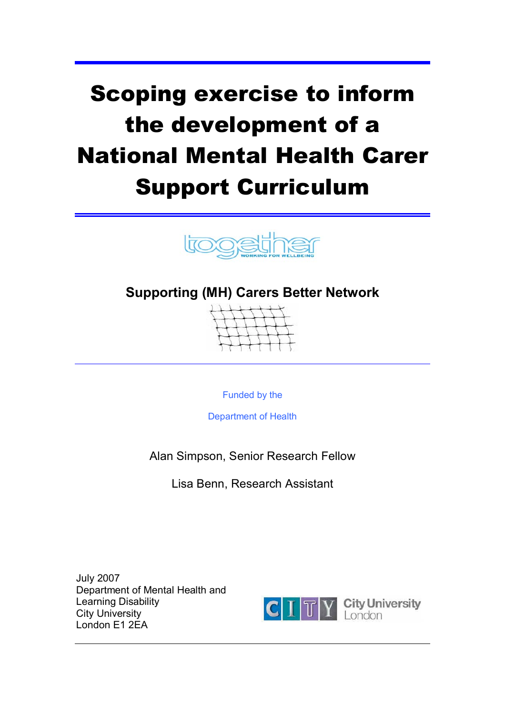# Scoping exercise to inform the development of a National Mental Health Carer Support Curriculum



# **Supporting (MH) Carers Better Network**



Funded by the

Department of Health

Alan Simpson, Senior Research Fellow

Lisa Benn, Research Assistant

July 2007 Department of Mental Health and Learning Disability City University London E1 2EA



**City University**<br>London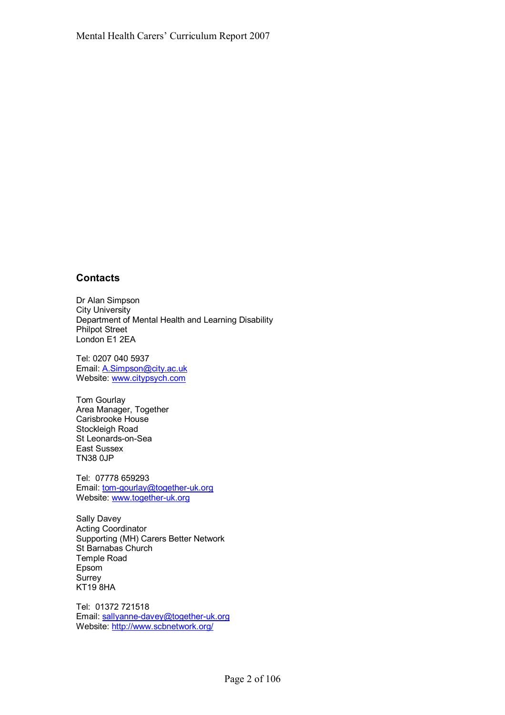## **Contacts**

Dr Alan Simpson City University Department of Mental Health and Learning Disability Philpot Street London E1 2EA

Tel: 0207 040 5937 Email: A.Simpson@city.ac.uk Website: www.citypsych.com

Tom Gourlay Area Manager, Together Carisbrooke House Stockleigh Road St Leonards-on-Sea East Sussex TN38 0JP

Tel: 07778 659293 Email: tom-gourlay@together-uk.org Website: www.together-uk.org

Sally Davey Acting Coordinator Supporting (MH) Carers Better Network St Barnabas Church Temple Road Epsom Surrey KT19 8HA

Tel: 01372 721518 Email: sallyanne-davey@together-uk.org Website: http://www.scbnetwork.org/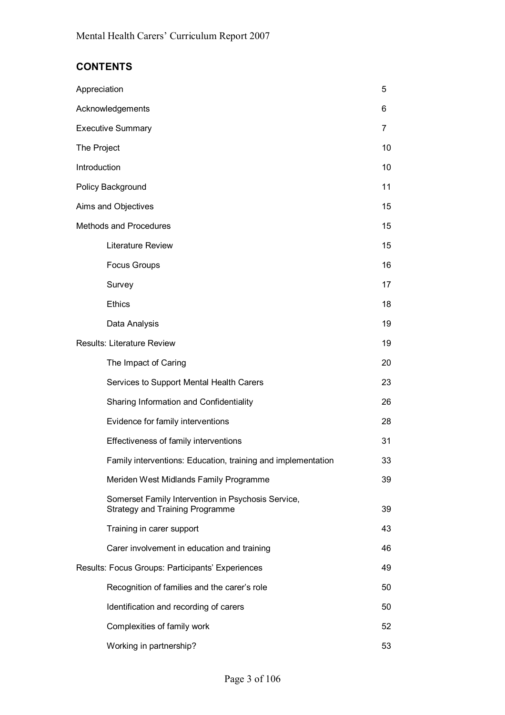## **CONTENTS**

| Appreciation                                                                                 | 5  |
|----------------------------------------------------------------------------------------------|----|
| Acknowledgements                                                                             | 6  |
| <b>Executive Summary</b>                                                                     | 7  |
| The Project                                                                                  | 10 |
| Introduction                                                                                 | 10 |
| Policy Background                                                                            | 11 |
| Aims and Objectives                                                                          | 15 |
| Methods and Procedures                                                                       | 15 |
| Literature Review                                                                            | 15 |
| <b>Focus Groups</b>                                                                          | 16 |
| Survey                                                                                       | 17 |
| <b>Ethics</b>                                                                                | 18 |
| Data Analysis                                                                                | 19 |
| <b>Results: Literature Review</b>                                                            | 19 |
| The Impact of Caring                                                                         | 20 |
| Services to Support Mental Health Carers                                                     | 23 |
| Sharing Information and Confidentiality                                                      | 26 |
| Evidence for family interventions                                                            | 28 |
| Effectiveness of family interventions                                                        | 31 |
| Family interventions: Education, training and implementation                                 | 33 |
| Meriden West Midlands Family Programme                                                       | 39 |
| Somerset Family Intervention in Psychosis Service,<br><b>Strategy and Training Programme</b> | 39 |
| Training in carer support                                                                    | 43 |
| Carer involvement in education and training                                                  | 46 |
| Results: Focus Groups: Participants' Experiences                                             | 49 |
| Recognition of families and the carer's role                                                 | 50 |
| Identification and recording of carers                                                       | 50 |
| Complexities of family work                                                                  | 52 |
| Working in partnership?                                                                      | 53 |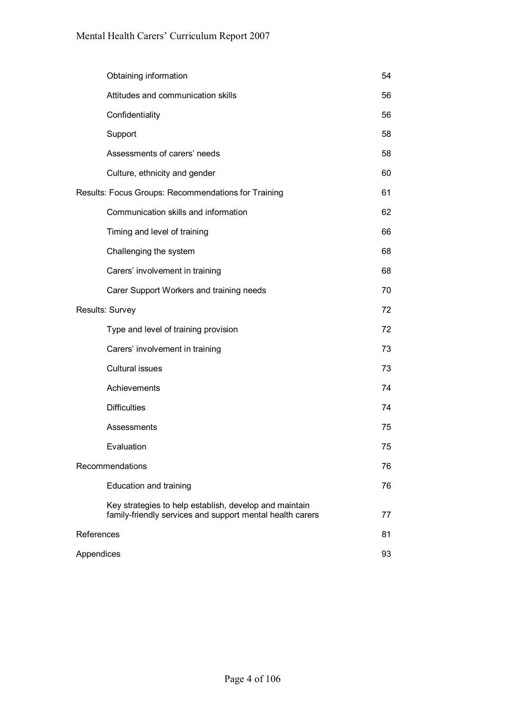| Obtaining information                                                                                               | 54 |
|---------------------------------------------------------------------------------------------------------------------|----|
| Attitudes and communication skills                                                                                  | 56 |
| Confidentiality                                                                                                     | 56 |
| Support                                                                                                             | 58 |
| Assessments of carers' needs                                                                                        | 58 |
| Culture, ethnicity and gender                                                                                       | 60 |
| Results: Focus Groups: Recommendations for Training                                                                 | 61 |
| Communication skills and information                                                                                | 62 |
| Timing and level of training                                                                                        | 66 |
| Challenging the system                                                                                              | 68 |
| Carers' involvement in training                                                                                     | 68 |
| Carer Support Workers and training needs                                                                            | 70 |
| Results: Survey                                                                                                     | 72 |
| Type and level of training provision                                                                                | 72 |
| Carers' involvement in training                                                                                     | 73 |
| <b>Cultural issues</b>                                                                                              | 73 |
| Achievements                                                                                                        | 74 |
| <b>Difficulties</b>                                                                                                 | 74 |
| Assessments                                                                                                         | 75 |
| Evaluation                                                                                                          | 75 |
| Recommendations                                                                                                     | 76 |
| Education and training                                                                                              | 76 |
| Key strategies to help establish, develop and maintain<br>family-friendly services and support mental health carers | 77 |
| References                                                                                                          | 81 |
| Appendices                                                                                                          | 93 |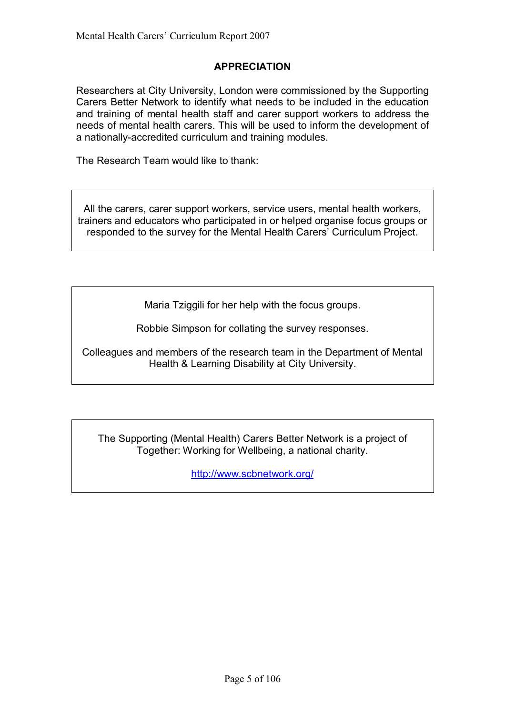## **APPRECIATION**

Researchers at City University, London were commissioned by the Supporting Carers Better Network to identify what needs to be included in the education and training of mental health staff and carer support workers to address the needs of mental health carers. This will be used to inform the development of a nationally-accredited curriculum and training modules.

The Research Team would like to thank:

All the carers, carer support workers, service users, mental health workers, trainers and educators who participated in or helped organise focus groups or responded to the survey for the Mental Health Carers' Curriculum Project.

Maria Tziggili for her help with the focus groups.

Robbie Simpson for collating the survey responses.

Colleagues and members of the research team in the Department of Mental Health & Learning Disability at City University.

The Supporting (Mental Health) Carers Better Network is a project of Together: Working for Wellbeing, a national charity.

http://www.scbnetwork.org/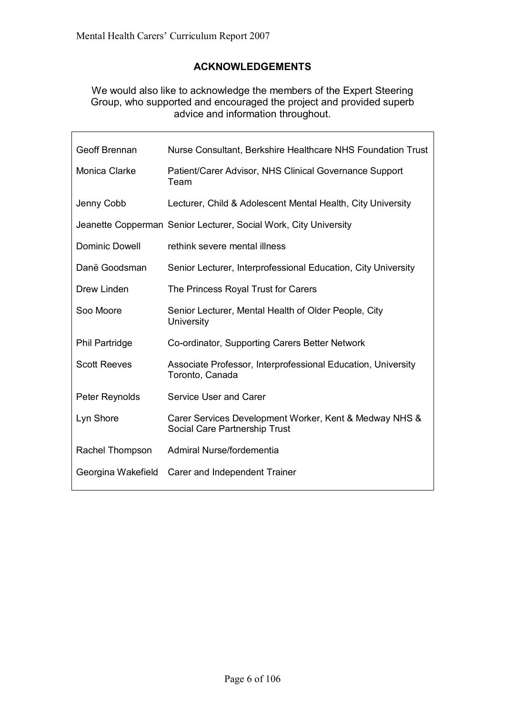r

## **ACKNOWLEDGEMENTS**

We would also like to acknowledge the members of the Expert Steering Group, who supported and encouraged the project and provided superb advice and information throughout.

 $\overline{\phantom{a}}$ 

| Geoff Brennan         | Nurse Consultant, Berkshire Healthcare NHS Foundation Trust                             |
|-----------------------|-----------------------------------------------------------------------------------------|
| Monica Clarke         | Patient/Carer Advisor, NHS Clinical Governance Support<br>Team                          |
| Jenny Cobb            | Lecturer, Child & Adolescent Mental Health, City University                             |
|                       | Jeanette Copperman Senior Lecturer, Social Work, City University                        |
| <b>Dominic Dowell</b> | rethink severe mental illness                                                           |
| Danë Goodsman         | Senior Lecturer, Interprofessional Education, City University                           |
| Drew Linden           | The Princess Royal Trust for Carers                                                     |
| Soo Moore             | Senior Lecturer, Mental Health of Older People, City<br>University                      |
| <b>Phil Partridge</b> | Co-ordinator, Supporting Carers Better Network                                          |
| <b>Scott Reeves</b>   | Associate Professor, Interprofessional Education, University<br>Toronto, Canada         |
| Peter Reynolds        | Service User and Carer                                                                  |
| Lyn Shore             | Carer Services Development Worker, Kent & Medway NHS &<br>Social Care Partnership Trust |
| Rachel Thompson       | Admiral Nurse/fordementia                                                               |
| Georgina Wakefield    | Carer and Independent Trainer                                                           |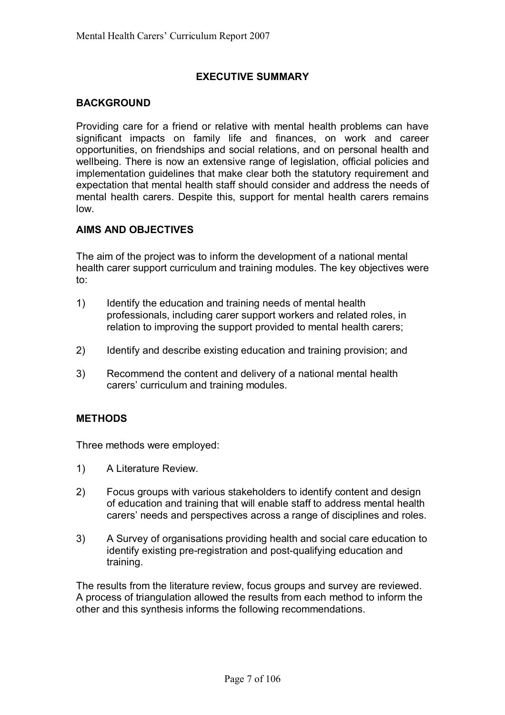## **EXECUTIVE SUMMARY**

## **BACKGROUND**

Providing care for a friend or relative with mental health problems can have significant impacts on family life and finances, on work and career opportunities, on friendships and social relations, and on personal health and wellbeing. There is now an extensive range of legislation, official policies and implementation quidelines that make clear both the statutory requirement and expectation that mental health staff should consider and address the needs of mental health carers. Despite this, support for mental health carers remains low.

## **AIMS AND OBJECTIVES**

The aim of the project was to inform the development of a national mental health carer support curriculum and training modules. The key objectives were to:

- 1) Identify the education and training needs of mental health professionals, including carer support workers and related roles, in relation to improving the support provided to mental health carers;
- 2) Identify and describe existing education and training provision; and
- 3) Recommend the content and delivery of a national mental health carers' curriculum and training modules.

## **METHODS**

Three methods were employed:

- 1) A Literature Review.
- 2) Focus groups with various stakeholders to identify content and design of education and training that will enable staff to address mental health carersí needs and perspectives across a range of disciplines and roles.
- 3) A Survey of organisations providing health and social care education to identify existing pre-registration and post-qualifying education and training.

The results from the literature review, focus groups and survey are reviewed. A process of triangulation allowed the results from each method to inform the other and this synthesis informs the following recommendations.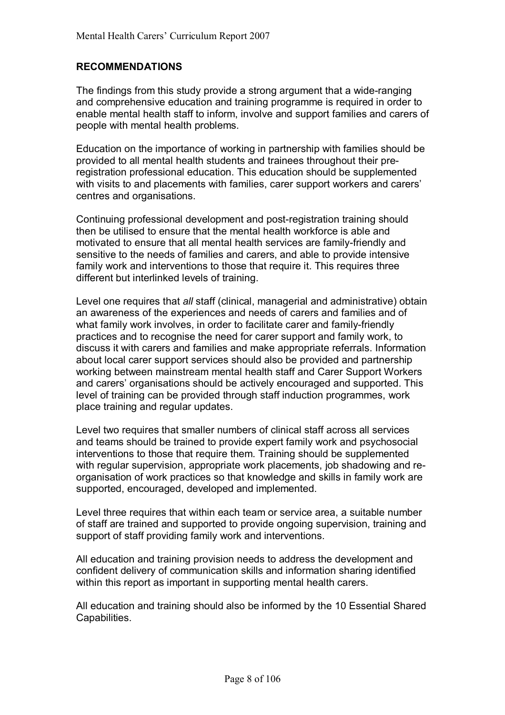## **RECOMMENDATIONS**

The findings from this study provide a strong argument that a wide-ranging and comprehensive education and training programme is required in order to enable mental health staff to inform, involve and support families and carers of people with mental health problems.

Education on the importance of working in partnership with families should be provided to all mental health students and trainees throughout their preregistration professional education. This education should be supplemented with visits to and placements with families, carer support workers and carers' centres and organisations.

Continuing professional development and post-registration training should then be utilised to ensure that the mental health workforce is able and motivated to ensure that all mental health services are family-friendly and sensitive to the needs of families and carers, and able to provide intensive family work and interventions to those that require it. This requires three different but interlinked levels of training.

Level one requires that *all* staff (clinical, managerial and administrative) obtain an awareness of the experiences and needs of carers and families and of what family work involves, in order to facilitate carer and family-friendly practices and to recognise the need for carer support and family work, to discuss it with carers and families and make appropriate referrals. Information about local carer support services should also be provided and partnership working between mainstream mental health staff and Carer Support Workers and carers' organisations should be actively encouraged and supported. This level of training can be provided through staff induction programmes, work place training and regular updates.

Level two requires that smaller numbers of clinical staff across all services and teams should be trained to provide expert family work and psychosocial interventions to those that require them. Training should be supplemented with regular supervision, appropriate work placements, job shadowing and reorganisation of work practices so that knowledge and skills in family work are supported, encouraged, developed and implemented.

Level three requires that within each team or service area, a suitable number of staff are trained and supported to provide ongoing supervision, training and support of staff providing family work and interventions.

All education and training provision needs to address the development and confident delivery of communication skills and information sharing identified within this report as important in supporting mental health carers.

All education and training should also be informed by the 10 Essential Shared Capabilities.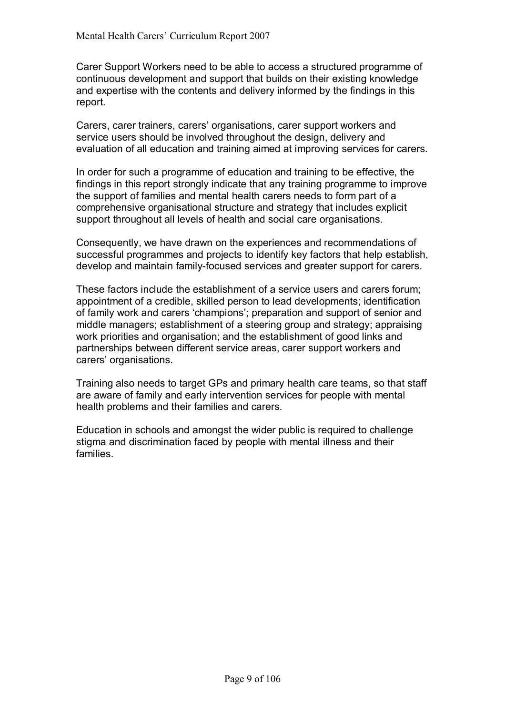Carer Support Workers need to be able to access a structured programme of continuous development and support that builds on their existing knowledge and expertise with the contents and delivery informed by the findings in this report.

Carers, carer trainers, carersí organisations, carer support workers and service users should be involved throughout the design, delivery and evaluation of all education and training aimed at improving services for carers.

In order for such a programme of education and training to be effective, the findings in this report strongly indicate that any training programme to improve the support of families and mental health carers needs to form part of a comprehensive organisational structure and strategy that includes explicit support throughout all levels of health and social care organisations.

Consequently, we have drawn on the experiences and recommendations of successful programmes and projects to identify key factors that help establish, develop and maintain family-focused services and greater support for carers.

These factors include the establishment of a service users and carers forum; appointment of a credible, skilled person to lead developments; identification of family work and carers 'champions'; preparation and support of senior and middle managers; establishment of a steering group and strategy; appraising work priorities and organisation; and the establishment of good links and partnerships between different service areas, carer support workers and carers' organisations.

Training also needs to target GPs and primary health care teams, so that staff are aware of family and early intervention services for people with mental health problems and their families and carers.

Education in schools and amongst the wider public is required to challenge stigma and discrimination faced by people with mental illness and their families.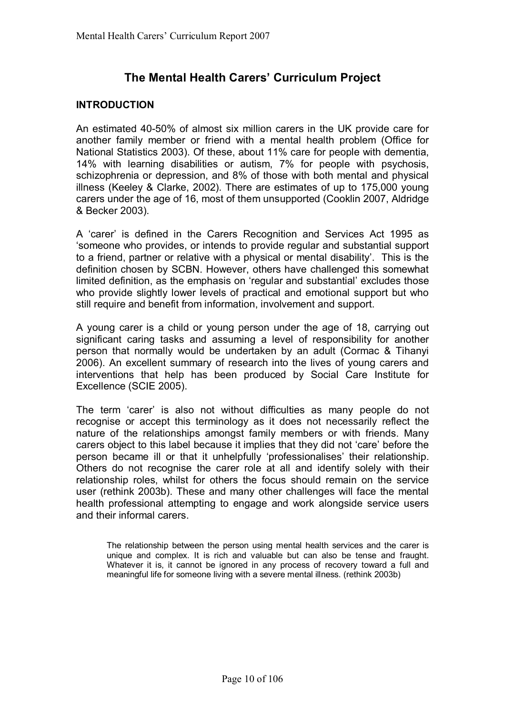## **The Mental Health Carersí Curriculum Project**

#### **INTRODUCTION**

An estimated 40-50% of almost six million carers in the UK provide care for another family member or friend with a mental health problem (Office for National Statistics 2003). Of these, about 11% care for people with dementia, 14% with learning disabilities or autism, 7% for people with psychosis, schizophrenia or depression, and 8% of those with both mental and physical illness (Keeley & Clarke, 2002). There are estimates of up to 175,000 young carers under the age of 16, most of them unsupported (Cooklin 2007, Aldridge & Becker 2003).

A 'carer' is defined in the Carers Recognition and Services Act 1995 as ësomeone who provides, or intends to provide regular and substantial support to a friend, partner or relative with a physical or mental disability'. This is the definition chosen by SCBN. However, others have challenged this somewhat limited definition, as the emphasis on 'regular and substantial' excludes those who provide slightly lower levels of practical and emotional support but who still require and benefit from information, involvement and support.

A young carer is a child or young person under the age of 18, carrying out significant caring tasks and assuming a level of responsibility for another person that normally would be undertaken by an adult (Cormac & Tihanyi 2006). An excellent summary of research into the lives of young carers and interventions that help has been produced by Social Care Institute for Excellence (SCIE 2005).

The term 'carer' is also not without difficulties as many people do not recognise or accept this terminology as it does not necessarily reflect the nature of the relationships amongst family members or with friends. Many carers object to this label because it implies that they did not 'care' before the person became ill or that it unhelpfully 'professionalises' their relationship. Others do not recognise the carer role at all and identify solely with their relationship roles, whilst for others the focus should remain on the service user (rethink 2003b). These and many other challenges will face the mental health professional attempting to engage and work alongside service users and their informal carers.

 The relationship between the person using mental health services and the carer is unique and complex. It is rich and valuable but can also be tense and fraught. Whatever it is, it cannot be ignored in any process of recovery toward a full and meaningful life for someone living with a severe mental illness. (rethink 2003b)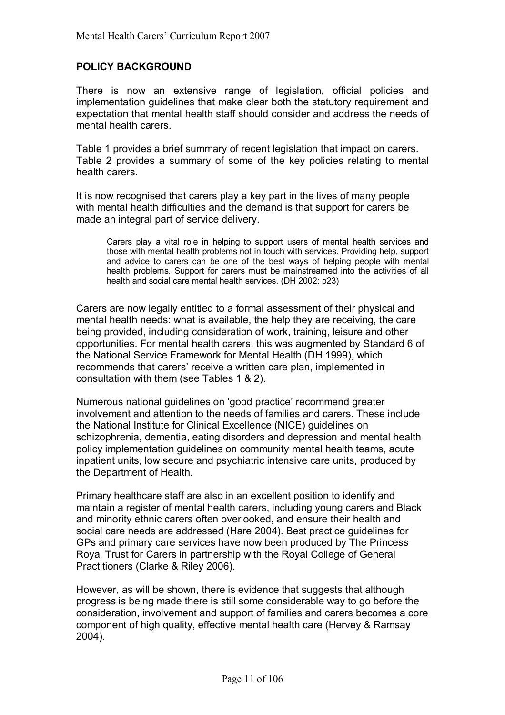## **POLICY BACKGROUND**

There is now an extensive range of legislation, official policies and implementation guidelines that make clear both the statutory requirement and expectation that mental health staff should consider and address the needs of mental health carers.

Table 1 provides a brief summary of recent legislation that impact on carers. Table 2 provides a summary of some of the key policies relating to mental health carers.

It is now recognised that carers play a key part in the lives of many people with mental health difficulties and the demand is that support for carers be made an integral part of service delivery.

 Carers play a vital role in helping to support users of mental health services and those with mental health problems not in touch with services. Providing help, support and advice to carers can be one of the best ways of helping people with mental health problems. Support for carers must be mainstreamed into the activities of all health and social care mental health services. (DH 2002: p23)

Carers are now legally entitled to a formal assessment of their physical and mental health needs: what is available, the help they are receiving, the care being provided, including consideration of work, training, leisure and other opportunities. For mental health carers, this was augmented by Standard 6 of the National Service Framework for Mental Health (DH 1999), which recommends that carers' receive a written care plan, implemented in consultation with them (see Tables 1 & 2).

Numerous national quidelines on 'good practice' recommend greater involvement and attention to the needs of families and carers. These include the National Institute for Clinical Excellence (NICE) guidelines on schizophrenia, dementia, eating disorders and depression and mental health policy implementation guidelines on community mental health teams, acute inpatient units, low secure and psychiatric intensive care units, produced by the Department of Health.

Primary healthcare staff are also in an excellent position to identify and maintain a register of mental health carers, including young carers and Black and minority ethnic carers often overlooked, and ensure their health and social care needs are addressed (Hare 2004). Best practice guidelines for GPs and primary care services have now been produced by The Princess Royal Trust for Carers in partnership with the Royal College of General Practitioners (Clarke & Riley 2006).

However, as will be shown, there is evidence that suggests that although progress is being made there is still some considerable way to go before the consideration, involvement and support of families and carers becomes a core component of high quality, effective mental health care (Hervey & Ramsay 2004).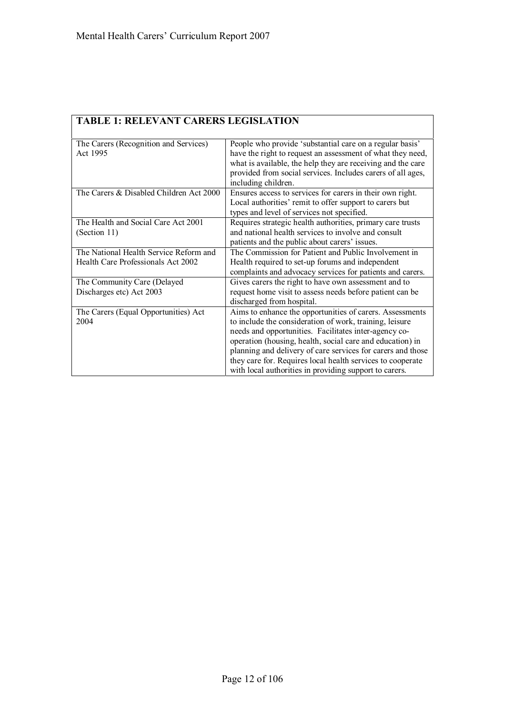ř.

| <b>TABLE 1: RELEVANT CARERS LEGISLATION</b>       |                                                                                                                                                                                       |
|---------------------------------------------------|---------------------------------------------------------------------------------------------------------------------------------------------------------------------------------------|
| The Carers (Recognition and Services)<br>Act 1995 | People who provide 'substantial care on a regular basis'<br>have the right to request an assessment of what they need,<br>what is available, the help they are receiving and the care |
|                                                   | provided from social services. Includes carers of all ages,<br>including children.                                                                                                    |
| The Carers & Disabled Children Act 2000           | Ensures access to services for carers in their own right.<br>Local authorities' remit to offer support to carers but<br>types and level of services not specified.                    |
| The Health and Social Care Act 2001               | Requires strategic health authorities, primary care trusts                                                                                                                            |
| (Section 11)                                      | and national health services to involve and consult                                                                                                                                   |
|                                                   | patients and the public about carers' issues.                                                                                                                                         |
| The National Health Service Reform and            | The Commission for Patient and Public Involvement in                                                                                                                                  |
| Health Care Professionals Act 2002                | Health required to set-up forums and independent                                                                                                                                      |
|                                                   | complaints and advocacy services for patients and carers.                                                                                                                             |
| The Community Care (Delayed                       | Gives carers the right to have own assessment and to                                                                                                                                  |
| Discharges etc) Act 2003                          | request home visit to assess needs before patient can be<br>discharged from hospital.                                                                                                 |
| The Carers (Equal Opportunities) Act<br>2004      | Aims to enhance the opportunities of carers. Assessments<br>to include the consideration of work, training, leisure                                                                   |
|                                                   | needs and opportunities. Facilitates inter-agency co-<br>operation (housing, health, social care and education) in                                                                    |
|                                                   | planning and delivery of care services for carers and those                                                                                                                           |
|                                                   | they care for. Requires local health services to cooperate                                                                                                                            |
|                                                   | with local authorities in providing support to carers.                                                                                                                                |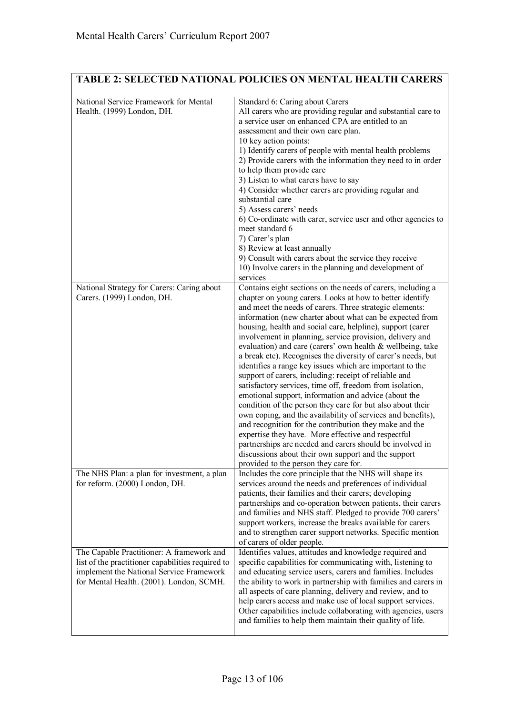## **TABLE 2: SELECTED NATIONAL POLICIES ON MENTAL HEALTH CARERS**

| National Service Framework for Mental<br>Health. (1999) London, DH.                                                                                                                    | Standard 6: Caring about Carers<br>All carers who are providing regular and substantial care to<br>a service user on enhanced CPA are entitled to an<br>assessment and their own care plan.<br>10 key action points:<br>1) Identify carers of people with mental health problems<br>2) Provide carers with the information they need to in order<br>to help them provide care<br>3) Listen to what carers have to say<br>4) Consider whether carers are providing regular and<br>substantial care<br>5) Assess carers' needs<br>6) Co-ordinate with carer, service user and other agencies to<br>meet standard 6<br>7) Carer's plan<br>8) Review at least annually<br>9) Consult with carers about the service they receive<br>10) Involve carers in the planning and development of<br>services                                                                                                                                                                                                                                                                                                                                                         |
|----------------------------------------------------------------------------------------------------------------------------------------------------------------------------------------|----------------------------------------------------------------------------------------------------------------------------------------------------------------------------------------------------------------------------------------------------------------------------------------------------------------------------------------------------------------------------------------------------------------------------------------------------------------------------------------------------------------------------------------------------------------------------------------------------------------------------------------------------------------------------------------------------------------------------------------------------------------------------------------------------------------------------------------------------------------------------------------------------------------------------------------------------------------------------------------------------------------------------------------------------------------------------------------------------------------------------------------------------------|
| National Strategy for Carers: Caring about<br>Carers. (1999) London, DH.                                                                                                               | Contains eight sections on the needs of carers, including a<br>chapter on young carers. Looks at how to better identify<br>and meet the needs of carers. Three strategic elements:<br>information (new charter about what can be expected from<br>housing, health and social care, helpline), support (carer<br>involvement in planning, service provision, delivery and<br>evaluation) and care (carers' own health & wellbeing, take<br>a break etc). Recognises the diversity of carer's needs, but<br>identifies a range key issues which are important to the<br>support of carers, including: receipt of reliable and<br>satisfactory services, time off, freedom from isolation,<br>emotional support, information and advice (about the<br>condition of the person they care for but also about their<br>own coping, and the availability of services and benefits),<br>and recognition for the contribution they make and the<br>expertise they have. More effective and respectful<br>partnerships are needed and carers should be involved in<br>discussions about their own support and the support<br>provided to the person they care for. |
| The NHS Plan: a plan for investment, a plan<br>for reform. (2000) London, DH.                                                                                                          | Includes the core principle that the NHS will shape its<br>services around the needs and preferences of individual<br>patients, their families and their carers; developing<br>partnerships and co-operation between patients, their carers<br>and families and NHS staff. Pledged to provide 700 carers'<br>support workers, increase the breaks available for carers<br>and to strengthen carer support networks. Specific mention<br>of carers of older people.                                                                                                                                                                                                                                                                                                                                                                                                                                                                                                                                                                                                                                                                                       |
| The Capable Practitioner: A framework and<br>list of the practitioner capabilities required to<br>implement the National Service Framework<br>for Mental Health. (2001). London, SCMH. | Identifies values, attitudes and knowledge required and<br>specific capabilities for communicating with, listening to<br>and educating service users, carers and families. Includes<br>the ability to work in partnership with families and carers in<br>all aspects of care planning, delivery and review, and to<br>help carers access and make use of local support services.<br>Other capabilities include collaborating with agencies, users<br>and families to help them maintain their quality of life.                                                                                                                                                                                                                                                                                                                                                                                                                                                                                                                                                                                                                                           |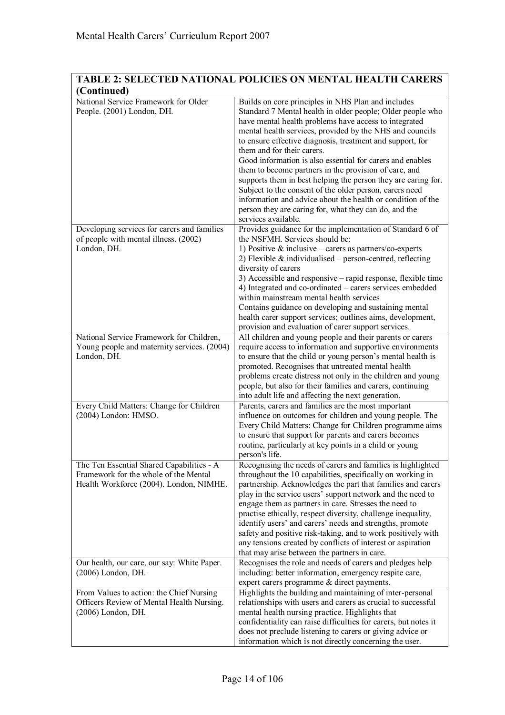## **TABLE 2: SELECTED NATIONAL POLICIES ON MENTAL HEALTH CARERS (Continued)**

| (Continucu)                                                                                                                   |                                                                                                                                                                                                                                                                                                                                                                                                                                                                                                                                                                                                                                                                                                                                   |
|-------------------------------------------------------------------------------------------------------------------------------|-----------------------------------------------------------------------------------------------------------------------------------------------------------------------------------------------------------------------------------------------------------------------------------------------------------------------------------------------------------------------------------------------------------------------------------------------------------------------------------------------------------------------------------------------------------------------------------------------------------------------------------------------------------------------------------------------------------------------------------|
| National Service Framework for Older<br>People. (2001) London, DH.                                                            | Builds on core principles in NHS Plan and includes<br>Standard 7 Mental health in older people; Older people who<br>have mental health problems have access to integrated<br>mental health services, provided by the NHS and councils<br>to ensure effective diagnosis, treatment and support, for<br>them and for their carers.<br>Good information is also essential for carers and enables<br>them to become partners in the provision of care, and<br>supports them in best helping the person they are caring for.<br>Subject to the consent of the older person, carers need<br>information and advice about the health or condition of the<br>person they are caring for, what they can do, and the<br>services available. |
| Developing services for carers and families                                                                                   | Provides guidance for the implementation of Standard 6 of                                                                                                                                                                                                                                                                                                                                                                                                                                                                                                                                                                                                                                                                         |
| of people with mental illness. (2002)                                                                                         | the NSFMH. Services should be:                                                                                                                                                                                                                                                                                                                                                                                                                                                                                                                                                                                                                                                                                                    |
| London, DH.                                                                                                                   | 1) Positive $\&$ inclusive – carers as partners/co-experts<br>2) Flexible $\&$ individualised – person-centred, reflecting<br>diversity of carers<br>3) Accessible and responsive – rapid response, flexible time<br>4) Integrated and co-ordinated – carers services embedded<br>within mainstream mental health services<br>Contains guidance on developing and sustaining mental<br>health carer support services; outlines aims, development,<br>provision and evaluation of carer support services.                                                                                                                                                                                                                          |
| National Service Framework for Children,                                                                                      | All children and young people and their parents or carers                                                                                                                                                                                                                                                                                                                                                                                                                                                                                                                                                                                                                                                                         |
| Young people and maternity services. (2004)<br>London, DH.                                                                    | require access to information and supportive environments<br>to ensure that the child or young person's mental health is<br>promoted. Recognises that untreated mental health<br>problems create distress not only in the children and young<br>people, but also for their families and carers, continuing<br>into adult life and affecting the next generation.                                                                                                                                                                                                                                                                                                                                                                  |
|                                                                                                                               |                                                                                                                                                                                                                                                                                                                                                                                                                                                                                                                                                                                                                                                                                                                                   |
| Every Child Matters: Change for Children<br>(2004) London: HMSO.                                                              | Parents, carers and families are the most important<br>influence on outcomes for children and young people. The<br>Every Child Matters: Change for Children programme aims<br>to ensure that support for parents and carers becomes<br>routine, particularly at key points in a child or young<br>person's life.                                                                                                                                                                                                                                                                                                                                                                                                                  |
| The Ten Essential Shared Capabilities - A<br>Framework for the whole of the Mental<br>Health Workforce (2004). London, NIMHE. | Recognising the needs of carers and families is highlighted<br>throughout the 10 capabilities, specifically on working in<br>partnership. Acknowledges the part that families and carers<br>play in the service users' support network and the need to<br>engage them as partners in care. Stresses the need to<br>practise ethically, respect diversity, challenge inequality,<br>identify users' and carers' needs and strengths, promote<br>safety and positive risk-taking, and to work positively with<br>any tensions created by conflicts of interest or aspiration<br>that may arise between the partners in care.                                                                                                        |
| Our health, our care, our say: White Paper.                                                                                   | Recognises the role and needs of carers and pledges help                                                                                                                                                                                                                                                                                                                                                                                                                                                                                                                                                                                                                                                                          |
| (2006) London, DH.                                                                                                            | including: better information, emergency respite care,<br>expert carers programme & direct payments.                                                                                                                                                                                                                                                                                                                                                                                                                                                                                                                                                                                                                              |
|                                                                                                                               |                                                                                                                                                                                                                                                                                                                                                                                                                                                                                                                                                                                                                                                                                                                                   |
| From Values to action: the Chief Nursing<br>Officers Review of Mental Health Nursing.<br>(2006) London, DH.                   | Highlights the building and maintaining of inter-personal<br>relationships with users and carers as crucial to successful<br>mental health nursing practice. Highlights that<br>confidentiality can raise difficulties for carers, but notes it<br>does not preclude listening to carers or giving advice or<br>information which is not directly concerning the user.                                                                                                                                                                                                                                                                                                                                                            |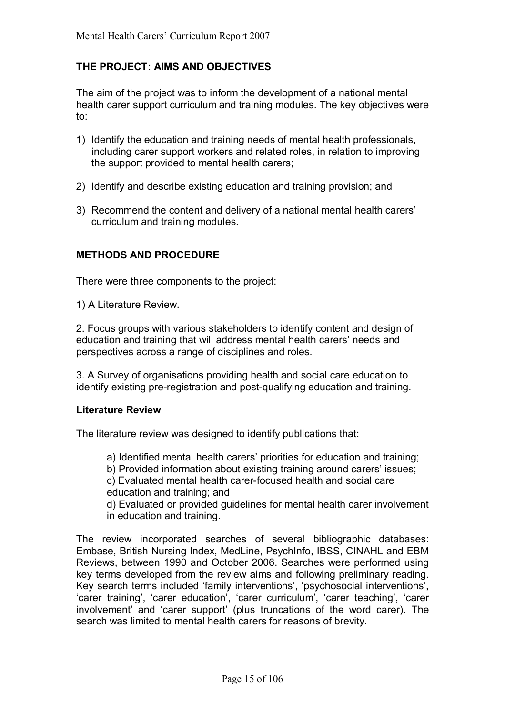## **THE PROJECT: AIMS AND OBJECTIVES**

The aim of the project was to inform the development of a national mental health carer support curriculum and training modules. The key objectives were to:

- 1) Identify the education and training needs of mental health professionals, including carer support workers and related roles, in relation to improving the support provided to mental health carers;
- 2) Identify and describe existing education and training provision; and
- 3) Recommend the content and delivery of a national mental health carers' curriculum and training modules.

## **METHODS AND PROCEDURE**

There were three components to the project:

1) A Literature Review.

2. Focus groups with various stakeholders to identify content and design of education and training that will address mental health carers' needs and perspectives across a range of disciplines and roles.

3. A Survey of organisations providing health and social care education to identify existing pre-registration and post-qualifying education and training.

## **Literature Review**

The literature review was designed to identify publications that:

a) Identified mental health carers' priorities for education and training;

b) Provided information about existing training around carers' issues;

c) Evaluated mental health carer-focused health and social care education and training; and

d) Evaluated or provided guidelines for mental health carer involvement in education and training.

The review incorporated searches of several bibliographic databases: Embase, British Nursing Index, MedLine, PsychInfo, IBSS, CINAHL and EBM Reviews, between 1990 and October 2006. Searches were performed using key terms developed from the review aims and following preliminary reading. Key search terms included 'family interventions', 'psychosocial interventions', ëcarer trainingí, ëcarer educationí, ëcarer curriculumí, ëcarer teachingí, ëcarer involvement' and 'carer support' (plus truncations of the word carer). The search was limited to mental health carers for reasons of brevity.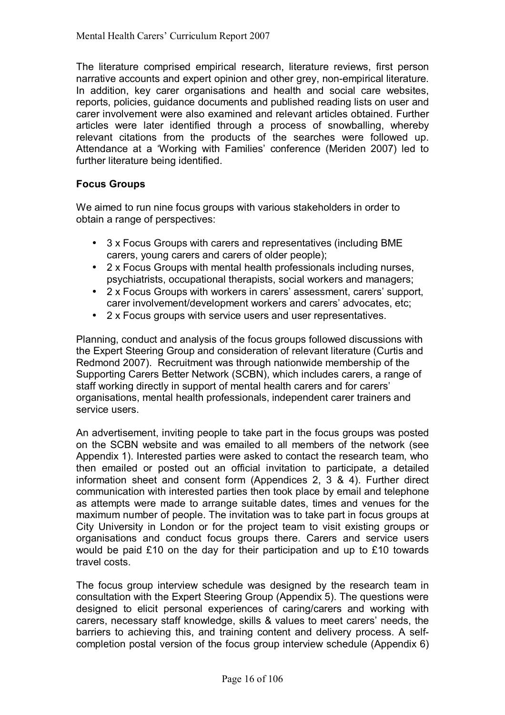The literature comprised empirical research, literature reviews, first person narrative accounts and expert opinion and other grey, non-empirical literature. In addition, key carer organisations and health and social care websites, reports, policies, guidance documents and published reading lists on user and carer involvement were also examined and relevant articles obtained. Further articles were later identified through a process of snowballing, whereby relevant citations from the products of the searches were followed up. Attendance at a 'Working with Families' conference (Meriden 2007) led to further literature being identified.

## **Focus Groups**

We aimed to run nine focus groups with various stakeholders in order to obtain a range of perspectives:

- 3 x Focus Groups with carers and representatives (including BME carers, young carers and carers of older people);
- 2 x Focus Groups with mental health professionals including nurses, psychiatrists, occupational therapists, social workers and managers;
- 2 x Focus Groups with workers in carers' assessment, carers' support, carer involvement/development workers and carers' advocates, etc;
- 2 x Focus groups with service users and user representatives.

Planning, conduct and analysis of the focus groups followed discussions with the Expert Steering Group and consideration of relevant literature (Curtis and Redmond 2007). Recruitment was through nationwide membership of the Supporting Carers Better Network (SCBN), which includes carers, a range of staff working directly in support of mental health carers and for carers' organisations, mental health professionals, independent carer trainers and service users.

An advertisement, inviting people to take part in the focus groups was posted on the SCBN website and was emailed to all members of the network (see Appendix 1). Interested parties were asked to contact the research team, who then emailed or posted out an official invitation to participate, a detailed information sheet and consent form (Appendices 2, 3 & 4). Further direct communication with interested parties then took place by email and telephone as attempts were made to arrange suitable dates, times and venues for the maximum number of people. The invitation was to take part in focus groups at City University in London or for the project team to visit existing groups or organisations and conduct focus groups there. Carers and service users would be paid £10 on the day for their participation and up to £10 towards travel costs.

The focus group interview schedule was designed by the research team in consultation with the Expert Steering Group (Appendix 5). The questions were designed to elicit personal experiences of caring/carers and working with carers, necessary staff knowledge, skills & values to meet carersí needs, the barriers to achieving this, and training content and delivery process. A selfcompletion postal version of the focus group interview schedule (Appendix 6)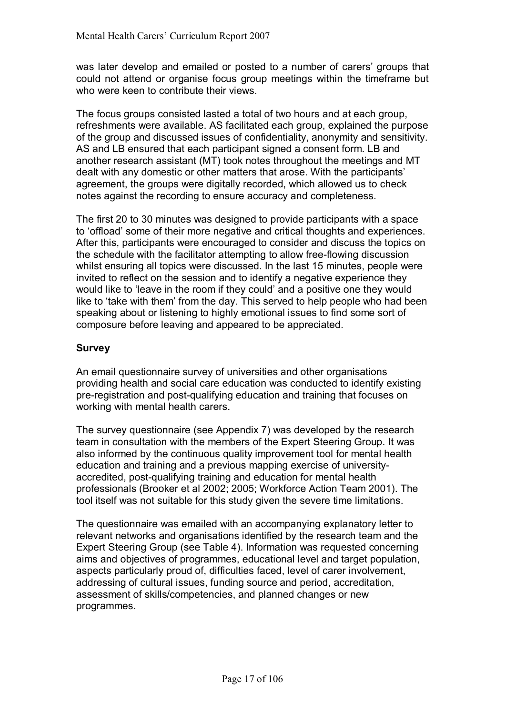was later develop and emailed or posted to a number of carers' groups that could not attend or organise focus group meetings within the timeframe but who were keen to contribute their views.

The focus groups consisted lasted a total of two hours and at each group, refreshments were available. AS facilitated each group, explained the purpose of the group and discussed issues of confidentiality, anonymity and sensitivity. AS and LB ensured that each participant signed a consent form. LB and another research assistant (MT) took notes throughout the meetings and MT dealt with any domestic or other matters that arose. With the participants' agreement, the groups were digitally recorded, which allowed us to check notes against the recording to ensure accuracy and completeness.

The first 20 to 30 minutes was designed to provide participants with a space to 'offload' some of their more negative and critical thoughts and experiences. After this, participants were encouraged to consider and discuss the topics on the schedule with the facilitator attempting to allow free-flowing discussion whilst ensuring all topics were discussed. In the last 15 minutes, people were invited to reflect on the session and to identify a negative experience they would like to 'leave in the room if they could' and a positive one they would like to 'take with them' from the day. This served to help people who had been speaking about or listening to highly emotional issues to find some sort of composure before leaving and appeared to be appreciated.

## **Survey**

An email questionnaire survey of universities and other organisations providing health and social care education was conducted to identify existing pre-registration and post-qualifying education and training that focuses on working with mental health carers.

The survey questionnaire (see Appendix 7) was developed by the research team in consultation with the members of the Expert Steering Group. It was also informed by the continuous quality improvement tool for mental health education and training and a previous mapping exercise of universityaccredited, post-qualifying training and education for mental health professionals (Brooker et al 2002; 2005; Workforce Action Team 2001). The tool itself was not suitable for this study given the severe time limitations.

The questionnaire was emailed with an accompanying explanatory letter to relevant networks and organisations identified by the research team and the Expert Steering Group (see Table 4). Information was requested concerning aims and objectives of programmes, educational level and target population, aspects particularly proud of, difficulties faced, level of carer involvement, addressing of cultural issues, funding source and period, accreditation, assessment of skills/competencies, and planned changes or new programmes.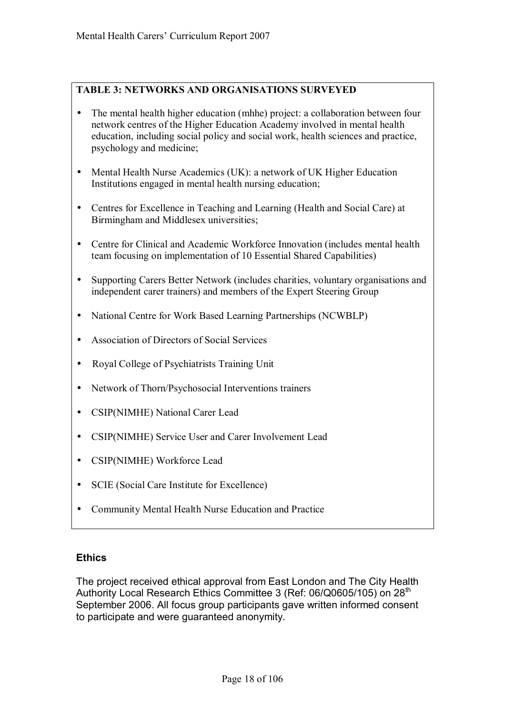## **TABLE 3: NETWORKS AND ORGANISATIONS SURVEYED**

- The mental health higher education (mhhe) project: a collaboration between four network centres of the Higher Education Academy involved in mental health education, including social policy and social work, health sciences and practice, psychology and medicine;
- Mental Health Nurse Academics (UK): a network of UK Higher Education Institutions engaged in mental health nursing education;
- Centres for Excellence in Teaching and Learning (Health and Social Care) at Birmingham and Middlesex universities;
- Centre for Clinical and Academic Workforce Innovation (includes mental health team focusing on implementation of 10 Essential Shared Capabilities)
- Supporting Carers Better Network (includes charities, voluntary organisations and independent carer trainers) and members of the Expert Steering Group
- National Centre for Work Based Learning Partnerships (NCWBLP)
- Association of Directors of Social Services
- Royal College of Psychiatrists Training Unit
- Network of Thorn/Psychosocial Interventions trainers
- CSIP(NIMHE) National Carer Lead
- CSIP(NIMHE) Service User and Carer Involvement Lead
- CSIP(NIMHE) Workforce Lead
- SCIE (Social Care Institute for Excellence)
- Community Mental Health Nurse Education and Practice

## **Ethics**

The project received ethical approval from East London and The City Health Authority Local Research Ethics Committee 3 (Ref: 06/Q0605/105) on 28<sup>th</sup> September 2006. All focus group participants gave written informed consent to participate and were guaranteed anonymity.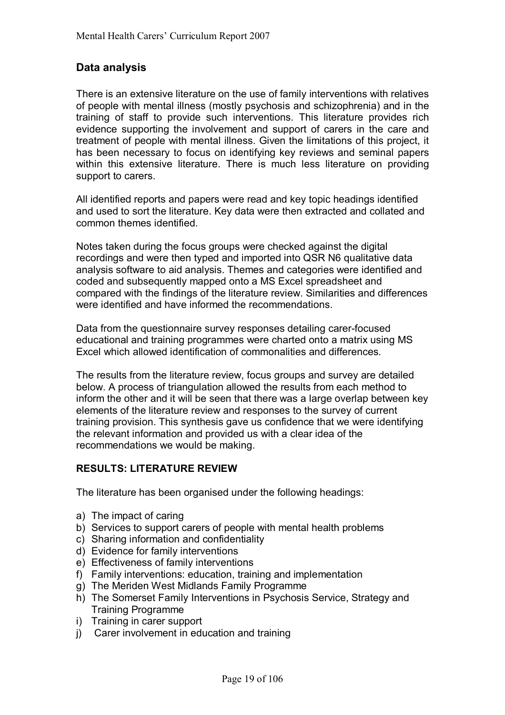## **Data analysis**

There is an extensive literature on the use of family interventions with relatives of people with mental illness (mostly psychosis and schizophrenia) and in the training of staff to provide such interventions. This literature provides rich evidence supporting the involvement and support of carers in the care and treatment of people with mental illness. Given the limitations of this project, it has been necessary to focus on identifying key reviews and seminal papers within this extensive literature. There is much less literature on providing support to carers.

All identified reports and papers were read and key topic headings identified and used to sort the literature. Key data were then extracted and collated and common themes identified.

Notes taken during the focus groups were checked against the digital recordings and were then typed and imported into QSR N6 qualitative data analysis software to aid analysis. Themes and categories were identified and coded and subsequently mapped onto a MS Excel spreadsheet and compared with the findings of the literature review. Similarities and differences were identified and have informed the recommendations.

Data from the questionnaire survey responses detailing carer-focused educational and training programmes were charted onto a matrix using MS Excel which allowed identification of commonalities and differences.

The results from the literature review, focus groups and survey are detailed below. A process of triangulation allowed the results from each method to inform the other and it will be seen that there was a large overlap between key elements of the literature review and responses to the survey of current training provision. This synthesis gave us confidence that we were identifying the relevant information and provided us with a clear idea of the recommendations we would be making.

## **RESULTS: LITERATURE REVIEW**

The literature has been organised under the following headings:

- a) The impact of caring
- b) Services to support carers of people with mental health problems
- c) Sharing information and confidentiality
- d) Evidence for family interventions
- e) Effectiveness of family interventions
- f) Family interventions: education, training and implementation
- g) The Meriden West Midlands Family Programme
- h) The Somerset Family Interventions in Psychosis Service, Strategy and Training Programme
- i) Training in carer support
- j) Carer involvement in education and training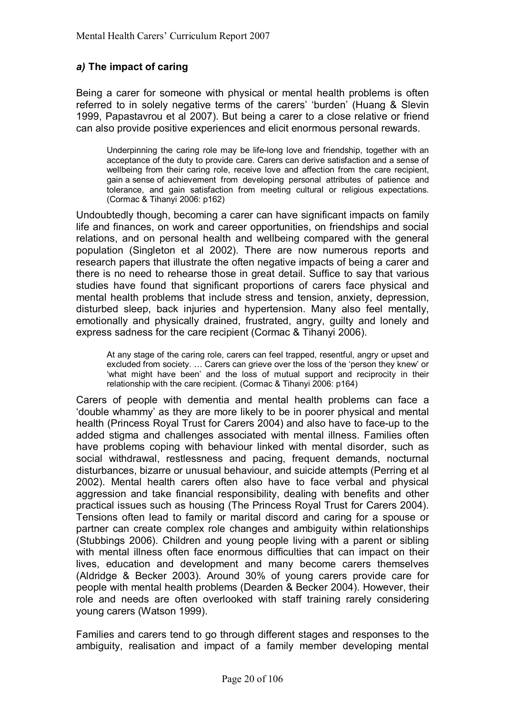## *a)* **The impact of caring**

Being a carer for someone with physical or mental health problems is often referred to in solely negative terms of the carers' 'burden' (Huang & Slevin 1999, Papastavrou et al 2007). But being a carer to a close relative or friend can also provide positive experiences and elicit enormous personal rewards.

 Underpinning the caring role may be life-long love and friendship, together with an acceptance of the duty to provide care. Carers can derive satisfaction and a sense of wellbeing from their caring role, receive love and affection from the care recipient, gain a sense of achievement from developing personal attributes of patience and tolerance, and gain satisfaction from meeting cultural or religious expectations. (Cormac & Tihanyi 2006: p162)

Undoubtedly though, becoming a carer can have significant impacts on family life and finances, on work and career opportunities, on friendships and social relations, and on personal health and wellbeing compared with the general population (Singleton et al 2002). There are now numerous reports and research papers that illustrate the often negative impacts of being a carer and there is no need to rehearse those in great detail. Suffice to say that various studies have found that significant proportions of carers face physical and mental health problems that include stress and tension, anxiety, depression, disturbed sleep, back injuries and hypertension. Many also feel mentally, emotionally and physically drained, frustrated, angry, guilty and lonely and express sadness for the care recipient (Cormac & Tihanyi 2006).

 At any stage of the caring role, carers can feel trapped, resentful, angry or upset and excluded from society.  $\ldots$  Carers can grieve over the loss of the 'person they knew' or ëwhat might have beení and the loss of mutual support and reciprocity in their relationship with the care recipient. (Cormac & Tihanyi 2006: p164)

Carers of people with dementia and mental health problems can face a ëdouble whammyí as they are more likely to be in poorer physical and mental health (Princess Royal Trust for Carers 2004) and also have to face-up to the added stigma and challenges associated with mental illness. Families often have problems coping with behaviour linked with mental disorder, such as social withdrawal, restlessness and pacing, frequent demands, nocturnal disturbances, bizarre or unusual behaviour, and suicide attempts (Perring et al 2002). Mental health carers often also have to face verbal and physical aggression and take financial responsibility, dealing with benefits and other practical issues such as housing (The Princess Royal Trust for Carers 2004). Tensions often lead to family or marital discord and caring for a spouse or partner can create complex role changes and ambiguity within relationships (Stubbings 2006). Children and young people living with a parent or sibling with mental illness often face enormous difficulties that can impact on their lives, education and development and many become carers themselves (Aldridge & Becker 2003). Around 30% of young carers provide care for people with mental health problems (Dearden & Becker 2004). However, their role and needs are often overlooked with staff training rarely considering young carers (Watson 1999).

Families and carers tend to go through different stages and responses to the ambiguity, realisation and impact of a family member developing mental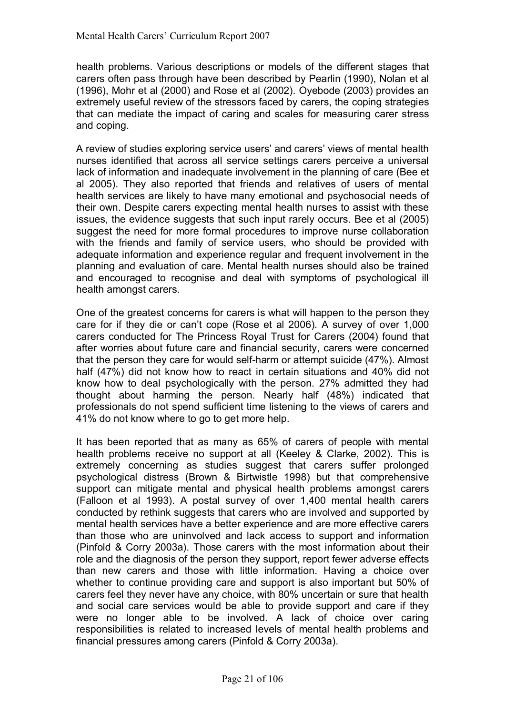health problems. Various descriptions or models of the different stages that carers often pass through have been described by Pearlin (1990), Nolan et al (1996), Mohr et al (2000) and Rose et al (2002). Oyebode (2003) provides an extremely useful review of the stressors faced by carers, the coping strategies that can mediate the impact of caring and scales for measuring carer stress and coping.

A review of studies exploring service users' and carers' views of mental health nurses identified that across all service settings carers perceive a universal lack of information and inadequate involvement in the planning of care (Bee et al 2005). They also reported that friends and relatives of users of mental health services are likely to have many emotional and psychosocial needs of their own. Despite carers expecting mental health nurses to assist with these issues, the evidence suggests that such input rarely occurs. Bee et al (2005) suggest the need for more formal procedures to improve nurse collaboration with the friends and family of service users, who should be provided with adequate information and experience regular and frequent involvement in the planning and evaluation of care. Mental health nurses should also be trained and encouraged to recognise and deal with symptoms of psychological ill health amongst carers.

One of the greatest concerns for carers is what will happen to the person they care for if they die or canít cope (Rose et al 2006). A survey of over 1,000 carers conducted for The Princess Royal Trust for Carers (2004) found that after worries about future care and financial security, carers were concerned that the person they care for would self-harm or attempt suicide (47%). Almost half (47%) did not know how to react in certain situations and 40% did not know how to deal psychologically with the person. 27% admitted they had thought about harming the person. Nearly half (48%) indicated that professionals do not spend sufficient time listening to the views of carers and 41% do not know where to go to get more help.

It has been reported that as many as 65% of carers of people with mental health problems receive no support at all (Keeley & Clarke, 2002). This is extremely concerning as studies suggest that carers suffer prolonged psychological distress (Brown & Birtwistle 1998) but that comprehensive support can mitigate mental and physical health problems amongst carers (Falloon et al 1993). A postal survey of over 1,400 mental health carers conducted by rethink suggests that carers who are involved and supported by mental health services have a better experience and are more effective carers than those who are uninvolved and lack access to support and information (Pinfold & Corry 2003a). Those carers with the most information about their role and the diagnosis of the person they support, report fewer adverse effects than new carers and those with little information. Having a choice over whether to continue providing care and support is also important but 50% of carers feel they never have any choice, with 80% uncertain or sure that health and social care services would be able to provide support and care if they were no longer able to be involved. A lack of choice over caring responsibilities is related to increased levels of mental health problems and financial pressures among carers (Pinfold & Corry 2003a).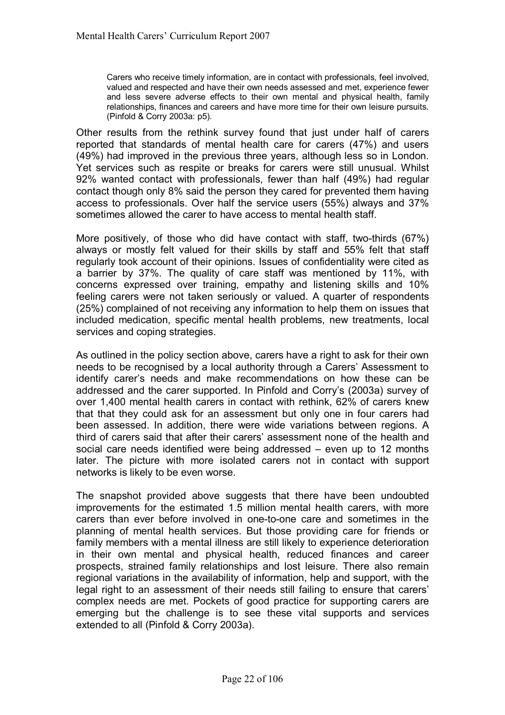Carers who receive timely information, are in contact with professionals, feel involved, valued and respected and have their own needs assessed and met, experience fewer and less severe adverse effects to their own mental and physical health, family relationships, finances and careers and have more time for their own leisure pursuits. (Pinfold & Corry 2003a: p5).

Other results from the rethink survey found that just under half of carers reported that standards of mental health care for carers (47%) and users (49%) had improved in the previous three years, although less so in London. Yet services such as respite or breaks for carers were still unusual. Whilst 92% wanted contact with professionals, fewer than half (49%) had regular contact though only 8% said the person they cared for prevented them having access to professionals. Over half the service users (55%) always and 37% sometimes allowed the carer to have access to mental health staff.

More positively, of those who did have contact with staff, two-thirds (67%) always or mostly felt valued for their skills by staff and 55% felt that staff regularly took account of their opinions. Issues of confidentiality were cited as a barrier by 37%. The quality of care staff was mentioned by 11%, with concerns expressed over training, empathy and listening skills and 10% feeling carers were not taken seriously or valued. A quarter of respondents (25%) complained of not receiving any information to help them on issues that included medication, specific mental health problems, new treatments, local services and coping strategies.

As outlined in the policy section above, carers have a right to ask for their own needs to be recognised by a local authority through a Carersí Assessment to identify carer's needs and make recommendations on how these can be addressed and the carer supported. In Pinfold and Corry's (2003a) survey of over 1,400 mental health carers in contact with rethink, 62% of carers knew that that they could ask for an assessment but only one in four carers had been assessed. In addition, there were wide variations between regions. A third of carers said that after their carers' assessment none of the health and social care needs identified were being addressed  $-$  even up to 12 months later. The picture with more isolated carers not in contact with support networks is likely to be even worse.

The snapshot provided above suggests that there have been undoubted improvements for the estimated 1.5 million mental health carers, with more carers than ever before involved in one-to-one care and sometimes in the planning of mental health services. But those providing care for friends or family members with a mental illness are still likely to experience deterioration in their own mental and physical health, reduced finances and career prospects, strained family relationships and lost leisure. There also remain regional variations in the availability of information, help and support, with the legal right to an assessment of their needs still failing to ensure that carers' complex needs are met. Pockets of good practice for supporting carers are emerging but the challenge is to see these vital supports and services extended to all (Pinfold & Corry 2003a).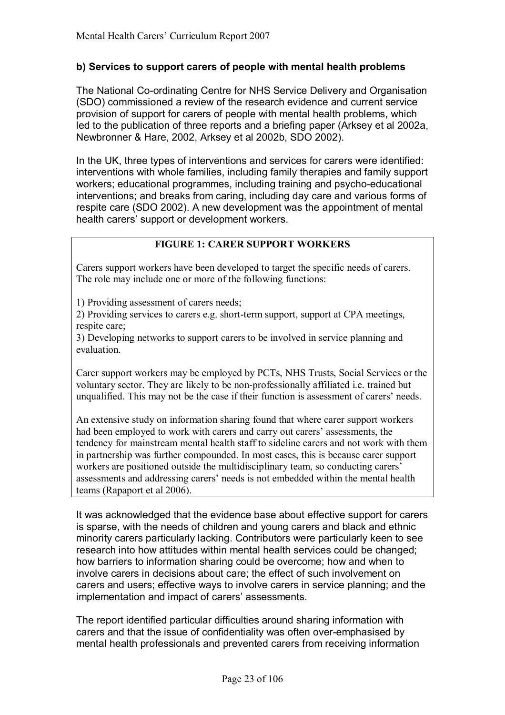## **b) Services to support carers of people with mental health problems**

The National Co-ordinating Centre for NHS Service Delivery and Organisation (SDO) commissioned a review of the research evidence and current service provision of support for carers of people with mental health problems, which led to the publication of three reports and a briefing paper (Arksey et al 2002a, Newbronner & Hare, 2002, Arksey et al 2002b, SDO 2002).

In the UK, three types of interventions and services for carers were identified: interventions with whole families, including family therapies and family support workers; educational programmes, including training and psycho-educational interventions; and breaks from caring, including day care and various forms of respite care (SDO 2002). A new development was the appointment of mental health carers' support or development workers.

## **FIGURE 1: CARER SUPPORT WORKERS**

Carers support workers have been developed to target the specific needs of carers. The role may include one or more of the following functions:

1) Providing assessment of carers needs;

2) Providing services to carers e.g. short-term support, support at CPA meetings, respite care;

3) Developing networks to support carers to be involved in service planning and evaluation.

Carer support workers may be employed by PCTs, NHS Trusts, Social Services or the voluntary sector. They are likely to be non-professionally affiliated i.e. trained but unqualified. This may not be the case if their function is assessment of carers' needs.

An extensive study on information sharing found that where carer support workers had been employed to work with carers and carry out carers' assessments, the tendency for mainstream mental health staff to sideline carers and not work with them in partnership was further compounded. In most cases, this is because carer support workers are positioned outside the multidisciplinary team, so conducting carers' assessments and addressing carers' needs is not embedded within the mental health teams (Rapaport et al 2006).

It was acknowledged that the evidence base about effective support for carers is sparse, with the needs of children and young carers and black and ethnic minority carers particularly lacking. Contributors were particularly keen to see research into how attitudes within mental health services could be changed; how barriers to information sharing could be overcome; how and when to involve carers in decisions about care; the effect of such involvement on carers and users; effective ways to involve carers in service planning; and the implementation and impact of carers' assessments.

The report identified particular difficulties around sharing information with carers and that the issue of confidentiality was often over-emphasised by mental health professionals and prevented carers from receiving information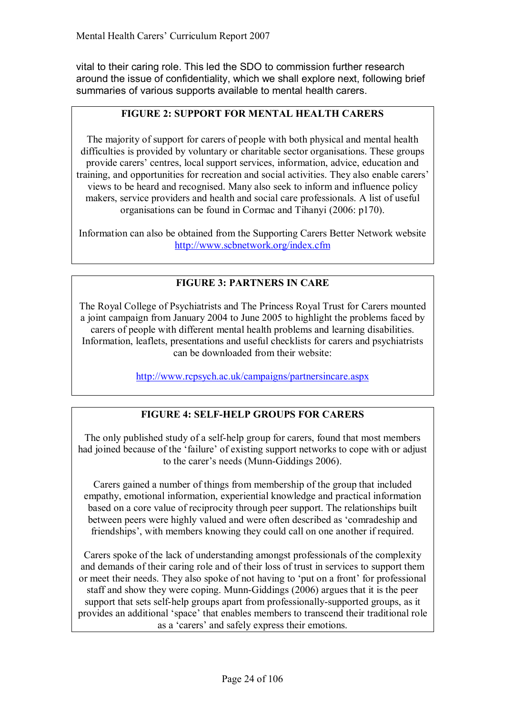vital to their caring role. This led the SDO to commission further research around the issue of confidentiality, which we shall explore next, following brief summaries of various supports available to mental health carers.

## **FIGURE 2: SUPPORT FOR MENTAL HEALTH CARERS**

The majority of support for carers of people with both physical and mental health difficulties is provided by voluntary or charitable sector organisations. These groups provide carers' centres, local support services, information, advice, education and training, and opportunities for recreation and social activities. They also enable carers' views to be heard and recognised. Many also seek to inform and influence policy makers, service providers and health and social care professionals. A list of useful organisations can be found in Cormac and Tihanyi (2006: p170).

Information can also be obtained from the Supporting Carers Better Network website http://www.scbnetwork.org/index.cfm

## **FIGURE 3: PARTNERS IN CARE**

The Royal College of Psychiatrists and The Princess Royal Trust for Carers mounted a joint campaign from January 2004 to June 2005 to highlight the problems faced by carers of people with different mental health problems and learning disabilities. Information, leaflets, presentations and useful checklists for carers and psychiatrists can be downloaded from their website:

http://www.rcpsych.ac.uk/campaigns/partnersincare.aspx

## **FIGURE 4: SELF-HELP GROUPS FOR CARERS**

The only published study of a self-help group for carers, found that most members had joined because of the 'failure' of existing support networks to cope with or adjust to the carer's needs (Munn-Giddings 2006).

Carers gained a number of things from membership of the group that included empathy, emotional information, experiential knowledge and practical information based on a core value of reciprocity through peer support. The relationships built between peers were highly valued and were often described as 'comradeship and friendships', with members knowing they could call on one another if required.

Carers spoke of the lack of understanding amongst professionals of the complexity and demands of their caring role and of their loss of trust in services to support them or meet their needs. They also spoke of not having to 'put on a front' for professional staff and show they were coping. Munn-Giddings (2006) argues that it is the peer support that sets self-help groups apart from professionally-supported groups, as it provides an additional 'space' that enables members to transcend their traditional role as a 'carers' and safely express their emotions.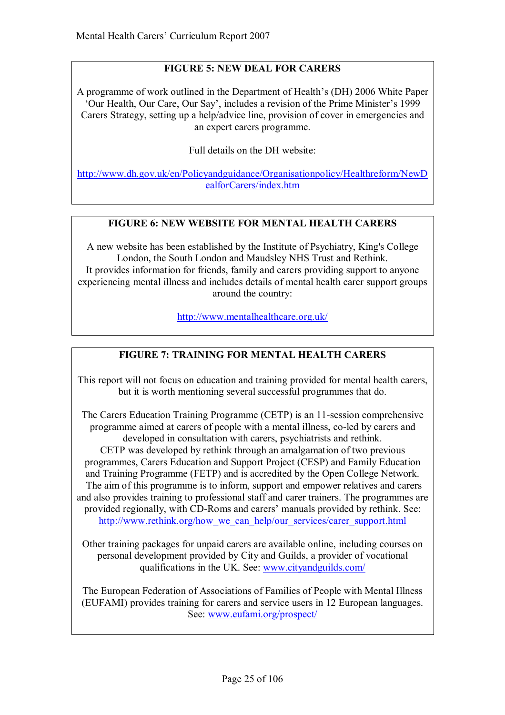## **FIGURE 5: NEW DEAL FOR CARERS**

A programme of work outlined in the Department of Health's (DH) 2006 White Paper ëOur Health, Our Care, Our Sayí, includes a revision of the Prime Ministerís 1999 Carers Strategy, setting up a help/advice line, provision of cover in emergencies and an expert carers programme.

Full details on the DH website:

http://www.dh.gov.uk/en/Policyandguidance/Organisationpolicy/Healthreform/NewD ealforCarers/index.htm

## **FIGURE 6: NEW WEBSITE FOR MENTAL HEALTH CARERS**

A new website has been established by the Institute of Psychiatry, King's College London, the South London and Maudsley NHS Trust and Rethink. It provides information for friends, family and carers providing support to anyone experiencing mental illness and includes details of mental health carer support groups around the country:

http://www.mentalhealthcare.org.uk/

## **FIGURE 7: TRAINING FOR MENTAL HEALTH CARERS**

This report will not focus on education and training provided for mental health carers, but it is worth mentioning several successful programmes that do.

The Carers Education Training Programme (CETP) is an 11-session comprehensive programme aimed at carers of people with a mental illness, co-led by carers and developed in consultation with carers, psychiatrists and rethink. CETP was developed by rethink through an amalgamation of two previous programmes, Carers Education and Support Project (CESP) and Family Education and Training Programme (FETP) and is accredited by the Open College Network. The aim of this programme is to inform, support and empower relatives and carers and also provides training to professional staff and carer trainers. The programmes are provided regionally, with CD-Roms and carers' manuals provided by rethink. See: http://www.rethink.org/how\_we\_can\_help/our\_services/carer\_support.html

Other training packages for unpaid carers are available online, including courses on personal development provided by City and Guilds, a provider of vocational qualifications in the UK. See: www.cityandguilds.com/

The European Federation of Associations of Families of People with Mental Illness (EUFAMI) provides training for carers and service users in 12 European languages. See: www.eufami.org/prospect/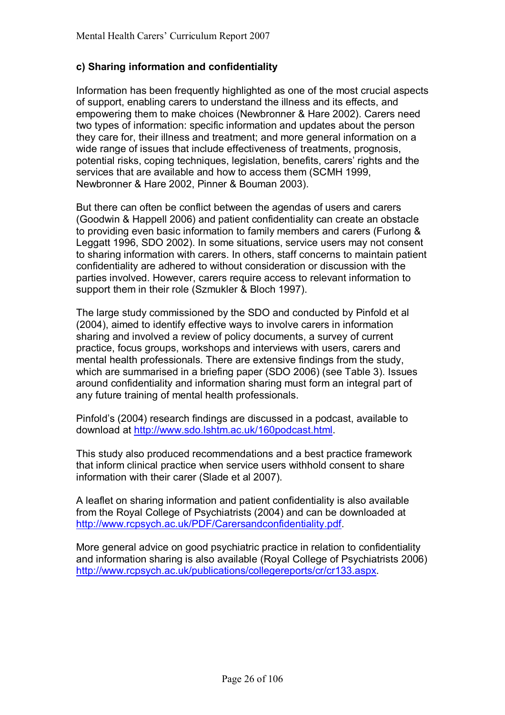## **c) Sharing information and confidentiality**

Information has been frequently highlighted as one of the most crucial aspects of support, enabling carers to understand the illness and its effects, and empowering them to make choices (Newbronner & Hare 2002). Carers need two types of information: specific information and updates about the person they care for, their illness and treatment; and more general information on a wide range of issues that include effectiveness of treatments, prognosis, potential risks, coping techniques, legislation, benefits, carers' rights and the services that are available and how to access them (SCMH 1999, Newbronner & Hare 2002, Pinner & Bouman 2003).

But there can often be conflict between the agendas of users and carers (Goodwin & Happell 2006) and patient confidentiality can create an obstacle to providing even basic information to family members and carers (Furlong & Leggatt 1996, SDO 2002). In some situations, service users may not consent to sharing information with carers. In others, staff concerns to maintain patient confidentiality are adhered to without consideration or discussion with the parties involved. However, carers require access to relevant information to support them in their role (Szmukler & Bloch 1997).

The large study commissioned by the SDO and conducted by Pinfold et al (2004), aimed to identify effective ways to involve carers in information sharing and involved a review of policy documents, a survey of current practice, focus groups, workshops and interviews with users, carers and mental health professionals. There are extensive findings from the study, which are summarised in a briefing paper (SDO 2006) (see Table 3). Issues around confidentiality and information sharing must form an integral part of any future training of mental health professionals.

Pinfoldís (2004) research findings are discussed in a podcast, available to download at http://www.sdo.lshtm.ac.uk/160podcast.html.

This study also produced recommendations and a best practice framework that inform clinical practice when service users withhold consent to share information with their carer (Slade et al 2007).

A leaflet on sharing information and patient confidentiality is also available from the Royal College of Psychiatrists (2004) and can be downloaded at http://www.rcpsych.ac.uk/PDF/Carersandconfidentiality.pdf.

More general advice on good psychiatric practice in relation to confidentiality and information sharing is also available (Royal College of Psychiatrists 2006) http://www.rcpsych.ac.uk/publications/collegereports/cr/cr133.aspx.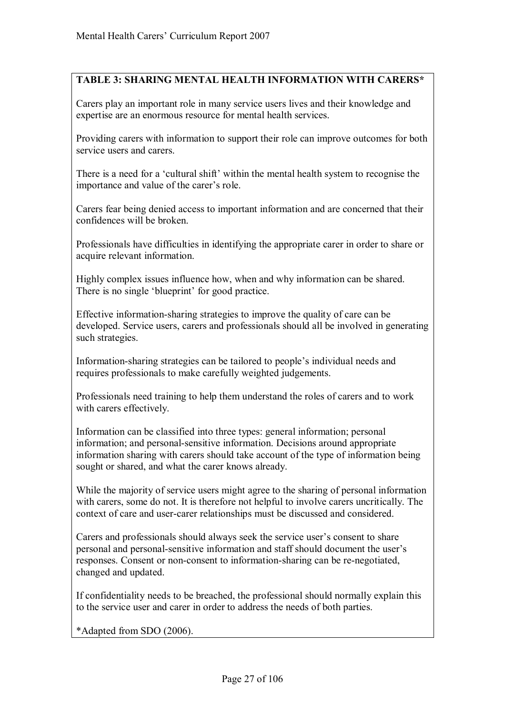## **TABLE 3: SHARING MENTAL HEALTH INFORMATION WITH CARERS\***

Carers play an important role in many service users lives and their knowledge and expertise are an enormous resource for mental health services.

Providing carers with information to support their role can improve outcomes for both service users and carers.

There is a need for a 'cultural shift' within the mental health system to recognise the importance and value of the carer's role.

Carers fear being denied access to important information and are concerned that their confidences will be broken.

Professionals have difficulties in identifying the appropriate carer in order to share or acquire relevant information.

Highly complex issues influence how, when and why information can be shared. There is no single 'blueprint' for good practice.

Effective information-sharing strategies to improve the quality of care can be developed. Service users, carers and professionals should all be involved in generating such strategies.

Information-sharing strategies can be tailored to people's individual needs and requires professionals to make carefully weighted judgements.

Professionals need training to help them understand the roles of carers and to work with carers effectively.

Information can be classified into three types: general information; personal information; and personal-sensitive information. Decisions around appropriate information sharing with carers should take account of the type of information being sought or shared, and what the carer knows already.

While the majority of service users might agree to the sharing of personal information with carers, some do not. It is therefore not helpful to involve carers uncritically. The context of care and user-carer relationships must be discussed and considered.

Carers and professionals should always seek the service user's consent to share personal and personal-sensitive information and staff should document the user's responses. Consent or non-consent to information-sharing can be re-negotiated, changed and updated.

If confidentiality needs to be breached, the professional should normally explain this to the service user and carer in order to address the needs of both parties.

\*Adapted from SDO (2006).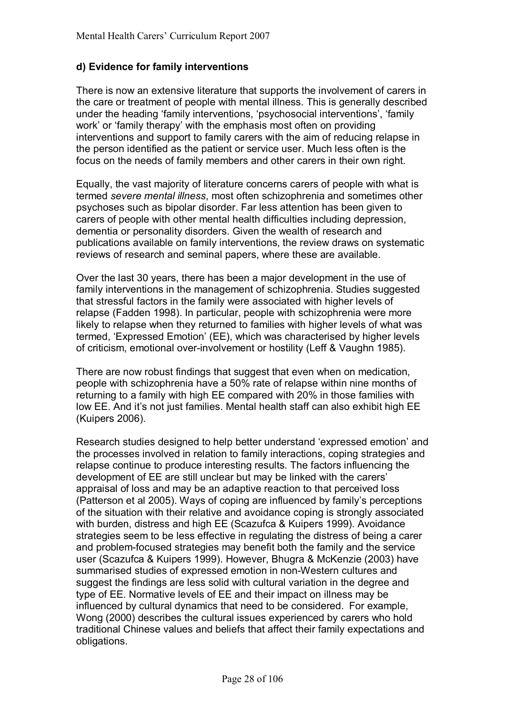## **d) Evidence for family interventions**

There is now an extensive literature that supports the involvement of carers in the care or treatment of people with mental illness. This is generally described under the heading 'family interventions, 'psychosocial interventions', 'family work' or 'family therapy' with the emphasis most often on providing interventions and support to family carers with the aim of reducing relapse in the person identified as the patient or service user. Much less often is the focus on the needs of family members and other carers in their own right.

Equally, the vast majority of literature concerns carers of people with what is termed *severe mental illness*, most often schizophrenia and sometimes other psychoses such as bipolar disorder. Far less attention has been given to carers of people with other mental health difficulties including depression, dementia or personality disorders. Given the wealth of research and publications available on family interventions, the review draws on systematic reviews of research and seminal papers, where these are available.

Over the last 30 years, there has been a major development in the use of family interventions in the management of schizophrenia. Studies suggested that stressful factors in the family were associated with higher levels of relapse (Fadden 1998). In particular, people with schizophrenia were more likely to relapse when they returned to families with higher levels of what was termed, 'Expressed Emotion' (EE), which was characterised by higher levels of criticism, emotional over-involvement or hostility (Leff & Vaughn 1985).

There are now robust findings that suggest that even when on medication, people with schizophrenia have a 50% rate of relapse within nine months of returning to a family with high EE compared with 20% in those families with low EE. And it's not just families. Mental health staff can also exhibit high EE (Kuipers 2006).

Research studies designed to help better understand 'expressed emotion' and the processes involved in relation to family interactions, coping strategies and relapse continue to produce interesting results. The factors influencing the development of EE are still unclear but may be linked with the carers' appraisal of loss and may be an adaptive reaction to that perceived loss (Patterson et al 2005). Ways of coping are influenced by family's perceptions of the situation with their relative and avoidance coping is strongly associated with burden, distress and high EE (Scazufca & Kuipers 1999). Avoidance strategies seem to be less effective in regulating the distress of being a carer and problem-focused strategies may benefit both the family and the service user (Scazufca & Kuipers 1999). However, Bhugra & McKenzie (2003) have summarised studies of expressed emotion in non-Western cultures and suggest the findings are less solid with cultural variation in the degree and type of EE. Normative levels of EE and their impact on illness may be influenced by cultural dynamics that need to be considered. For example, Wong (2000) describes the cultural issues experienced by carers who hold traditional Chinese values and beliefs that affect their family expectations and obligations.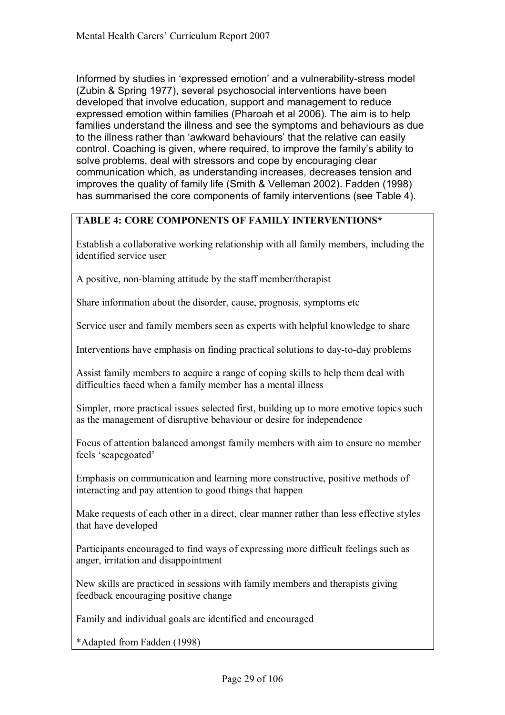Informed by studies in 'expressed emotion' and a vulnerability-stress model (Zubin & Spring 1977), several psychosocial interventions have been developed that involve education, support and management to reduce expressed emotion within families (Pharoah et al 2006). The aim is to help families understand the illness and see the symptoms and behaviours as due to the illness rather than 'awkward behaviours' that the relative can easily control. Coaching is given, where required, to improve the family's ability to solve problems, deal with stressors and cope by encouraging clear communication which, as understanding increases, decreases tension and improves the quality of family life (Smith & Velleman 2002). Fadden (1998) has summarised the core components of family interventions (see Table 4).

## **TABLE 4: CORE COMPONENTS OF FAMILY INTERVENTIONS\***

Establish a collaborative working relationship with all family members, including the identified service user

A positive, non-blaming attitude by the staff member/therapist

Share information about the disorder, cause, prognosis, symptoms etc

Service user and family members seen as experts with helpful knowledge to share

Interventions have emphasis on finding practical solutions to day-to-day problems

Assist family members to acquire a range of coping skills to help them deal with difficulties faced when a family member has a mental illness

Simpler, more practical issues selected first, building up to more emotive topics such as the management of disruptive behaviour or desire for independence

Focus of attention balanced amongst family members with aim to ensure no member feels 'scapegoated'

Emphasis on communication and learning more constructive, positive methods of interacting and pay attention to good things that happen

Make requests of each other in a direct, clear manner rather than less effective styles that have developed

Participants encouraged to find ways of expressing more difficult feelings such as anger, irritation and disappointment

New skills are practiced in sessions with family members and therapists giving feedback encouraging positive change

Family and individual goals are identified and encouraged

\*Adapted from Fadden (1998)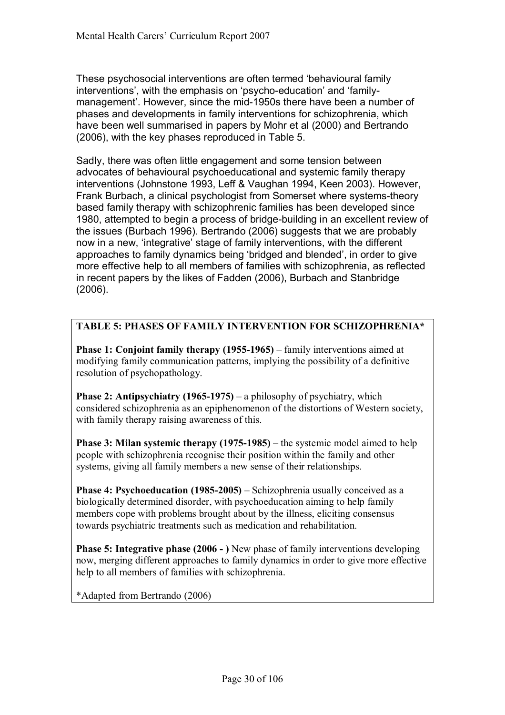These psychosocial interventions are often termed 'behavioural family interventions', with the emphasis on 'psycho-education' and 'familymanagementí. However, since the mid-1950s there have been a number of phases and developments in family interventions for schizophrenia, which have been well summarised in papers by Mohr et al (2000) and Bertrando (2006), with the key phases reproduced in Table 5.

Sadly, there was often little engagement and some tension between advocates of behavioural psychoeducational and systemic family therapy interventions (Johnstone 1993, Leff & Vaughan 1994, Keen 2003). However, Frank Burbach, a clinical psychologist from Somerset where systems-theory based family therapy with schizophrenic families has been developed since 1980, attempted to begin a process of bridge-building in an excellent review of the issues (Burbach 1996). Bertrando (2006) suggests that we are probably now in a new, 'integrative' stage of family interventions, with the different approaches to family dynamics being 'bridged and blended', in order to give more effective help to all members of families with schizophrenia, as reflected in recent papers by the likes of Fadden (2006), Burbach and Stanbridge (2006).

## **TABLE 5: PHASES OF FAMILY INTERVENTION FOR SCHIZOPHRENIA\***

**Phase 1: Conjoint family therapy (1955-1965)** – family interventions aimed at modifying family communication patterns, implying the possibility of a definitive resolution of psychopathology.

**Phase 2: Antipsychiatry (1965-1975)** – a philosophy of psychiatry, which considered schizophrenia as an epiphenomenon of the distortions of Western society, with family therapy raising awareness of this.

**Phase 3: Milan systemic therapy**  $(1975-1985)$  **– the systemic model aimed to help** people with schizophrenia recognise their position within the family and other systems, giving all family members a new sense of their relationships.

**Phase 4: Psychoeducation (1985-2005)** – Schizophrenia usually conceived as a biologically determined disorder, with psychoeducation aiming to help family members cope with problems brought about by the illness, eliciting consensus towards psychiatric treatments such as medication and rehabilitation.

**Phase 5: Integrative phase (2006 - )** New phase of family interventions developing now, merging different approaches to family dynamics in order to give more effective help to all members of families with schizophrenia.

\*Adapted from Bertrando (2006)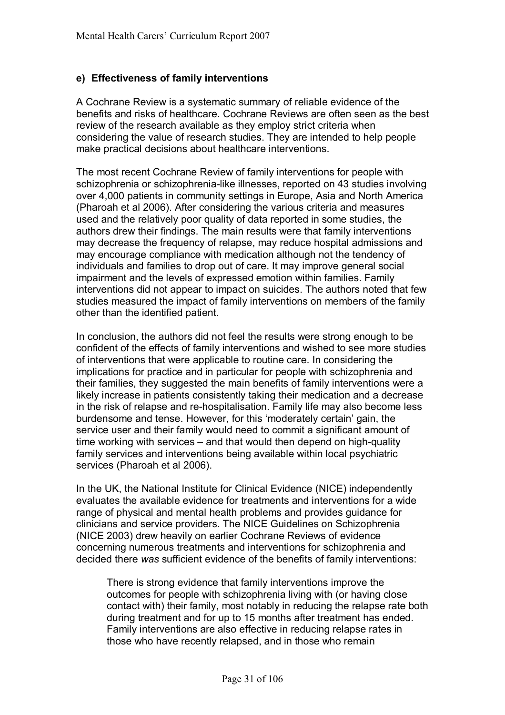## **e) Effectiveness of family interventions**

A Cochrane Review is a systematic summary of reliable evidence of the benefits and risks of healthcare. Cochrane Reviews are often seen as the best review of the research available as they employ strict criteria when considering the value of research studies. They are intended to help people make practical decisions about healthcare interventions.

The most recent Cochrane Review of family interventions for people with schizophrenia or schizophrenia-like illnesses, reported on 43 studies involving over 4,000 patients in community settings in Europe, Asia and North America (Pharoah et al 2006). After considering the various criteria and measures used and the relatively poor quality of data reported in some studies, the authors drew their findings. The main results were that family interventions may decrease the frequency of relapse, may reduce hospital admissions and may encourage compliance with medication although not the tendency of individuals and families to drop out of care. It may improve general social impairment and the levels of expressed emotion within families. Family interventions did not appear to impact on suicides. The authors noted that few studies measured the impact of family interventions on members of the family other than the identified patient.

In conclusion, the authors did not feel the results were strong enough to be confident of the effects of family interventions and wished to see more studies of interventions that were applicable to routine care. In considering the implications for practice and in particular for people with schizophrenia and their families, they suggested the main benefits of family interventions were a likely increase in patients consistently taking their medication and a decrease in the risk of relapse and re-hospitalisation. Family life may also become less burdensome and tense. However, for this 'moderately certain' gain, the service user and their family would need to commit a significant amount of time working with services  $-$  and that would then depend on high-quality family services and interventions being available within local psychiatric services (Pharoah et al 2006).

In the UK, the National Institute for Clinical Evidence (NICE) independently evaluates the available evidence for treatments and interventions for a wide range of physical and mental health problems and provides guidance for clinicians and service providers. The NICE Guidelines on Schizophrenia (NICE 2003) drew heavily on earlier Cochrane Reviews of evidence concerning numerous treatments and interventions for schizophrenia and decided there *was* sufficient evidence of the benefits of family interventions:

 There is strong evidence that family interventions improve the outcomes for people with schizophrenia living with (or having close contact with) their family, most notably in reducing the relapse rate both during treatment and for up to 15 months after treatment has ended. Family interventions are also effective in reducing relapse rates in those who have recently relapsed, and in those who remain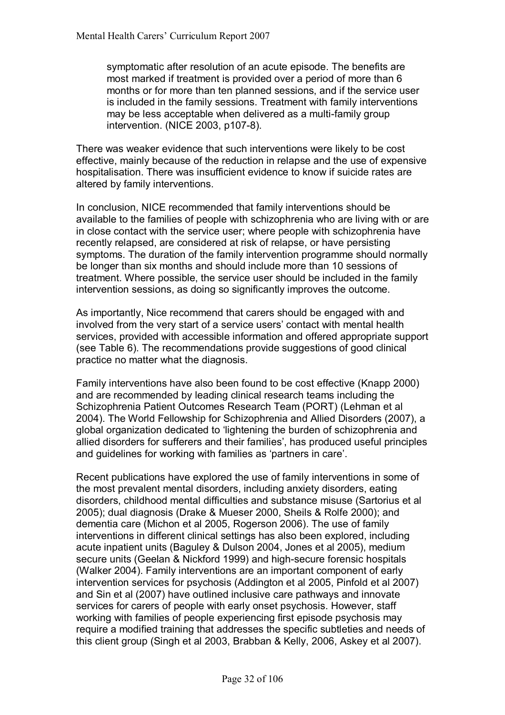symptomatic after resolution of an acute episode. The benefits are most marked if treatment is provided over a period of more than 6 months or for more than ten planned sessions, and if the service user is included in the family sessions. Treatment with family interventions may be less acceptable when delivered as a multi-family group intervention. (NICE 2003, p107-8).

There was weaker evidence that such interventions were likely to be cost effective, mainly because of the reduction in relapse and the use of expensive hospitalisation. There was insufficient evidence to know if suicide rates are altered by family interventions.

In conclusion, NICE recommended that family interventions should be available to the families of people with schizophrenia who are living with or are in close contact with the service user; where people with schizophrenia have recently relapsed, are considered at risk of relapse, or have persisting symptoms. The duration of the family intervention programme should normally be longer than six months and should include more than 10 sessions of treatment. Where possible, the service user should be included in the family intervention sessions, as doing so significantly improves the outcome.

As importantly, Nice recommend that carers should be engaged with and involved from the very start of a service users' contact with mental health services, provided with accessible information and offered appropriate support (see Table 6). The recommendations provide suggestions of good clinical practice no matter what the diagnosis.

Family interventions have also been found to be cost effective (Knapp 2000) and are recommended by leading clinical research teams including the Schizophrenia Patient Outcomes Research Team (PORT) (Lehman et al 2004). The World Fellowship for Schizophrenia and Allied Disorders (2007), a global organization dedicated to 'lightening the burden of schizophrenia and allied disorders for sufferers and their families', has produced useful principles and guidelines for working with families as 'partners in care'.

Recent publications have explored the use of family interventions in some of the most prevalent mental disorders, including anxiety disorders, eating disorders, childhood mental difficulties and substance misuse (Sartorius et al 2005); dual diagnosis (Drake & Mueser 2000, Sheils & Rolfe 2000); and dementia care (Michon et al 2005, Rogerson 2006). The use of family interventions in different clinical settings has also been explored, including acute inpatient units (Baguley & Dulson 2004, Jones et al 2005), medium secure units (Geelan & Nickford 1999) and high-secure forensic hospitals (Walker 2004). Family interventions are an important component of early intervention services for psychosis (Addington et al 2005, Pinfold et al 2007) and Sin et al (2007) have outlined inclusive care pathways and innovate services for carers of people with early onset psychosis. However, staff working with families of people experiencing first episode psychosis may require a modified training that addresses the specific subtleties and needs of this client group (Singh et al 2003, Brabban & Kelly, 2006, Askey et al 2007).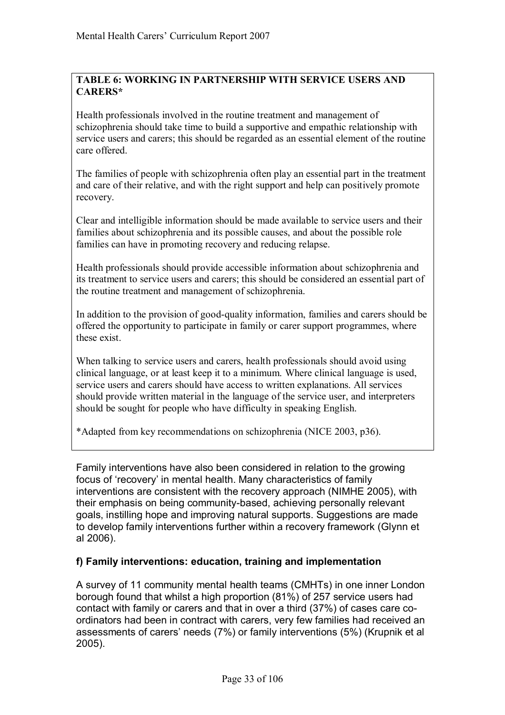## **TABLE 6: WORKING IN PARTNERSHIP WITH SERVICE USERS AND CARERS\***

Health professionals involved in the routine treatment and management of schizophrenia should take time to build a supportive and empathic relationship with service users and carers; this should be regarded as an essential element of the routine care offered.

The families of people with schizophrenia often play an essential part in the treatment and care of their relative, and with the right support and help can positively promote recovery.

Clear and intelligible information should be made available to service users and their families about schizophrenia and its possible causes, and about the possible role families can have in promoting recovery and reducing relapse.

Health professionals should provide accessible information about schizophrenia and its treatment to service users and carers; this should be considered an essential part of the routine treatment and management of schizophrenia.

In addition to the provision of good-quality information, families and carers should be offered the opportunity to participate in family or carer support programmes, where these exist.

When talking to service users and carers, health professionals should avoid using clinical language, or at least keep it to a minimum. Where clinical language is used, service users and carers should have access to written explanations. All services should provide written material in the language of the service user, and interpreters should be sought for people who have difficulty in speaking English.

\*Adapted from key recommendations on schizophrenia (NICE 2003, p36).

Family interventions have also been considered in relation to the growing focus of 'recovery' in mental health. Many characteristics of family interventions are consistent with the recovery approach (NIMHE 2005), with their emphasis on being community-based, achieving personally relevant goals, instilling hope and improving natural supports. Suggestions are made to develop family interventions further within a recovery framework (Glynn et al 2006).

## **f) Family interventions: education, training and implementation**

A survey of 11 community mental health teams (CMHTs) in one inner London borough found that whilst a high proportion (81%) of 257 service users had contact with family or carers and that in over a third (37%) of cases care coordinators had been in contract with carers, very few families had received an assessments of carers' needs (7%) or family interventions (5%) (Krupnik et al 2005).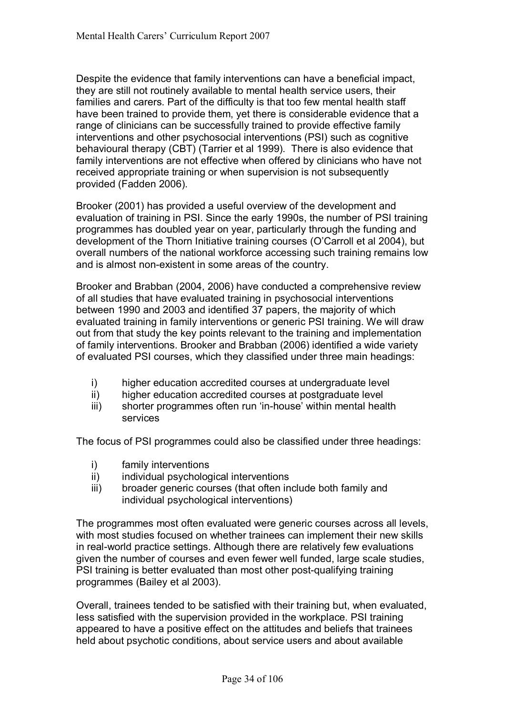Despite the evidence that family interventions can have a beneficial impact, they are still not routinely available to mental health service users, their families and carers. Part of the difficulty is that too few mental health staff have been trained to provide them, yet there is considerable evidence that a range of clinicians can be successfully trained to provide effective family interventions and other psychosocial interventions (PSI) such as cognitive behavioural therapy (CBT) (Tarrier et al 1999). There is also evidence that family interventions are not effective when offered by clinicians who have not received appropriate training or when supervision is not subsequently provided (Fadden 2006).

Brooker (2001) has provided a useful overview of the development and evaluation of training in PSI. Since the early 1990s, the number of PSI training programmes has doubled year on year, particularly through the funding and development of the Thorn Initiative training courses (O'Carroll et al 2004), but overall numbers of the national workforce accessing such training remains low and is almost non-existent in some areas of the country.

Brooker and Brabban (2004, 2006) have conducted a comprehensive review of all studies that have evaluated training in psychosocial interventions between 1990 and 2003 and identified 37 papers, the majority of which evaluated training in family interventions or generic PSI training. We will draw out from that study the key points relevant to the training and implementation of family interventions. Brooker and Brabban (2006) identified a wide variety of evaluated PSI courses, which they classified under three main headings:

- i) higher education accredited courses at undergraduate level
- ii) higher education accredited courses at postgraduate level
- iii) shorter programmes often run 'in-house' within mental health services

The focus of PSI programmes could also be classified under three headings:

- i) family interventions
- ii) individual psychological interventions
- iii) broader generic courses (that often include both family and individual psychological interventions)

The programmes most often evaluated were generic courses across all levels, with most studies focused on whether trainees can implement their new skills in real-world practice settings. Although there are relatively few evaluations given the number of courses and even fewer well funded, large scale studies, PSI training is better evaluated than most other post-qualifying training programmes (Bailey et al 2003).

Overall, trainees tended to be satisfied with their training but, when evaluated, less satisfied with the supervision provided in the workplace. PSI training appeared to have a positive effect on the attitudes and beliefs that trainees held about psychotic conditions, about service users and about available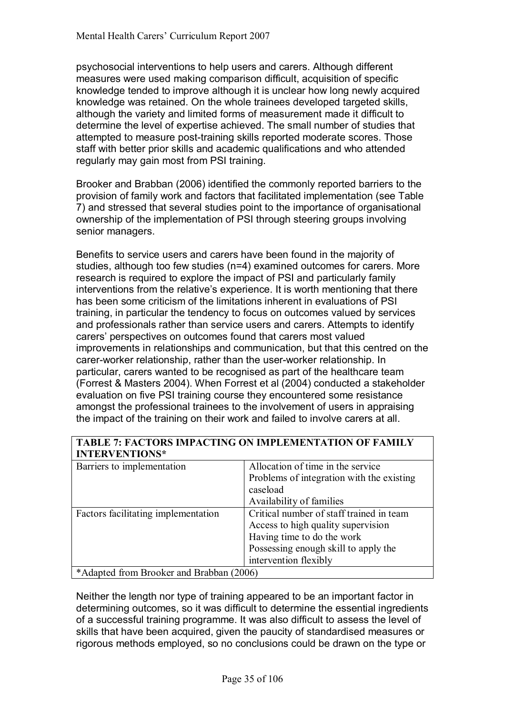psychosocial interventions to help users and carers. Although different measures were used making comparison difficult, acquisition of specific knowledge tended to improve although it is unclear how long newly acquired knowledge was retained. On the whole trainees developed targeted skills, although the variety and limited forms of measurement made it difficult to determine the level of expertise achieved. The small number of studies that attempted to measure post-training skills reported moderate scores. Those staff with better prior skills and academic qualifications and who attended regularly may gain most from PSI training.

Brooker and Brabban (2006) identified the commonly reported barriers to the provision of family work and factors that facilitated implementation (see Table 7) and stressed that several studies point to the importance of organisational ownership of the implementation of PSI through steering groups involving senior managers.

Benefits to service users and carers have been found in the majority of studies, although too few studies (n=4) examined outcomes for carers. More research is required to explore the impact of PSI and particularly family interventions from the relative's experience. It is worth mentioning that there has been some criticism of the limitations inherent in evaluations of PSI training, in particular the tendency to focus on outcomes valued by services and professionals rather than service users and carers. Attempts to identify carersí perspectives on outcomes found that carers most valued improvements in relationships and communication, but that this centred on the carer-worker relationship, rather than the user-worker relationship. In particular, carers wanted to be recognised as part of the healthcare team (Forrest & Masters 2004). When Forrest et al (2004) conducted a stakeholder evaluation on five PSI training course they encountered some resistance amongst the professional trainees to the involvement of users in appraising the impact of the training on their work and failed to involve carers at all.

## **TABLE 7: FACTORS IMPACTING ON IMPLEMENTATION OF FAMILY INTERVENTIONS\***

| Barriers to implementation               | Allocation of time in the service         |
|------------------------------------------|-------------------------------------------|
|                                          | Problems of integration with the existing |
|                                          | caseload                                  |
|                                          | Availability of families                  |
| Factors facilitating implementation      | Critical number of staff trained in team  |
|                                          | Access to high quality supervision        |
|                                          | Having time to do the work                |
|                                          | Possessing enough skill to apply the      |
|                                          | intervention flexibly                     |
| *Adapted from Brooker and Brabban (2006) |                                           |

Neither the length nor type of training appeared to be an important factor in determining outcomes, so it was difficult to determine the essential ingredients of a successful training programme. It was also difficult to assess the level of skills that have been acquired, given the paucity of standardised measures or rigorous methods employed, so no conclusions could be drawn on the type or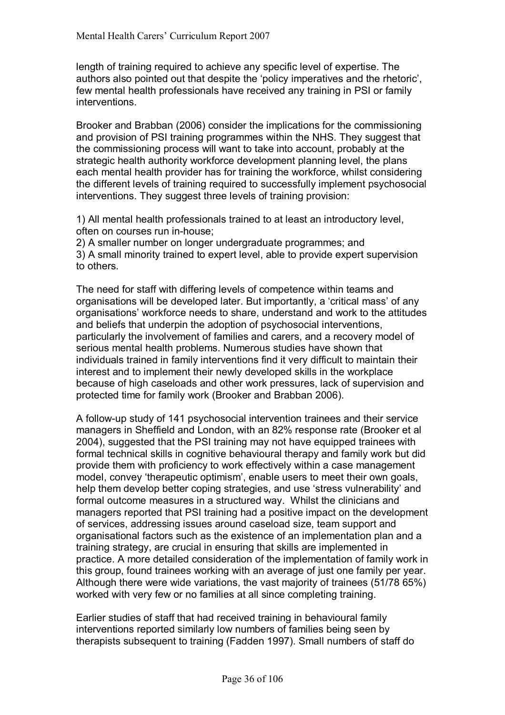length of training required to achieve any specific level of expertise. The authors also pointed out that despite the 'policy imperatives and the rhetoric', few mental health professionals have received any training in PSI or family interventions.

Brooker and Brabban (2006) consider the implications for the commissioning and provision of PSI training programmes within the NHS. They suggest that the commissioning process will want to take into account, probably at the strategic health authority workforce development planning level, the plans each mental health provider has for training the workforce, whilst considering the different levels of training required to successfully implement psychosocial interventions. They suggest three levels of training provision:

1) All mental health professionals trained to at least an introductory level, often on courses run in-house;

2) A smaller number on longer undergraduate programmes; and 3) A small minority trained to expert level, able to provide expert supervision to others.

The need for staff with differing levels of competence within teams and organisations will be developed later. But importantly, a 'critical mass' of any organisationsí workforce needs to share, understand and work to the attitudes and beliefs that underpin the adoption of psychosocial interventions, particularly the involvement of families and carers, and a recovery model of serious mental health problems. Numerous studies have shown that individuals trained in family interventions find it very difficult to maintain their interest and to implement their newly developed skills in the workplace because of high caseloads and other work pressures, lack of supervision and protected time for family work (Brooker and Brabban 2006).

A follow-up study of 141 psychosocial intervention trainees and their service managers in Sheffield and London, with an 82% response rate (Brooker et al 2004), suggested that the PSI training may not have equipped trainees with formal technical skills in cognitive behavioural therapy and family work but did provide them with proficiency to work effectively within a case management model, convey 'therapeutic optimism', enable users to meet their own goals, help them develop better coping strategies, and use 'stress vulnerability' and formal outcome measures in a structured way. Whilst the clinicians and managers reported that PSI training had a positive impact on the development of services, addressing issues around caseload size, team support and organisational factors such as the existence of an implementation plan and a training strategy, are crucial in ensuring that skills are implemented in practice. A more detailed consideration of the implementation of family work in this group, found trainees working with an average of just one family per year. Although there were wide variations, the vast majority of trainees (51/78 65%) worked with very few or no families at all since completing training.

Earlier studies of staff that had received training in behavioural family interventions reported similarly low numbers of families being seen by therapists subsequent to training (Fadden 1997). Small numbers of staff do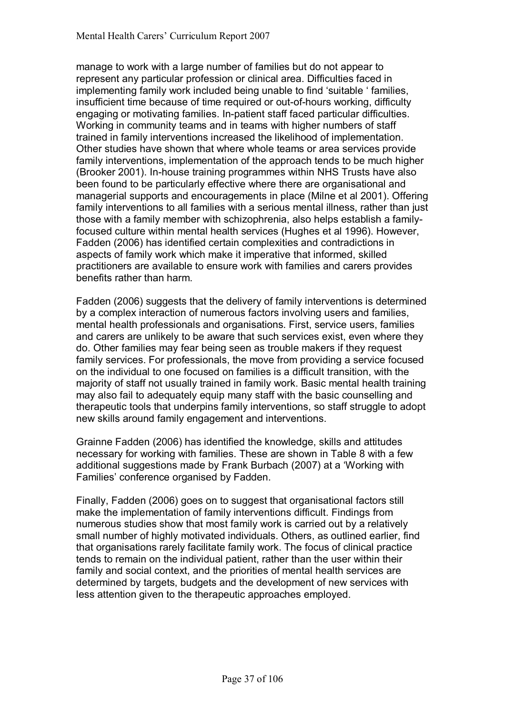manage to work with a large number of families but do not appear to represent any particular profession or clinical area. Difficulties faced in implementing family work included being unable to find 'suitable ' families, insufficient time because of time required or out-of-hours working, difficulty engaging or motivating families. In-patient staff faced particular difficulties. Working in community teams and in teams with higher numbers of staff trained in family interventions increased the likelihood of implementation. Other studies have shown that where whole teams or area services provide family interventions, implementation of the approach tends to be much higher (Brooker 2001). In-house training programmes within NHS Trusts have also been found to be particularly effective where there are organisational and managerial supports and encouragements in place (Milne et al 2001). Offering family interventions to all families with a serious mental illness, rather than just those with a family member with schizophrenia, also helps establish a familyfocused culture within mental health services (Hughes et al 1996). However, Fadden (2006) has identified certain complexities and contradictions in aspects of family work which make it imperative that informed, skilled practitioners are available to ensure work with families and carers provides benefits rather than harm.

Fadden (2006) suggests that the delivery of family interventions is determined by a complex interaction of numerous factors involving users and families, mental health professionals and organisations. First, service users, families and carers are unlikely to be aware that such services exist, even where they do. Other families may fear being seen as trouble makers if they request family services. For professionals, the move from providing a service focused on the individual to one focused on families is a difficult transition, with the majority of staff not usually trained in family work. Basic mental health training may also fail to adequately equip many staff with the basic counselling and therapeutic tools that underpins family interventions, so staff struggle to adopt new skills around family engagement and interventions.

Grainne Fadden (2006) has identified the knowledge, skills and attitudes necessary for working with families. These are shown in Table 8 with a few additional suggestions made by Frank Burbach (2007) at a 'Working with Families' conference organised by Fadden.

Finally, Fadden (2006) goes on to suggest that organisational factors still make the implementation of family interventions difficult. Findings from numerous studies show that most family work is carried out by a relatively small number of highly motivated individuals. Others, as outlined earlier, find that organisations rarely facilitate family work. The focus of clinical practice tends to remain on the individual patient, rather than the user within their family and social context, and the priorities of mental health services are determined by targets, budgets and the development of new services with less attention given to the therapeutic approaches employed.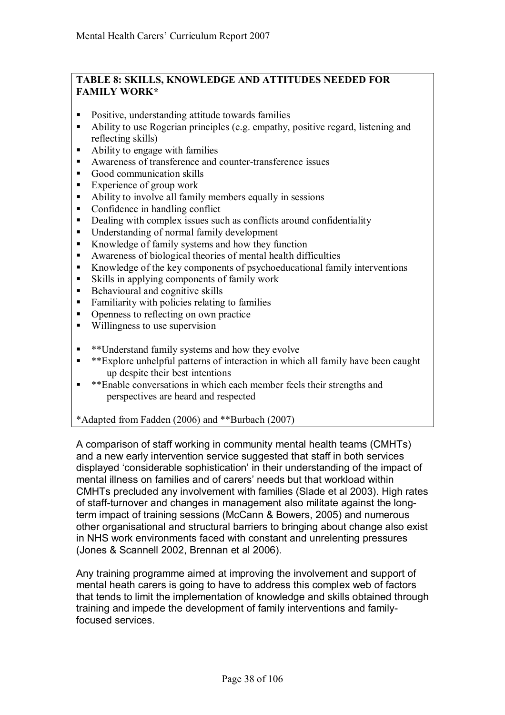#### **TABLE 8: SKILLS, KNOWLEDGE AND ATTITUDES NEEDED FOR FAMILY WORK\***

- ! Positive, understanding attitude towards families
- ! Ability to use Rogerian principles (e.g. empathy, positive regard, listening and reflecting skills)
- ! Ability to engage with families
- ! Awareness of transference and counter-transference issues
- Good communication skills
- Experience of group work
- ! Ability to involve all family members equally in sessions
- Confidence in handling conflict
- Dealing with complex issues such as conflicts around confidentiality
- ! Understanding of normal family development
- ! Knowledge of family systems and how they function
- ! Awareness of biological theories of mental health difficulties
- ! Knowledge of the key components of psychoeducational family interventions
- ! Skills in applying components of family work
- ! Behavioural and cognitive skills
- ! Familiarity with policies relating to families
- Openness to reflecting on own practice
- Willingness to use supervision
- ! \*\*Understand family systems and how they evolve
- ! \*\*Explore unhelpful patterns of interaction in which all family have been caught up despite their best intentions
- **EXEMBLE CONVERSATIONS** in which each member feels their strengths and perspectives are heard and respected

#### \*Adapted from Fadden (2006) and \*\*Burbach (2007)

A comparison of staff working in community mental health teams (CMHTs) and a new early intervention service suggested that staff in both services displayed 'considerable sophistication' in their understanding of the impact of mental illness on families and of carers' needs but that workload within CMHTs precluded any involvement with families (Slade et al 2003). High rates of staff-turnover and changes in management also militate against the longterm impact of training sessions (McCann & Bowers, 2005) and numerous other organisational and structural barriers to bringing about change also exist in NHS work environments faced with constant and unrelenting pressures (Jones & Scannell 2002, Brennan et al 2006).

Any training programme aimed at improving the involvement and support of mental heath carers is going to have to address this complex web of factors that tends to limit the implementation of knowledge and skills obtained through training and impede the development of family interventions and familyfocused services.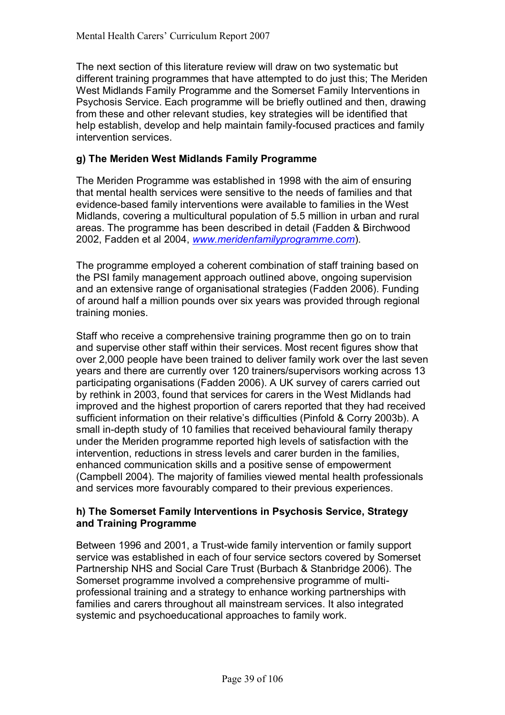The next section of this literature review will draw on two systematic but different training programmes that have attempted to do just this; The Meriden West Midlands Family Programme and the Somerset Family Interventions in Psychosis Service. Each programme will be briefly outlined and then, drawing from these and other relevant studies, key strategies will be identified that help establish, develop and help maintain family-focused practices and family intervention services.

# **g) The Meriden West Midlands Family Programme**

The Meriden Programme was established in 1998 with the aim of ensuring that mental health services were sensitive to the needs of families and that evidence-based family interventions were available to families in the West Midlands, covering a multicultural population of 5.5 million in urban and rural areas. The programme has been described in detail (Fadden & Birchwood 2002, Fadden et al 2004, *www.meridenfamilyprogramme.com*).

The programme employed a coherent combination of staff training based on the PSI family management approach outlined above, ongoing supervision and an extensive range of organisational strategies (Fadden 2006). Funding of around half a million pounds over six years was provided through regional training monies.

Staff who receive a comprehensive training programme then go on to train and supervise other staff within their services. Most recent figures show that over 2,000 people have been trained to deliver family work over the last seven years and there are currently over 120 trainers/supervisors working across 13 participating organisations (Fadden 2006). A UK survey of carers carried out by rethink in 2003, found that services for carers in the West Midlands had improved and the highest proportion of carers reported that they had received sufficient information on their relative's difficulties (Pinfold & Corry 2003b). A small in-depth study of 10 families that received behavioural family therapy under the Meriden programme reported high levels of satisfaction with the intervention, reductions in stress levels and carer burden in the families, enhanced communication skills and a positive sense of empowerment (Campbell 2004). The majority of families viewed mental health professionals and services more favourably compared to their previous experiences.

### **h) The Somerset Family Interventions in Psychosis Service, Strategy and Training Programme**

Between 1996 and 2001, a Trust-wide family intervention or family support service was established in each of four service sectors covered by Somerset Partnership NHS and Social Care Trust (Burbach & Stanbridge 2006). The Somerset programme involved a comprehensive programme of multiprofessional training and a strategy to enhance working partnerships with families and carers throughout all mainstream services. It also integrated systemic and psychoeducational approaches to family work.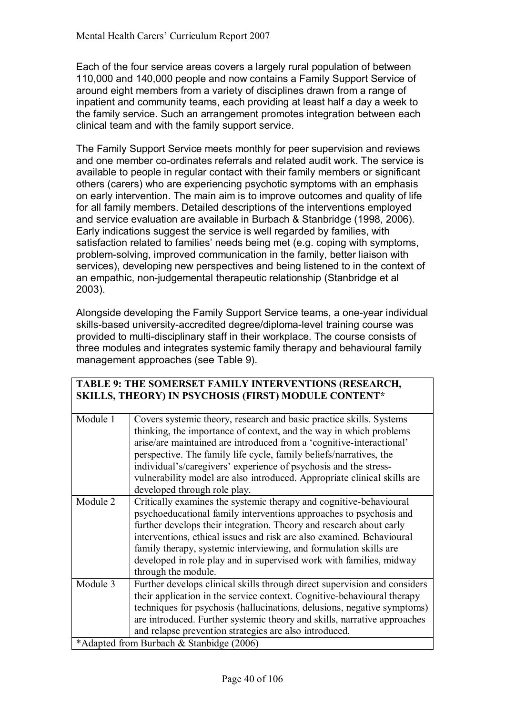Each of the four service areas covers a largely rural population of between 110,000 and 140,000 people and now contains a Family Support Service of around eight members from a variety of disciplines drawn from a range of inpatient and community teams, each providing at least half a day a week to the family service. Such an arrangement promotes integration between each clinical team and with the family support service.

The Family Support Service meets monthly for peer supervision and reviews and one member co-ordinates referrals and related audit work. The service is available to people in regular contact with their family members or significant others (carers) who are experiencing psychotic symptoms with an emphasis on early intervention. The main aim is to improve outcomes and quality of life for all family members. Detailed descriptions of the interventions employed and service evaluation are available in Burbach & Stanbridge (1998, 2006). Early indications suggest the service is well regarded by families, with satisfaction related to families' needs being met (e.g. coping with symptoms, problem-solving, improved communication in the family, better liaison with services), developing new perspectives and being listened to in the context of an empathic, non-judgemental therapeutic relationship (Stanbridge et al 2003).

Alongside developing the Family Support Service teams, a one-year individual skills-based university-accredited degree/diploma-level training course was provided to multi-disciplinary staff in their workplace. The course consists of three modules and integrates systemic family therapy and behavioural family management approaches (see Table 9).

**TABLE 9: THE SOMERSET FAMILY INTERVENTIONS (RESEARCH,** 

|          | <b>SKILLS, THEORY) IN PSYCHOSIS (FIRST) MODULE CONTENT*</b>               |  |
|----------|---------------------------------------------------------------------------|--|
| Module 1 | Covers systemic theory, research and basic practice skills. Systems       |  |
|          | thinking, the importance of context, and the way in which problems        |  |
|          | arise/are maintained are introduced from a 'cognitive-interactional'      |  |
|          | perspective. The family life cycle, family beliefs/narratives, the        |  |
|          | individual's/caregivers' experience of psychosis and the stress-          |  |
|          | vulnerability model are also introduced. Appropriate clinical skills are  |  |
|          | developed through role play.                                              |  |
| Module 2 | Critically examines the systemic therapy and cognitive-behavioural        |  |
|          | psychoeducational family interventions approaches to psychosis and        |  |
|          | further develops their integration. Theory and research about early       |  |
|          | interventions, ethical issues and risk are also examined. Behavioural     |  |
|          | family therapy, systemic interviewing, and formulation skills are         |  |
|          | developed in role play and in supervised work with families, midway       |  |
|          | through the module.                                                       |  |
| Module 3 | Further develops clinical skills through direct supervision and considers |  |
|          | their application in the service context. Cognitive-behavioural therapy   |  |
|          | techniques for psychosis (hallucinations, delusions, negative symptoms)   |  |
|          | are introduced. Further systemic theory and skills, narrative approaches  |  |
|          | and relapse prevention strategies are also introduced.                    |  |
|          | *Adapted from Burbach & Stanbidge (2006)                                  |  |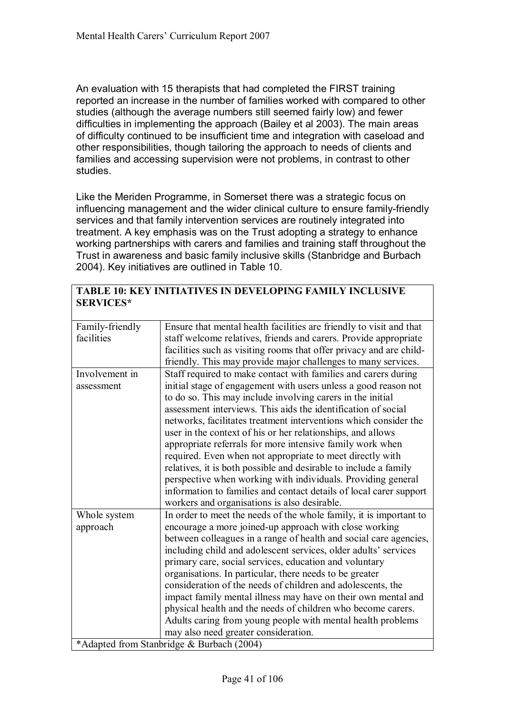An evaluation with 15 therapists that had completed the FIRST training reported an increase in the number of families worked with compared to other studies (although the average numbers still seemed fairly low) and fewer difficulties in implementing the approach (Bailey et al 2003). The main areas of difficulty continued to be insufficient time and integration with caseload and other responsibilities, though tailoring the approach to needs of clients and families and accessing supervision were not problems, in contrast to other studies.

Like the Meriden Programme, in Somerset there was a strategic focus on influencing management and the wider clinical culture to ensure family-friendly services and that family intervention services are routinely integrated into treatment. A key emphasis was on the Trust adopting a strategy to enhance working partnerships with carers and families and training staff throughout the Trust in awareness and basic family inclusive skills (Stanbridge and Burbach 2004). Key initiatives are outlined in Table 10.

#### **TABLE 10: KEY INITIATIVES IN DEVELOPING FAMILY INCLUSIVE SERVICES\***

| Family-friendly | Ensure that mental health facilities are friendly to visit and that |
|-----------------|---------------------------------------------------------------------|
| facilities      | staff welcome relatives, friends and carers. Provide appropriate    |
|                 | facilities such as visiting rooms that offer privacy and are child- |
|                 | friendly. This may provide major challenges to many services.       |
| Involvement in  | Staff required to make contact with families and carers during      |
| assessment      | initial stage of engagement with users unless a good reason not     |
|                 | to do so. This may include involving carers in the initial          |
|                 | assessment interviews. This aids the identification of social       |
|                 | networks, facilitates treatment interventions which consider the    |
|                 | user in the context of his or her relationships, and allows         |
|                 | appropriate referrals for more intensive family work when           |
|                 | required. Even when not appropriate to meet directly with           |
|                 | relatives, it is both possible and desirable to include a family    |
|                 | perspective when working with individuals. Providing general        |
|                 | information to families and contact details of local carer support  |
|                 | workers and organisations is also desirable.                        |
| Whole system    | In order to meet the needs of the whole family, it is important to  |
| approach        | encourage a more joined-up approach with close working              |
|                 | between colleagues in a range of health and social care agencies,   |
|                 | including child and adolescent services, older adults' services     |
|                 | primary care, social services, education and voluntary              |
|                 | organisations. In particular, there needs to be greater             |
|                 | consideration of the needs of children and adolescents, the         |
|                 | impact family mental illness may have on their own mental and       |
|                 | physical health and the needs of children who become carers.        |
|                 | Adults caring from young people with mental health problems         |
|                 | may also need greater consideration.                                |
|                 | *Adapted from Stanbridge & Burbach (2004)                           |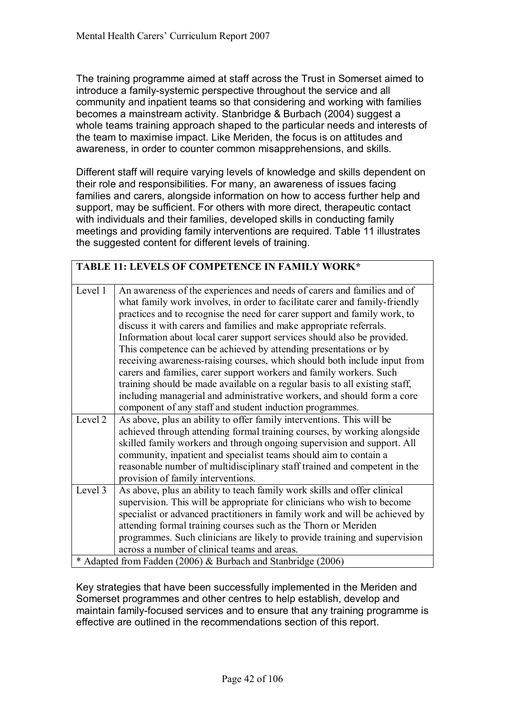The training programme aimed at staff across the Trust in Somerset aimed to introduce a family-systemic perspective throughout the service and all community and inpatient teams so that considering and working with families becomes a mainstream activity. Stanbridge & Burbach (2004) suggest a whole teams training approach shaped to the particular needs and interests of the team to maximise impact. Like Meriden, the focus is on attitudes and awareness, in order to counter common misapprehensions, and skills.

Different staff will require varying levels of knowledge and skills dependent on their role and responsibilities. For many, an awareness of issues facing families and carers, alongside information on how to access further help and support, may be sufficient. For others with more direct, therapeutic contact with individuals and their families, developed skills in conducting family meetings and providing family interventions are required. Table 11 illustrates the suggested content for different levels of training.

|         | TABLE 11: LEVELS OF COMPETENCE IN FAMILY WORK*                                                                                                                                                                                                                                                                                                                                                                                                                                                                                                                                                                                                                                                                                                                                                                                      |
|---------|-------------------------------------------------------------------------------------------------------------------------------------------------------------------------------------------------------------------------------------------------------------------------------------------------------------------------------------------------------------------------------------------------------------------------------------------------------------------------------------------------------------------------------------------------------------------------------------------------------------------------------------------------------------------------------------------------------------------------------------------------------------------------------------------------------------------------------------|
| Level 1 | An awareness of the experiences and needs of carers and families and of<br>what family work involves, in order to facilitate carer and family-friendly<br>practices and to recognise the need for carer support and family work, to<br>discuss it with carers and families and make appropriate referrals.<br>Information about local carer support services should also be provided.<br>This competence can be achieved by attending presentations or by<br>receiving awareness-raising courses, which should both include input from<br>carers and families, carer support workers and family workers. Such<br>training should be made available on a regular basis to all existing staff,<br>including managerial and administrative workers, and should form a core<br>component of any staff and student induction programmes. |
| Level 2 | As above, plus an ability to offer family interventions. This will be<br>achieved through attending formal training courses, by working alongside<br>skilled family workers and through ongoing supervision and support. All<br>community, inpatient and specialist teams should aim to contain a<br>reasonable number of multidisciplinary staff trained and competent in the<br>provision of family interventions.                                                                                                                                                                                                                                                                                                                                                                                                                |
| Level 3 | As above, plus an ability to teach family work skills and offer clinical<br>supervision. This will be appropriate for clinicians who wish to become<br>specialist or advanced practitioners in family work and will be achieved by<br>attending formal training courses such as the Thorn or Meriden<br>programmes. Such clinicians are likely to provide training and supervision<br>across a number of clinical teams and areas.<br>* Adapted from Fadden (2006) & Burbach and Stanbridge (2006)                                                                                                                                                                                                                                                                                                                                  |

Key strategies that have been successfully implemented in the Meriden and Somerset programmes and other centres to help establish, develop and maintain family-focused services and to ensure that any training programme is effective are outlined in the recommendations section of this report.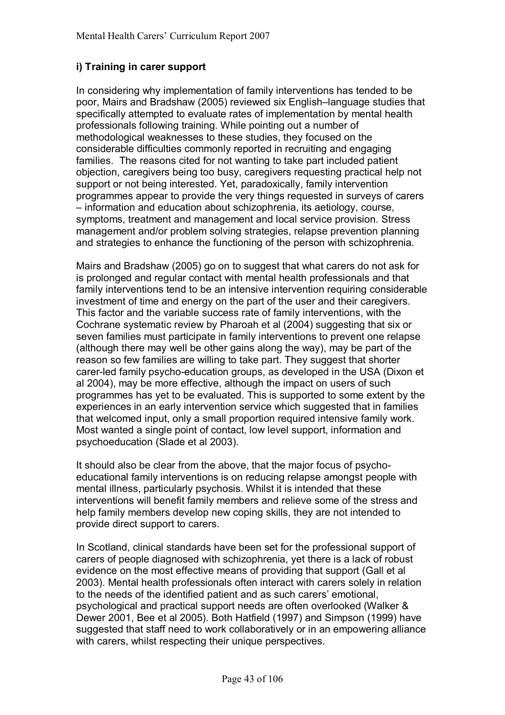# **i) Training in carer support**

In considering why implementation of family interventions has tended to be poor, Mairs and Bradshaw (2005) reviewed six English–language studies that specifically attempted to evaluate rates of implementation by mental health professionals following training. While pointing out a number of methodological weaknesses to these studies, they focused on the considerable difficulties commonly reported in recruiting and engaging families. The reasons cited for not wanting to take part included patient objection, caregivers being too busy, caregivers requesting practical help not support or not being interested. Yet, paradoxically, family intervention programmes appear to provide the very things requested in surveys of carers  $-$  information and education about schizophrenia, its aetiology, course, symptoms, treatment and management and local service provision. Stress management and/or problem solving strategies, relapse prevention planning and strategies to enhance the functioning of the person with schizophrenia.

Mairs and Bradshaw (2005) go on to suggest that what carers do not ask for is prolonged and regular contact with mental health professionals and that family interventions tend to be an intensive intervention requiring considerable investment of time and energy on the part of the user and their caregivers. This factor and the variable success rate of family interventions, with the Cochrane systematic review by Pharoah et al (2004) suggesting that six or seven families must participate in family interventions to prevent one relapse (although there may well be other gains along the way), may be part of the reason so few families are willing to take part. They suggest that shorter carer-led family psycho-education groups, as developed in the USA (Dixon et al 2004), may be more effective, although the impact on users of such programmes has yet to be evaluated. This is supported to some extent by the experiences in an early intervention service which suggested that in families that welcomed input, only a small proportion required intensive family work. Most wanted a single point of contact, low level support, information and psychoeducation (Slade et al 2003).

It should also be clear from the above, that the major focus of psychoeducational family interventions is on reducing relapse amongst people with mental illness, particularly psychosis. Whilst it is intended that these interventions will benefit family members and relieve some of the stress and help family members develop new coping skills, they are not intended to provide direct support to carers.

In Scotland, clinical standards have been set for the professional support of carers of people diagnosed with schizophrenia, yet there is a lack of robust evidence on the most effective means of providing that support (Gall et al 2003). Mental health professionals often interact with carers solely in relation to the needs of the identified patient and as such carers' emotional, psychological and practical support needs are often overlooked (Walker & Dewer 2001, Bee et al 2005). Both Hatfield (1997) and Simpson (1999) have suggested that staff need to work collaboratively or in an empowering alliance with carers, whilst respecting their unique perspectives.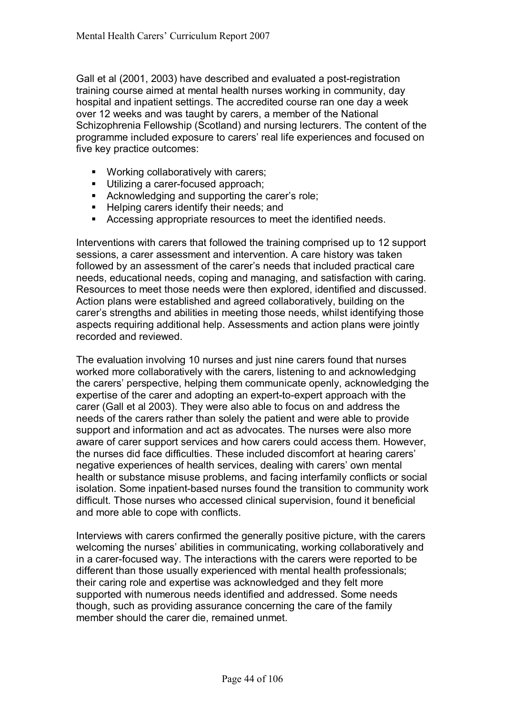Gall et al (2001, 2003) have described and evaluated a post-registration training course aimed at mental health nurses working in community, day hospital and inpatient settings. The accredited course ran one day a week over 12 weeks and was taught by carers, a member of the National Schizophrenia Fellowship (Scotland) and nursing lecturers. The content of the programme included exposure to carers' real life experiences and focused on five key practice outcomes:

- ! Working collaboratively with carers;
- **Utilizing a carer-focused approach;**
- **EXECUTE:** Acknowledging and supporting the carer's role;
- **EXE** Helping carers identify their needs; and
- ! Accessing appropriate resources to meet the identified needs.

Interventions with carers that followed the training comprised up to 12 support sessions, a carer assessment and intervention. A care history was taken followed by an assessment of the carer's needs that included practical care needs, educational needs, coping and managing, and satisfaction with caring. Resources to meet those needs were then explored, identified and discussed. Action plans were established and agreed collaboratively, building on the carerís strengths and abilities in meeting those needs, whilst identifying those aspects requiring additional help. Assessments and action plans were jointly recorded and reviewed.

The evaluation involving 10 nurses and just nine carers found that nurses worked more collaboratively with the carers, listening to and acknowledging the carersí perspective, helping them communicate openly, acknowledging the expertise of the carer and adopting an expert-to-expert approach with the carer (Gall et al 2003). They were also able to focus on and address the needs of the carers rather than solely the patient and were able to provide support and information and act as advocates. The nurses were also more aware of carer support services and how carers could access them. However, the nurses did face difficulties. These included discomfort at hearing carers' negative experiences of health services, dealing with carers' own mental health or substance misuse problems, and facing interfamily conflicts or social isolation. Some inpatient-based nurses found the transition to community work difficult. Those nurses who accessed clinical supervision, found it beneficial and more able to cope with conflicts.

Interviews with carers confirmed the generally positive picture, with the carers welcoming the nurses' abilities in communicating, working collaboratively and in a carer-focused way. The interactions with the carers were reported to be different than those usually experienced with mental health professionals; their caring role and expertise was acknowledged and they felt more supported with numerous needs identified and addressed. Some needs though, such as providing assurance concerning the care of the family member should the carer die, remained unmet.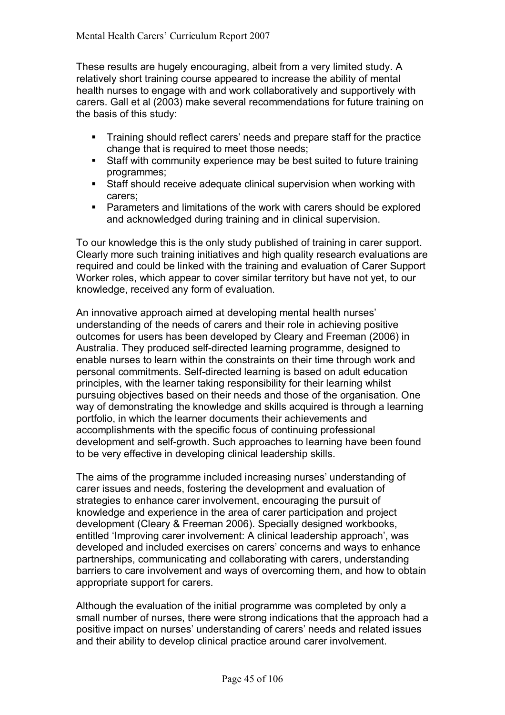These results are hugely encouraging, albeit from a very limited study. A relatively short training course appeared to increase the ability of mental health nurses to engage with and work collaboratively and supportively with carers. Gall et al (2003) make several recommendations for future training on the basis of this study:

- ! Training should reflect carersí needs and prepare staff for the practice change that is required to meet those needs;
- ! Staff with community experience may be best suited to future training programmes;
- ! Staff should receive adequate clinical supervision when working with carers;
- ! Parameters and limitations of the work with carers should be explored and acknowledged during training and in clinical supervision.

To our knowledge this is the only study published of training in carer support. Clearly more such training initiatives and high quality research evaluations are required and could be linked with the training and evaluation of Carer Support Worker roles, which appear to cover similar territory but have not yet, to our knowledge, received any form of evaluation.

An innovative approach aimed at developing mental health nurses' understanding of the needs of carers and their role in achieving positive outcomes for users has been developed by Cleary and Freeman (2006) in Australia. They produced self-directed learning programme, designed to enable nurses to learn within the constraints on their time through work and personal commitments. Self-directed learning is based on adult education principles, with the learner taking responsibility for their learning whilst pursuing objectives based on their needs and those of the organisation. One way of demonstrating the knowledge and skills acquired is through a learning portfolio, in which the learner documents their achievements and accomplishments with the specific focus of continuing professional development and self-growth. Such approaches to learning have been found to be very effective in developing clinical leadership skills.

The aims of the programme included increasing nurses' understanding of carer issues and needs, fostering the development and evaluation of strategies to enhance carer involvement, encouraging the pursuit of knowledge and experience in the area of carer participation and project development (Cleary & Freeman 2006). Specially designed workbooks, entitled 'Improving carer involvement: A clinical leadership approach', was developed and included exercises on carers' concerns and ways to enhance partnerships, communicating and collaborating with carers, understanding barriers to care involvement and ways of overcoming them, and how to obtain appropriate support for carers.

Although the evaluation of the initial programme was completed by only a small number of nurses, there were strong indications that the approach had a positive impact on nurses' understanding of carers' needs and related issues and their ability to develop clinical practice around carer involvement.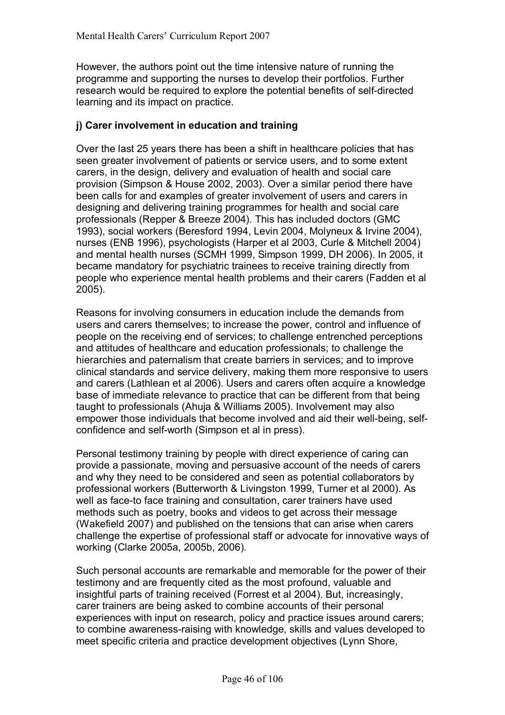However, the authors point out the time intensive nature of running the programme and supporting the nurses to develop their portfolios. Further research would be required to explore the potential benefits of self-directed learning and its impact on practice.

## **j) Carer involvement in education and training**

Over the last 25 years there has been a shift in healthcare policies that has seen greater involvement of patients or service users, and to some extent carers, in the design, delivery and evaluation of health and social care provision (Simpson & House 2002, 2003). Over a similar period there have been calls for and examples of greater involvement of users and carers in designing and delivering training programmes for health and social care professionals (Repper & Breeze 2004). This has included doctors (GMC 1993), social workers (Beresford 1994, Levin 2004, Molyneux & Irvine 2004), nurses (ENB 1996), psychologists (Harper et al 2003, Curle & Mitchell 2004) and mental health nurses (SCMH 1999, Simpson 1999, DH 2006). In 2005, it became mandatory for psychiatric trainees to receive training directly from people who experience mental health problems and their carers (Fadden et al 2005).

Reasons for involving consumers in education include the demands from users and carers themselves; to increase the power, control and influence of people on the receiving end of services; to challenge entrenched perceptions and attitudes of healthcare and education professionals; to challenge the hierarchies and paternalism that create barriers in services; and to improve clinical standards and service delivery, making them more responsive to users and carers (Lathlean et al 2006). Users and carers often acquire a knowledge base of immediate relevance to practice that can be different from that being taught to professionals (Ahuja & Williams 2005). Involvement may also empower those individuals that become involved and aid their well-being, selfconfidence and self-worth (Simpson et al in press).

Personal testimony training by people with direct experience of caring can provide a passionate, moving and persuasive account of the needs of carers and why they need to be considered and seen as potential collaborators by professional workers (Butterworth & Livingston 1999, Turner et al 2000). As well as face-to face training and consultation, carer trainers have used methods such as poetry, books and videos to get across their message (Wakefield 2007) and published on the tensions that can arise when carers challenge the expertise of professional staff or advocate for innovative ways of working (Clarke 2005a, 2005b, 2006).

Such personal accounts are remarkable and memorable for the power of their testimony and are frequently cited as the most profound, valuable and insightful parts of training received (Forrest et al 2004). But, increasingly, carer trainers are being asked to combine accounts of their personal experiences with input on research, policy and practice issues around carers; to combine awareness-raising with knowledge, skills and values developed to meet specific criteria and practice development objectives (Lynn Shore,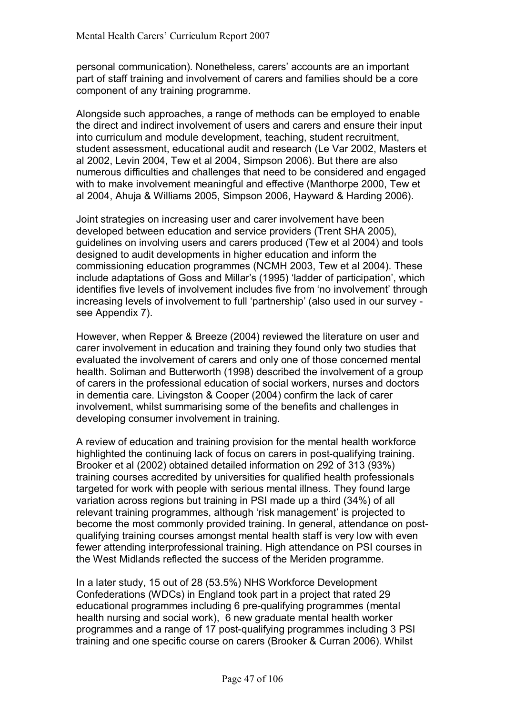personal communication). Nonetheless, carersí accounts are an important part of staff training and involvement of carers and families should be a core component of any training programme.

Alongside such approaches, a range of methods can be employed to enable the direct and indirect involvement of users and carers and ensure their input into curriculum and module development, teaching, student recruitment, student assessment, educational audit and research (Le Var 2002, Masters et al 2002, Levin 2004, Tew et al 2004, Simpson 2006). But there are also numerous difficulties and challenges that need to be considered and engaged with to make involvement meaningful and effective (Manthorpe 2000, Tew et al 2004, Ahuja & Williams 2005, Simpson 2006, Hayward & Harding 2006).

Joint strategies on increasing user and carer involvement have been developed between education and service providers (Trent SHA 2005), guidelines on involving users and carers produced (Tew et al 2004) and tools designed to audit developments in higher education and inform the commissioning education programmes (NCMH 2003, Tew et al 2004). These include adaptations of Goss and Millar's (1995) 'ladder of participation', which identifies five levels of involvement includes five from 'no involvement' through increasing levels of involvement to full 'partnership' (also used in our survey see Appendix 7).

However, when Repper & Breeze (2004) reviewed the literature on user and carer involvement in education and training they found only two studies that evaluated the involvement of carers and only one of those concerned mental health. Soliman and Butterworth (1998) described the involvement of a group of carers in the professional education of social workers, nurses and doctors in dementia care. Livingston & Cooper (2004) confirm the lack of carer involvement, whilst summarising some of the benefits and challenges in developing consumer involvement in training.

A review of education and training provision for the mental health workforce highlighted the continuing lack of focus on carers in post-qualifying training. Brooker et al (2002) obtained detailed information on 292 of 313 (93%) training courses accredited by universities for qualified health professionals targeted for work with people with serious mental illness. They found large variation across regions but training in PSI made up a third (34%) of all relevant training programmes, although 'risk management' is projected to become the most commonly provided training. In general, attendance on postqualifying training courses amongst mental health staff is very low with even fewer attending interprofessional training. High attendance on PSI courses in the West Midlands reflected the success of the Meriden programme.

In a later study, 15 out of 28 (53.5%) NHS Workforce Development Confederations (WDCs) in England took part in a project that rated 29 educational programmes including 6 pre-qualifying programmes (mental health nursing and social work), 6 new graduate mental health worker programmes and a range of 17 post-qualifying programmes including 3 PSI training and one specific course on carers (Brooker & Curran 2006). Whilst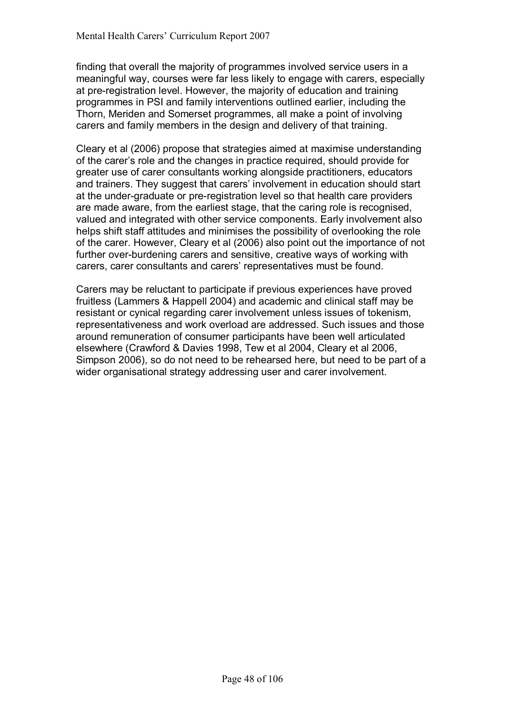finding that overall the majority of programmes involved service users in a meaningful way, courses were far less likely to engage with carers, especially at pre-registration level. However, the majority of education and training programmes in PSI and family interventions outlined earlier, including the Thorn, Meriden and Somerset programmes, all make a point of involving carers and family members in the design and delivery of that training.

Cleary et al (2006) propose that strategies aimed at maximise understanding of the carerís role and the changes in practice required, should provide for greater use of carer consultants working alongside practitioners, educators and trainers. They suggest that carers' involvement in education should start at the under-graduate or pre-registration level so that health care providers are made aware, from the earliest stage, that the caring role is recognised, valued and integrated with other service components. Early involvement also helps shift staff attitudes and minimises the possibility of overlooking the role of the carer. However, Cleary et al (2006) also point out the importance of not further over-burdening carers and sensitive, creative ways of working with carers, carer consultants and carers' representatives must be found.

Carers may be reluctant to participate if previous experiences have proved fruitless (Lammers & Happell 2004) and academic and clinical staff may be resistant or cynical regarding carer involvement unless issues of tokenism, representativeness and work overload are addressed. Such issues and those around remuneration of consumer participants have been well articulated elsewhere (Crawford & Davies 1998, Tew et al 2004, Cleary et al 2006, Simpson 2006), so do not need to be rehearsed here, but need to be part of a wider organisational strategy addressing user and carer involvement.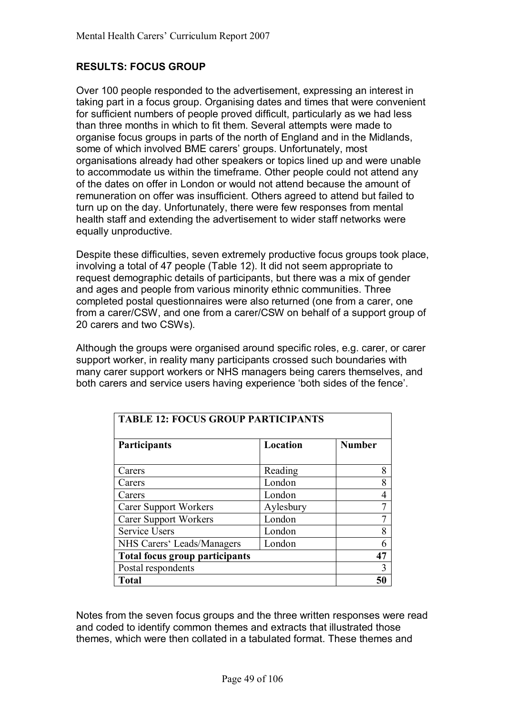# **RESULTS: FOCUS GROUP**

Over 100 people responded to the advertisement, expressing an interest in taking part in a focus group. Organising dates and times that were convenient for sufficient numbers of people proved difficult, particularly as we had less than three months in which to fit them. Several attempts were made to organise focus groups in parts of the north of England and in the Midlands, some of which involved BME carers' groups. Unfortunately, most organisations already had other speakers or topics lined up and were unable to accommodate us within the timeframe. Other people could not attend any of the dates on offer in London or would not attend because the amount of remuneration on offer was insufficient. Others agreed to attend but failed to turn up on the day. Unfortunately, there were few responses from mental health staff and extending the advertisement to wider staff networks were equally unproductive.

Despite these difficulties, seven extremely productive focus groups took place, involving a total of 47 people (Table 12). It did not seem appropriate to request demographic details of participants, but there was a mix of gender and ages and people from various minority ethnic communities. Three completed postal questionnaires were also returned (one from a carer, one from a carer/CSW, and one from a carer/CSW on behalf of a support group of 20 carers and two CSWs).

Although the groups were organised around specific roles, e.g. carer, or carer support worker, in reality many participants crossed such boundaries with many carer support workers or NHS managers being carers themselves, and both carers and service users having experience 'both sides of the fence'.

| <b>TABLE 12: FOCUS GROUP PARTICIPANTS</b> |           |               |
|-------------------------------------------|-----------|---------------|
| Participants                              | Location  | <b>Number</b> |
|                                           |           |               |
| Carers                                    | Reading   | 8             |
| Carers                                    | London    | 8             |
| Carers                                    | London    |               |
| <b>Carer Support Workers</b>              | Aylesbury | 7             |
| <b>Carer Support Workers</b>              | London    |               |
| <b>Service Users</b>                      | London    | 8             |
| NHS Carers' Leads/Managers                | London    | 6             |
| <b>Total focus group participants</b>     |           | 47            |
| Postal respondents                        |           | 3             |
| <b>Total</b>                              |           |               |

Notes from the seven focus groups and the three written responses were read and coded to identify common themes and extracts that illustrated those themes, which were then collated in a tabulated format. These themes and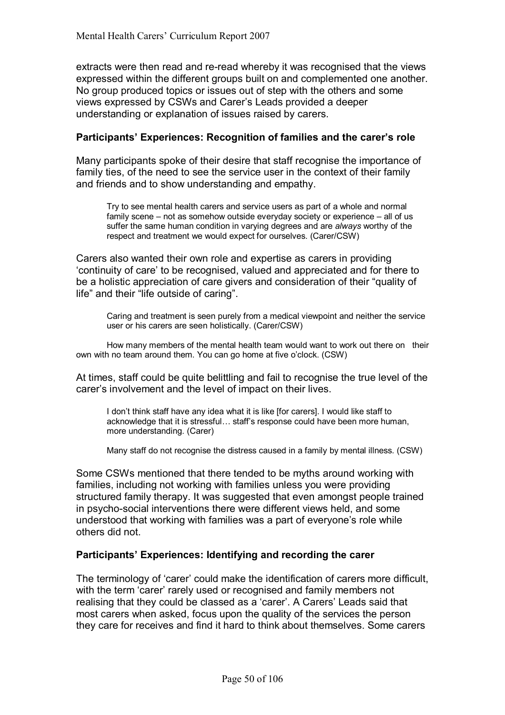extracts were then read and re-read whereby it was recognised that the views expressed within the different groups built on and complemented one another. No group produced topics or issues out of step with the others and some views expressed by CSWs and Carerís Leads provided a deeper understanding or explanation of issues raised by carers.

### Participants' Experiences: Recognition of families and the carer's role

Many participants spoke of their desire that staff recognise the importance of family ties, of the need to see the service user in the context of their family and friends and to show understanding and empathy.

Try to see mental health carers and service users as part of a whole and normal family scene  $-$  not as somehow outside everyday society or experience  $-$  all of us suffer the same human condition in varying degrees and are *always* worthy of the respect and treatment we would expect for ourselves. (Carer/CSW)

Carers also wanted their own role and expertise as carers in providing ëcontinuity of careí to be recognised, valued and appreciated and for there to be a holistic appreciation of care givers and consideration of their "quality of life" and their "life outside of caring".

Caring and treatment is seen purely from a medical viewpoint and neither the service user or his carers are seen holistically. (Carer/CSW)

 How many members of the mental health team would want to work out there on their own with no team around them. You can go home at five o'clock. (CSW)

At times, staff could be quite belittling and fail to recognise the true level of the carer's involvement and the level of impact on their lives.

I don't think staff have any idea what it is like [for carers]. I would like staff to acknowledge that it is stressful... staff's response could have been more human, more understanding. (Carer)

Many staff do not recognise the distress caused in a family by mental illness. (CSW)

Some CSWs mentioned that there tended to be myths around working with families, including not working with families unless you were providing structured family therapy. It was suggested that even amongst people trained in psycho-social interventions there were different views held, and some understood that working with families was a part of everyone's role while others did not.

# Participants<sup>'</sup> Experiences: Identifying and recording the carer

The terminology of 'carer' could make the identification of carers more difficult, with the term 'carer' rarely used or recognised and family members not realising that they could be classed as a 'carer'. A Carers' Leads said that most carers when asked, focus upon the quality of the services the person they care for receives and find it hard to think about themselves. Some carers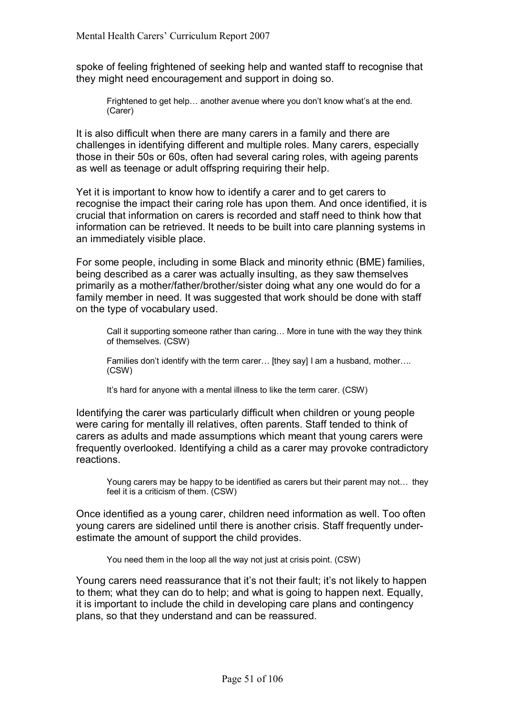spoke of feeling frightened of seeking help and wanted staff to recognise that they might need encouragement and support in doing so.

Frightened to get help... another avenue where you don't know what's at the end. (Carer)

It is also difficult when there are many carers in a family and there are challenges in identifying different and multiple roles. Many carers, especially those in their 50s or 60s, often had several caring roles, with ageing parents as well as teenage or adult offspring requiring their help.

Yet it is important to know how to identify a carer and to get carers to recognise the impact their caring role has upon them. And once identified, it is crucial that information on carers is recorded and staff need to think how that information can be retrieved. It needs to be built into care planning systems in an immediately visible place.

For some people, including in some Black and minority ethnic (BME) families, being described as a carer was actually insulting, as they saw themselves primarily as a mother/father/brother/sister doing what any one would do for a family member in need. It was suggested that work should be done with staff on the type of vocabulary used.

Call it supporting someone rather than caring... More in tune with the way they think of themselves. (CSW)

Families don't identify with the term carer... [they say] I am a husband, mother.... (CSW)

It's hard for anyone with a mental illness to like the term carer. (CSW)

Identifying the carer was particularly difficult when children or young people were caring for mentally ill relatives, often parents. Staff tended to think of carers as adults and made assumptions which meant that young carers were frequently overlooked. Identifying a child as a carer may provoke contradictory reactions.

Young carers may be happy to be identified as carers but their parent may not... they feel it is a criticism of them. (CSW)

Once identified as a young carer, children need information as well. Too often young carers are sidelined until there is another crisis. Staff frequently underestimate the amount of support the child provides.

You need them in the loop all the way not just at crisis point. (CSW)

Young carers need reassurance that it's not their fault; it's not likely to happen to them; what they can do to help; and what is going to happen next. Equally, it is important to include the child in developing care plans and contingency plans, so that they understand and can be reassured.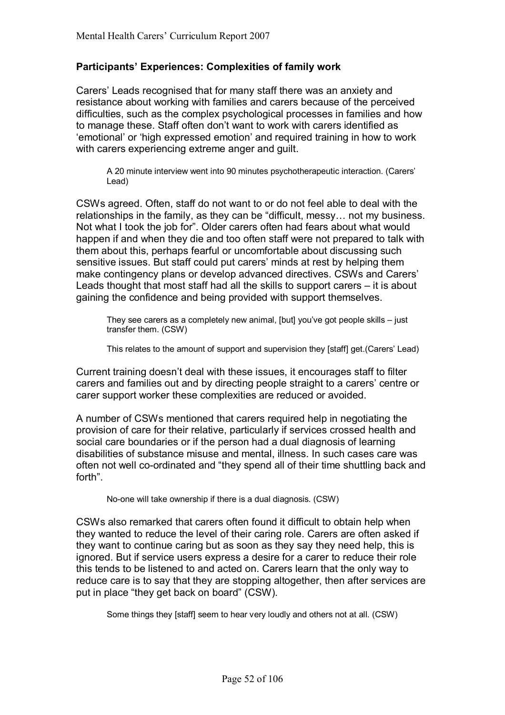### **Participantsí Experiences: Complexities of family work**

Carersí Leads recognised that for many staff there was an anxiety and resistance about working with families and carers because of the perceived difficulties, such as the complex psychological processes in families and how to manage these. Staff often don't want to work with carers identified as 'emotional' or 'high expressed emotion' and required training in how to work with carers experiencing extreme anger and guilt.

A 20 minute interview went into 90 minutes psychotherapeutic interaction. (Carersí Lead)

CSWs agreed. Often, staff do not want to or do not feel able to deal with the relationships in the family, as they can be "difficult, messy... not my business. Not what I took the job for". Older carers often had fears about what would happen if and when they die and too often staff were not prepared to talk with them about this, perhaps fearful or uncomfortable about discussing such sensitive issues. But staff could put carers' minds at rest by helping them make contingency plans or develop advanced directives. CSWs and Carers' Leads thought that most staff had all the skills to support carers  $-$  it is about gaining the confidence and being provided with support themselves.

They see carers as a completely new animal, [but] you've got people skills  $-$  just transfer them. (CSW)

This relates to the amount of support and supervision they [staff] get. (Carers' Lead)

Current training doesnít deal with these issues, it encourages staff to filter carers and families out and by directing people straight to a carers' centre or carer support worker these complexities are reduced or avoided.

A number of CSWs mentioned that carers required help in negotiating the provision of care for their relative, particularly if services crossed health and social care boundaries or if the person had a dual diagnosis of learning disabilities of substance misuse and mental, illness. In such cases care was often not well co-ordinated and "they spend all of their time shuttling back and forth".

No-one will take ownership if there is a dual diagnosis. (CSW)

CSWs also remarked that carers often found it difficult to obtain help when they wanted to reduce the level of their caring role. Carers are often asked if they want to continue caring but as soon as they say they need help, this is ignored. But if service users express a desire for a carer to reduce their role this tends to be listened to and acted on. Carers learn that the only way to reduce care is to say that they are stopping altogether, then after services are put in place "they get back on board" (CSW).

Some things they [staff] seem to hear very loudly and others not at all. (CSW)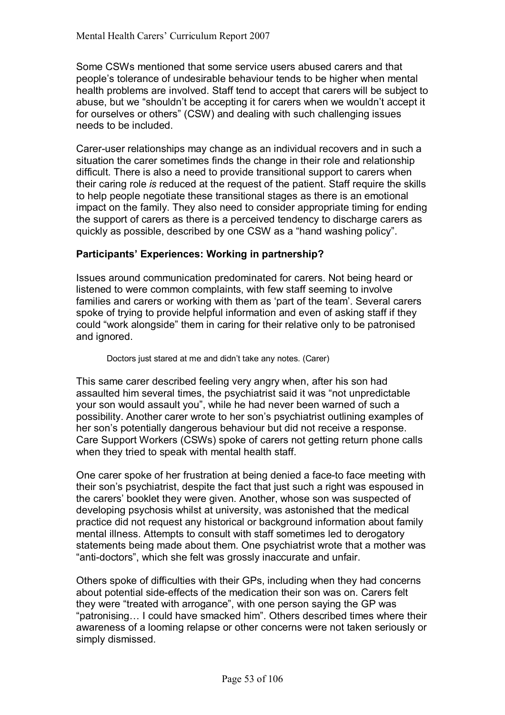Some CSWs mentioned that some service users abused carers and that people's tolerance of undesirable behaviour tends to be higher when mental health problems are involved. Staff tend to accept that carers will be subject to abuse, but we "shouldn't be accepting it for carers when we wouldn't accept it for ourselves or others" (CSW) and dealing with such challenging issues needs to be included.

Carer-user relationships may change as an individual recovers and in such a situation the carer sometimes finds the change in their role and relationship difficult. There is also a need to provide transitional support to carers when their caring role *is* reduced at the request of the patient. Staff require the skills to help people negotiate these transitional stages as there is an emotional impact on the family. They also need to consider appropriate timing for ending the support of carers as there is a perceived tendency to discharge carers as quickly as possible, described by one CSW as a "hand washing policy".

#### **Participantsí Experiences: Working in partnership?**

Issues around communication predominated for carers. Not being heard or listened to were common complaints, with few staff seeming to involve families and carers or working with them as 'part of the team'. Several carers spoke of trying to provide helpful information and even of asking staff if they could "work alongside" them in caring for their relative only to be patronised and ignored.

Doctors just stared at me and didn't take any notes. (Carer)

This same carer described feeling very angry when, after his son had assaulted him several times, the psychiatrist said it was "not unpredictable" your son would assault you", while he had never been warned of such a possibility. Another carer wrote to her sonís psychiatrist outlining examples of her son's potentially dangerous behaviour but did not receive a response. Care Support Workers (CSWs) spoke of carers not getting return phone calls when they tried to speak with mental health staff.

One carer spoke of her frustration at being denied a face-to face meeting with their son's psychiatrist, despite the fact that just such a right was espoused in the carersí booklet they were given. Another, whose son was suspected of developing psychosis whilst at university, was astonished that the medical practice did not request any historical or background information about family mental illness. Attempts to consult with staff sometimes led to derogatory statements being made about them. One psychiatrist wrote that a mother was "anti-doctors", which she felt was grossly inaccurate and unfair.

Others spoke of difficulties with their GPs, including when they had concerns about potential side-effects of the medication their son was on. Carers felt they were "treated with arrogance", with one person saying the GP was "patronising... I could have smacked him". Others described times where their awareness of a looming relapse or other concerns were not taken seriously or simply dismissed.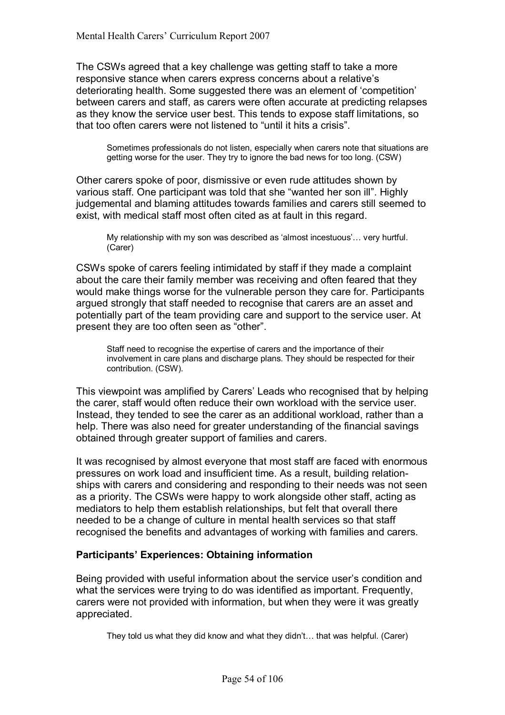The CSWs agreed that a key challenge was getting staff to take a more responsive stance when carers express concerns about a relative's deteriorating health. Some suggested there was an element of 'competition' between carers and staff, as carers were often accurate at predicting relapses as they know the service user best. This tends to expose staff limitations, so that too often carers were not listened to "until it hits a crisis".

Sometimes professionals do not listen, especially when carers note that situations are getting worse for the user. They try to ignore the bad news for too long. (CSW)

Other carers spoke of poor, dismissive or even rude attitudes shown by various staff. One participant was told that she "wanted her son ill". Highly judgemental and blaming attitudes towards families and carers still seemed to exist, with medical staff most often cited as at fault in this regard.

My relationship with my son was described as 'almost incestuous'... very hurtful. (Carer)

CSWs spoke of carers feeling intimidated by staff if they made a complaint about the care their family member was receiving and often feared that they would make things worse for the vulnerable person they care for. Participants argued strongly that staff needed to recognise that carers are an asset and potentially part of the team providing care and support to the service user. At present they are too often seen as "other".

Staff need to recognise the expertise of carers and the importance of their involvement in care plans and discharge plans. They should be respected for their contribution. (CSW).

This viewpoint was amplified by Carers' Leads who recognised that by helping the carer, staff would often reduce their own workload with the service user. Instead, they tended to see the carer as an additional workload, rather than a help. There was also need for greater understanding of the financial savings obtained through greater support of families and carers.

It was recognised by almost everyone that most staff are faced with enormous pressures on work load and insufficient time. As a result, building relationships with carers and considering and responding to their needs was not seen as a priority. The CSWs were happy to work alongside other staff, acting as mediators to help them establish relationships, but felt that overall there needed to be a change of culture in mental health services so that staff recognised the benefits and advantages of working with families and carers.

# **Participants' Experiences: Obtaining information**

Being provided with useful information about the service user's condition and what the services were trying to do was identified as important. Frequently, carers were not provided with information, but when they were it was greatly appreciated.

They told us what they did know and what they didn't... that was helpful. (Carer)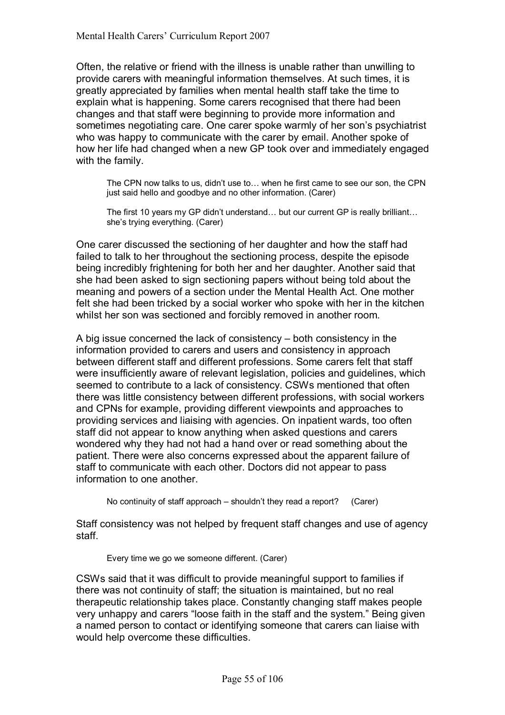Often, the relative or friend with the illness is unable rather than unwilling to provide carers with meaningful information themselves. At such times, it is greatly appreciated by families when mental health staff take the time to explain what is happening. Some carers recognised that there had been changes and that staff were beginning to provide more information and sometimes negotiating care. One carer spoke warmly of her son's psychiatrist who was happy to communicate with the carer by email. Another spoke of how her life had changed when a new GP took over and immediately engaged with the family.

The CPN now talks to us, didn't use to ... when he first came to see our son, the CPN just said hello and goodbye and no other information. (Carer)

The first 10 years my GP didn't understand... but our current GP is really brilliant... she's trying everything. (Carer)

One carer discussed the sectioning of her daughter and how the staff had failed to talk to her throughout the sectioning process, despite the episode being incredibly frightening for both her and her daughter. Another said that she had been asked to sign sectioning papers without being told about the meaning and powers of a section under the Mental Health Act. One mother felt she had been tricked by a social worker who spoke with her in the kitchen whilst her son was sectioned and forcibly removed in another room.

A big issue concerned the lack of consistency  $-$  both consistency in the information provided to carers and users and consistency in approach between different staff and different professions. Some carers felt that staff were insufficiently aware of relevant legislation, policies and guidelines, which seemed to contribute to a lack of consistency. CSWs mentioned that often there was little consistency between different professions, with social workers and CPNs for example, providing different viewpoints and approaches to providing services and liaising with agencies. On inpatient wards, too often staff did not appear to know anything when asked questions and carers wondered why they had not had a hand over or read something about the patient. There were also concerns expressed about the apparent failure of staff to communicate with each other. Doctors did not appear to pass information to one another.

No continuity of staff approach  $-$  shouldn't they read a report? (Carer)

Staff consistency was not helped by frequent staff changes and use of agency staff.

Every time we go we someone different. (Carer)

CSWs said that it was difficult to provide meaningful support to families if there was not continuity of staff; the situation is maintained, but no real therapeutic relationship takes place. Constantly changing staff makes people very unhappy and carers "loose faith in the staff and the system." Being given a named person to contact or identifying someone that carers can liaise with would help overcome these difficulties.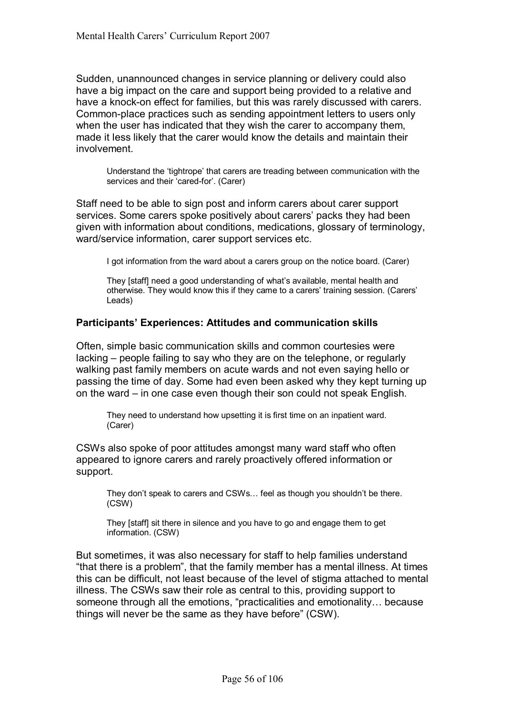Sudden, unannounced changes in service planning or delivery could also have a big impact on the care and support being provided to a relative and have a knock-on effect for families, but this was rarely discussed with carers. Common-place practices such as sending appointment letters to users only when the user has indicated that they wish the carer to accompany them, made it less likely that the carer would know the details and maintain their involvement.

Understand the 'tightrope' that carers are treading between communication with the services and their 'cared-for'. (Carer)

Staff need to be able to sign post and inform carers about carer support services. Some carers spoke positively about carers' packs they had been given with information about conditions, medications, glossary of terminology, ward/service information, carer support services etc.

I got information from the ward about a carers group on the notice board. (Carer)

They [staff] need a good understanding of what's available, mental health and otherwise. They would know this if they came to a carers' training session. (Carers' Leads)

#### **Participants' Experiences: Attitudes and communication skills**

Often, simple basic communication skills and common courtesies were lacking – people failing to say who they are on the telephone, or regularly walking past family members on acute wards and not even saying hello or passing the time of day. Some had even been asked why they kept turning up on the ward  $-$  in one case even though their son could not speak English.

They need to understand how upsetting it is first time on an inpatient ward. (Carer)

CSWs also spoke of poor attitudes amongst many ward staff who often appeared to ignore carers and rarely proactively offered information or support.

They don't speak to carers and CSWs... feel as though you shouldn't be there. (CSW)

 They [staff] sit there in silence and you have to go and engage them to get information. (CSW)

But sometimes, it was also necessary for staff to help families understand "that there is a problem", that the family member has a mental illness. At times this can be difficult, not least because of the level of stigma attached to mental illness. The CSWs saw their role as central to this, providing support to someone through all the emotions, "practicalities and emotionality... because things will never be the same as they have before" (CSW).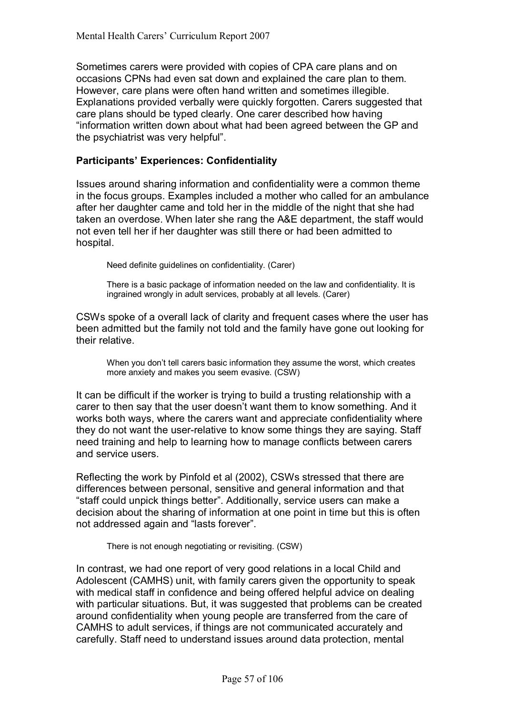Sometimes carers were provided with copies of CPA care plans and on occasions CPNs had even sat down and explained the care plan to them. However, care plans were often hand written and sometimes illegible. Explanations provided verbally were quickly forgotten. Carers suggested that care plans should be typed clearly. One carer described how having ìinformation written down about what had been agreed between the GP and the psychiatrist was very helpful".

## **Participantsí Experiences: Confidentiality**

Issues around sharing information and confidentiality were a common theme in the focus groups. Examples included a mother who called for an ambulance after her daughter came and told her in the middle of the night that she had taken an overdose. When later she rang the A&E department, the staff would not even tell her if her daughter was still there or had been admitted to hospital.

Need definite guidelines on confidentiality. (Carer)

 There is a basic package of information needed on the law and confidentiality. It is ingrained wrongly in adult services, probably at all levels. (Carer)

CSWs spoke of a overall lack of clarity and frequent cases where the user has been admitted but the family not told and the family have gone out looking for their relative.

When you don't tell carers basic information they assume the worst, which creates more anxiety and makes you seem evasive. (CSW)

It can be difficult if the worker is trying to build a trusting relationship with a carer to then say that the user doesn't want them to know something. And it works both ways, where the carers want and appreciate confidentiality where they do not want the user-relative to know some things they are saying. Staff need training and help to learning how to manage conflicts between carers and service users.

Reflecting the work by Pinfold et al (2002), CSWs stressed that there are differences between personal, sensitive and general information and that "staff could unpick things better". Additionally, service users can make a decision about the sharing of information at one point in time but this is often not addressed again and "lasts forever".

There is not enough negotiating or revisiting. (CSW)

In contrast, we had one report of very good relations in a local Child and Adolescent (CAMHS) unit, with family carers given the opportunity to speak with medical staff in confidence and being offered helpful advice on dealing with particular situations. But, it was suggested that problems can be created around confidentiality when young people are transferred from the care of CAMHS to adult services, if things are not communicated accurately and carefully. Staff need to understand issues around data protection, mental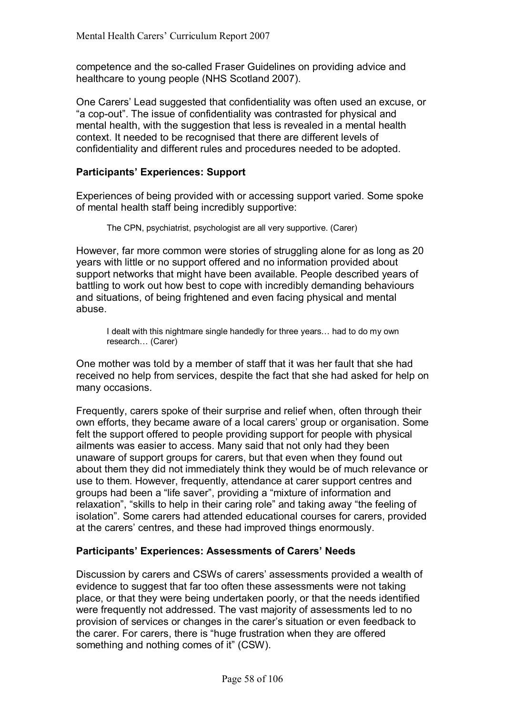competence and the so-called Fraser Guidelines on providing advice and healthcare to young people (NHS Scotland 2007).

One Carers' Lead suggested that confidentiality was often used an excuse, or ìa cop-outî. The issue of confidentiality was contrasted for physical and mental health, with the suggestion that less is revealed in a mental health context. It needed to be recognised that there are different levels of confidentiality and different rules and procedures needed to be adopted.

### **Participants' Experiences: Support**

Experiences of being provided with or accessing support varied. Some spoke of mental health staff being incredibly supportive:

The CPN, psychiatrist, psychologist are all very supportive. (Carer)

However, far more common were stories of struggling alone for as long as 20 years with little or no support offered and no information provided about support networks that might have been available. People described years of battling to work out how best to cope with incredibly demanding behaviours and situations, of being frightened and even facing physical and mental abuse.

I dealt with this nightmare single handedly for three years... had to do my own research... (Carer)

One mother was told by a member of staff that it was her fault that she had received no help from services, despite the fact that she had asked for help on many occasions.

Frequently, carers spoke of their surprise and relief when, often through their own efforts, they became aware of a local carers' group or organisation. Some felt the support offered to people providing support for people with physical ailments was easier to access. Many said that not only had they been unaware of support groups for carers, but that even when they found out about them they did not immediately think they would be of much relevance or use to them. However, frequently, attendance at carer support centres and groups had been a "life saver", providing a "mixture of information and relaxation", "skills to help in their caring role" and taking away "the feeling of isolationî. Some carers had attended educational courses for carers, provided at the carers' centres, and these had improved things enormously.

#### **Participantsí Experiences: Assessments of Carersí Needs**

Discussion by carers and CSWs of carers' assessments provided a wealth of evidence to suggest that far too often these assessments were not taking place, or that they were being undertaken poorly, or that the needs identified were frequently not addressed. The vast majority of assessments led to no provision of services or changes in the carerís situation or even feedback to the carer. For carers, there is "huge frustration when they are offered something and nothing comes of it" (CSW).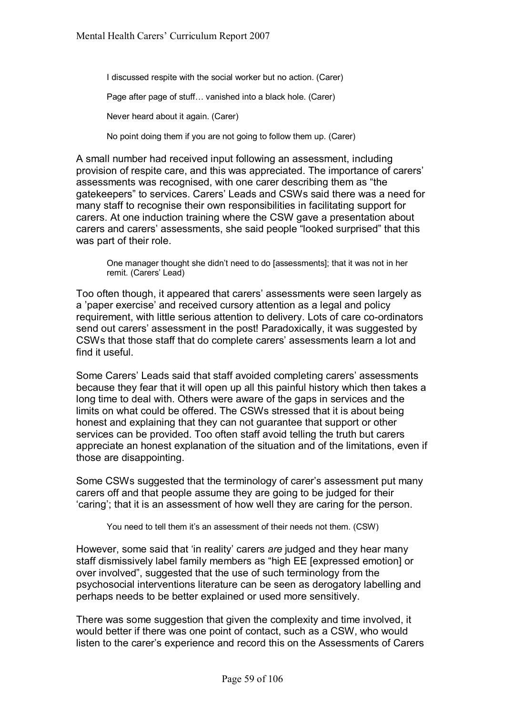I discussed respite with the social worker but no action. (Carer)

Page after page of stuff... vanished into a black hole. (Carer)

Never heard about it again. (Carer)

No point doing them if you are not going to follow them up. (Carer)

A small number had received input following an assessment, including provision of respite care, and this was appreciated. The importance of carers' assessments was recognised, with one carer describing them as "the gatekeepers" to services. Carers' Leads and CSWs said there was a need for many staff to recognise their own responsibilities in facilitating support for carers. At one induction training where the CSW gave a presentation about carers and carers' assessments, she said people "looked surprised" that this was part of their role.

One manager thought she didn't need to do [assessments]; that it was not in her remit. (Carers' Lead)

Too often though, it appeared that carers' assessments were seen largely as a 'paper exercise' and received cursory attention as a legal and policy requirement, with little serious attention to delivery. Lots of care co-ordinators send out carers' assessment in the post! Paradoxically, it was suggested by CSWs that those staff that do complete carers' assessments learn a lot and find it useful.

Some Carers' Leads said that staff avoided completing carers' assessments because they fear that it will open up all this painful history which then takes a long time to deal with. Others were aware of the gaps in services and the limits on what could be offered. The CSWs stressed that it is about being honest and explaining that they can not guarantee that support or other services can be provided. Too often staff avoid telling the truth but carers appreciate an honest explanation of the situation and of the limitations, even if those are disappointing.

Some CSWs suggested that the terminology of carer's assessment put many carers off and that people assume they are going to be judged for their 'caring'; that it is an assessment of how well they are caring for the person.

You need to tell them it's an assessment of their needs not them. (CSW)

However, some said that 'in reality' carers *are* judged and they hear many staff dismissively label family members as "high EE [expressed emotion] or over involved", suggested that the use of such terminology from the psychosocial interventions literature can be seen as derogatory labelling and perhaps needs to be better explained or used more sensitively.

There was some suggestion that given the complexity and time involved, it would better if there was one point of contact, such as a CSW, who would listen to the carer's experience and record this on the Assessments of Carers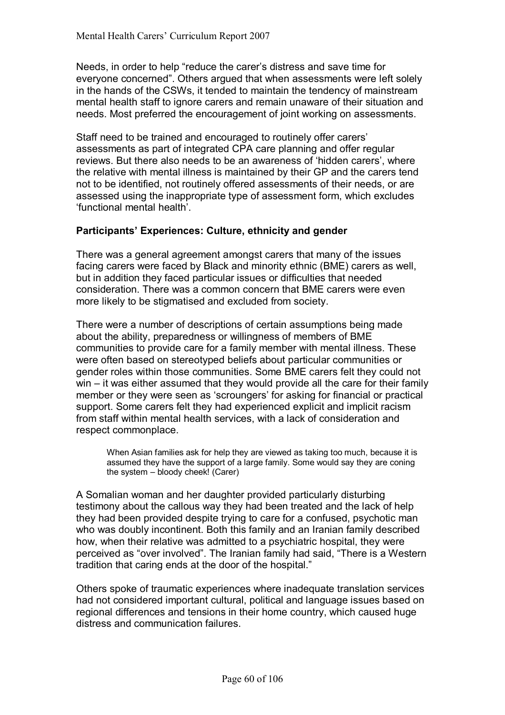Needs, in order to help "reduce the carer's distress and save time for everyone concerned". Others argued that when assessments were left solely in the hands of the CSWs, it tended to maintain the tendency of mainstream mental health staff to ignore carers and remain unaware of their situation and needs. Most preferred the encouragement of joint working on assessments.

Staff need to be trained and encouraged to routinely offer carers' assessments as part of integrated CPA care planning and offer regular reviews. But there also needs to be an awareness of 'hidden carers', where the relative with mental illness is maintained by their GP and the carers tend not to be identified, not routinely offered assessments of their needs, or are assessed using the inappropriate type of assessment form, which excludes 'functional mental health'.

### Participants' Experiences: Culture, ethnicity and gender

There was a general agreement amongst carers that many of the issues facing carers were faced by Black and minority ethnic (BME) carers as well, but in addition they faced particular issues or difficulties that needed consideration. There was a common concern that BME carers were even more likely to be stigmatised and excluded from society.

There were a number of descriptions of certain assumptions being made about the ability, preparedness or willingness of members of BME communities to provide care for a family member with mental illness. These were often based on stereotyped beliefs about particular communities or gender roles within those communities. Some BME carers felt they could not  $win - it$  was either assumed that they would provide all the care for their family member or they were seen as 'scroungers' for asking for financial or practical support. Some carers felt they had experienced explicit and implicit racism from staff within mental health services, with a lack of consideration and respect commonplace.

When Asian families ask for help they are viewed as taking too much, because it is assumed they have the support of a large family. Some would say they are coning the system  $-$  bloody cheek! (Carer)

A Somalian woman and her daughter provided particularly disturbing testimony about the callous way they had been treated and the lack of help they had been provided despite trying to care for a confused, psychotic man who was doubly incontinent. Both this family and an Iranian family described how, when their relative was admitted to a psychiatric hospital, they were perceived as "over involved". The Iranian family had said, "There is a Western tradition that caring ends at the door of the hospital."

Others spoke of traumatic experiences where inadequate translation services had not considered important cultural, political and language issues based on regional differences and tensions in their home country, which caused huge distress and communication failures.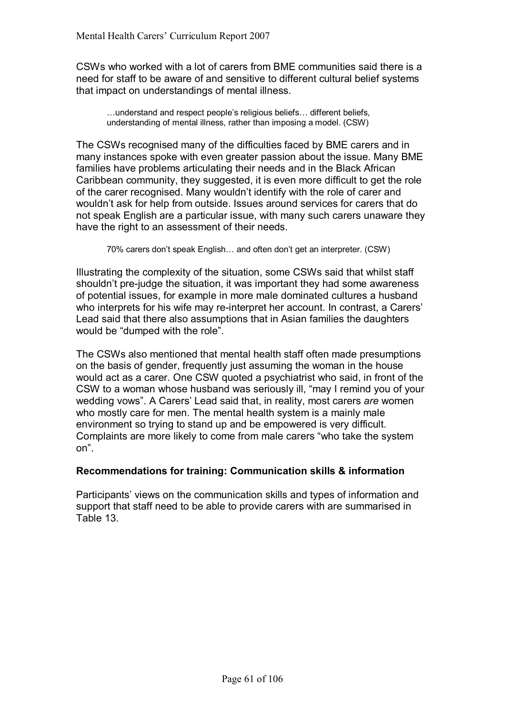CSWs who worked with a lot of carers from BME communities said there is a need for staff to be aware of and sensitive to different cultural belief systems that impact on understandings of mental illness.

...understand and respect people's religious beliefs... different beliefs, understanding of mental illness, rather than imposing a model. (CSW)

The CSWs recognised many of the difficulties faced by BME carers and in many instances spoke with even greater passion about the issue. Many BME families have problems articulating their needs and in the Black African Caribbean community, they suggested, it is even more difficult to get the role of the carer recognised. Many wouldn't identify with the role of carer and wouldn't ask for help from outside. Issues around services for carers that do not speak English are a particular issue, with many such carers unaware they have the right to an assessment of their needs.

70% carers don't speak English... and often don't get an interpreter. (CSW)

Illustrating the complexity of the situation, some CSWs said that whilst staff shouldnít pre-judge the situation, it was important they had some awareness of potential issues, for example in more male dominated cultures a husband who interprets for his wife may re-interpret her account. In contrast, a Carers' Lead said that there also assumptions that in Asian families the daughters would be "dumped with the role".

The CSWs also mentioned that mental health staff often made presumptions on the basis of gender, frequently just assuming the woman in the house would act as a carer. One CSW quoted a psychiatrist who said, in front of the CSW to a woman whose husband was seriously ill, "may I remind you of your wedding vows". A Carers' Lead said that, in reality, most carers *are* women who mostly care for men. The mental health system is a mainly male environment so trying to stand up and be empowered is very difficult. Complaints are more likely to come from male carers "who take the system onî.

#### **Recommendations for training: Communication skills & information**

Participants' views on the communication skills and types of information and support that staff need to be able to provide carers with are summarised in Table 13.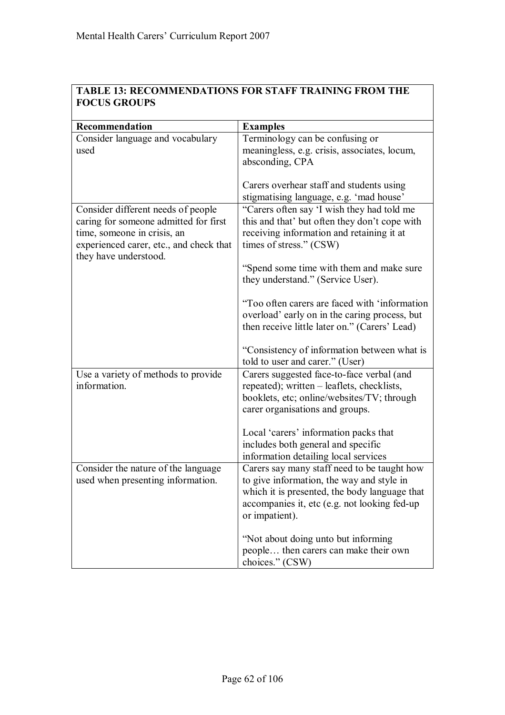| <b>TABLE 13: RECOMMENDATIONS FOR STAFF TRAINING FROM THE</b> |  |
|--------------------------------------------------------------|--|
| <b>FOCUS GROUPS</b>                                          |  |

| Recommendation                          | <b>Examples</b>                                                                                |
|-----------------------------------------|------------------------------------------------------------------------------------------------|
| Consider language and vocabulary        | Terminology can be confusing or                                                                |
| used                                    | meaningless, e.g. crisis, associates, locum,                                                   |
|                                         | absconding, CPA                                                                                |
|                                         |                                                                                                |
|                                         | Carers overhear staff and students using                                                       |
|                                         | stigmatising language, e.g. 'mad house'                                                        |
| Consider different needs of people      | "Carers often say 'I wish they had told me                                                     |
| caring for someone admitted for first   | this and that' but often they don't cope with                                                  |
| time, someone in crisis, an             | receiving information and retaining it at                                                      |
| experienced carer, etc., and check that | times of stress." (CSW)                                                                        |
| they have understood.                   |                                                                                                |
|                                         | "Spend some time with them and make sure                                                       |
|                                         | they understand." (Service User).                                                              |
|                                         |                                                                                                |
|                                         | "Too often carers are faced with 'information                                                  |
|                                         | overload' early on in the caring process, but<br>then receive little later on." (Carers' Lead) |
|                                         |                                                                                                |
|                                         | "Consistency of information between what is                                                    |
|                                         | told to user and carer." (User)                                                                |
| Use a variety of methods to provide     | Carers suggested face-to-face verbal (and                                                      |
| information.                            | repeated); written – leaflets, checklists,                                                     |
|                                         | booklets, etc; online/websites/TV; through                                                     |
|                                         | carer organisations and groups.                                                                |
|                                         |                                                                                                |
|                                         | Local 'carers' information packs that                                                          |
|                                         | includes both general and specific                                                             |
|                                         | information detailing local services                                                           |
| Consider the nature of the language     | Carers say many staff need to be taught how                                                    |
| used when presenting information.       | to give information, the way and style in                                                      |
|                                         | which it is presented, the body language that                                                  |
|                                         | accompanies it, etc (e.g. not looking fed-up                                                   |
|                                         | or impatient).                                                                                 |
|                                         |                                                                                                |
|                                         | "Not about doing unto but informing                                                            |
|                                         | people then carers can make their own                                                          |
|                                         | choices." (CSW)                                                                                |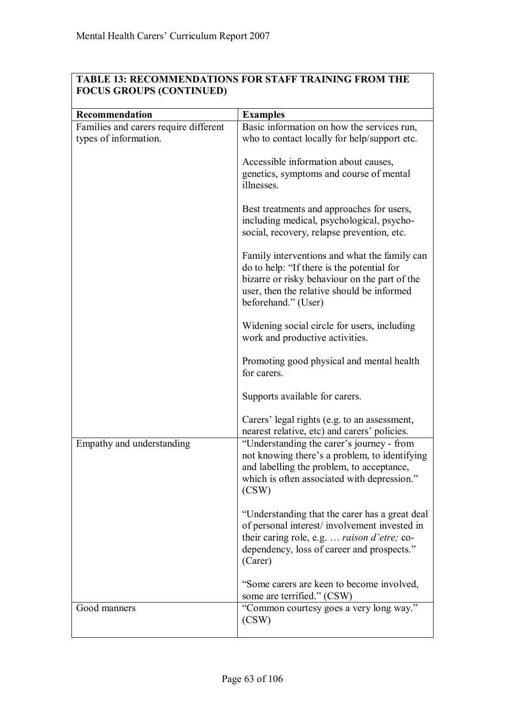| <b>TABLE 13: RECOMMENDATIONS FOR STAFF TRAINING FROM THE</b> |
|--------------------------------------------------------------|
| <b>FOCUS GROUPS (CONTINUED)</b>                              |

| Recommendation                        | <b>Examples</b>                                                                                                                                                                                                  |
|---------------------------------------|------------------------------------------------------------------------------------------------------------------------------------------------------------------------------------------------------------------|
| Families and carers require different | Basic information on how the services run,                                                                                                                                                                       |
| types of information.                 | who to contact locally for help/support etc.                                                                                                                                                                     |
|                                       | Accessible information about causes,<br>genetics, symptoms and course of mental<br>illnesses.                                                                                                                    |
|                                       | Best treatments and approaches for users,<br>including medical, psychological, psycho-<br>social, recovery, relapse prevention, etc.                                                                             |
|                                       | Family interventions and what the family can<br>do to help: "If there is the potential for<br>bizarre or risky behaviour on the part of the<br>user, then the relative should be informed<br>beforehand." (User) |
|                                       | Widening social circle for users, including<br>work and productive activities.                                                                                                                                   |
|                                       | Promoting good physical and mental health<br>for carers.                                                                                                                                                         |
|                                       | Supports available for carers.                                                                                                                                                                                   |
|                                       | Carers' legal rights (e.g. to an assessment,<br>nearest relative, etc) and carers' policies.                                                                                                                     |
| Empathy and understanding             | "Understanding the carer's journey - from<br>not knowing there's a problem, to identifying<br>and labelling the problem, to acceptance,<br>which is often associated with depression."<br>(CSW)                  |
|                                       | "Understanding that the carer has a great deal<br>of personal interest/involvement invested in<br>their caring role, e.g.  raison d'etre; co-<br>dependency, loss of career and prospects."<br>(Carer)           |
|                                       | "Some carers are keen to become involved,<br>some are terrified." (CSW)                                                                                                                                          |
| Good manners                          | "Common courtesy goes a very long way."<br>(CSW)                                                                                                                                                                 |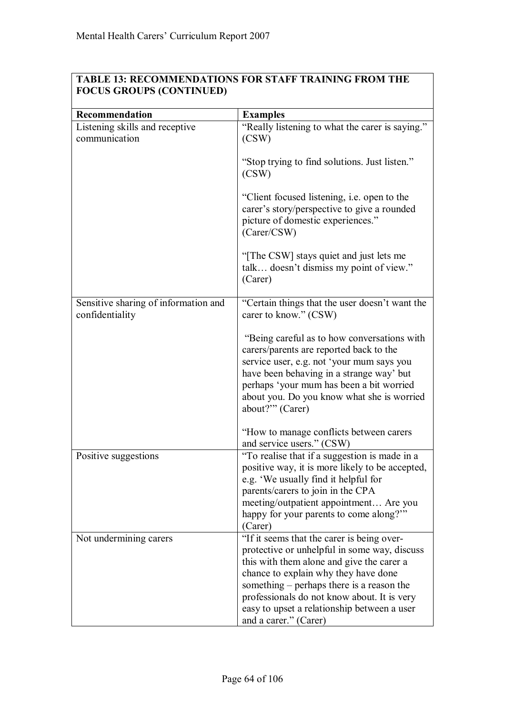| Recommendation                                          | <b>Examples</b>                                                                                                                                                                                                                                                                                                                                     |
|---------------------------------------------------------|-----------------------------------------------------------------------------------------------------------------------------------------------------------------------------------------------------------------------------------------------------------------------------------------------------------------------------------------------------|
|                                                         | "Really listening to what the carer is saying."                                                                                                                                                                                                                                                                                                     |
| Listening skills and receptive<br>communication         | (CSW)                                                                                                                                                                                                                                                                                                                                               |
|                                                         | "Stop trying to find solutions. Just listen."<br>(CSW)                                                                                                                                                                                                                                                                                              |
|                                                         | "Client focused listening, i.e. open to the<br>carer's story/perspective to give a rounded<br>picture of domestic experiences."<br>(Carer/CSW)                                                                                                                                                                                                      |
|                                                         | "The CSW] stays quiet and just lets me<br>talk doesn't dismiss my point of view."<br>(Carer)                                                                                                                                                                                                                                                        |
| Sensitive sharing of information and<br>confidentiality | "Certain things that the user doesn't want the<br>carer to know." (CSW)                                                                                                                                                                                                                                                                             |
|                                                         | "Being careful as to how conversations with<br>carers/parents are reported back to the<br>service user, e.g. not 'your mum says you<br>have been behaving in a strange way' but<br>perhaps 'your mum has been a bit worried<br>about you. Do you know what she is worried<br>about?"" (Carer)                                                       |
|                                                         | "How to manage conflicts between carers"<br>and service users." (CSW)                                                                                                                                                                                                                                                                               |
| Positive suggestions                                    | "To realise that if a suggestion is made in a<br>positive way, it is more likely to be accepted,<br>e.g. 'We usually find it helpful for<br>parents/carers to join in the CPA<br>meeting/outpatient appointment Are you<br>happy for your parents to come along?"<br>(Carer)                                                                        |
| Not undermining carers                                  | "If it seems that the carer is being over-<br>protective or unhelpful in some way, discuss<br>this with them alone and give the carer a<br>chance to explain why they have done<br>something – perhaps there is a reason the<br>professionals do not know about. It is very<br>easy to upset a relationship between a user<br>and a carer." (Carer) |

### **TABLE 13: RECOMMENDATIONS FOR STAFF TRAINING FROM THE FOCUS GROUPS (CONTINUED)**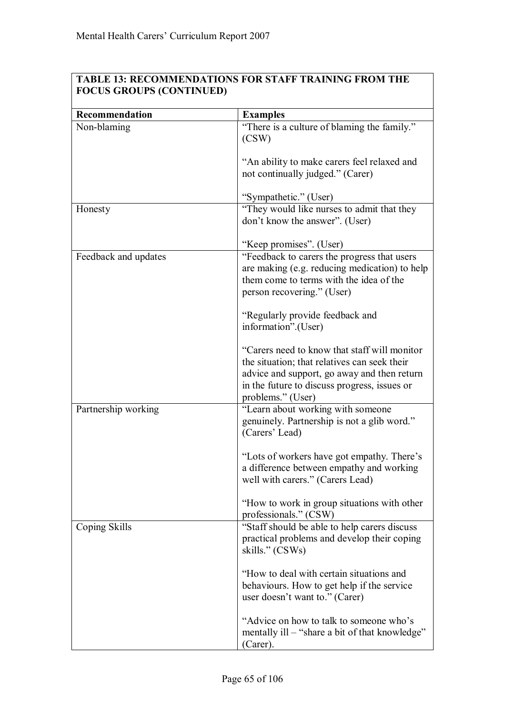# **TABLE 13: RECOMMENDATIONS FOR STAFF TRAINING FROM THE FOCUS GROUPS (CONTINUED)**

| Recommendation       | <b>Examples</b>                                                              |
|----------------------|------------------------------------------------------------------------------|
| Non-blaming          | "There is a culture of blaming the family."<br>(CSW)                         |
|                      | "An ability to make carers feel relaxed and                                  |
|                      | not continually judged." (Carer)                                             |
|                      | "Sympathetic." (User)                                                        |
| Honesty              | "They would like nurses to admit that they<br>don't know the answer". (User) |
|                      | "Keep promises". (User)                                                      |
| Feedback and updates | "Feedback to carers the progress that users                                  |
|                      | are making (e.g. reducing medication) to help                                |
|                      | them come to terms with the idea of the                                      |
|                      | person recovering." (User)                                                   |
|                      | "Regularly provide feedback and                                              |
|                      | information".(User)                                                          |
|                      | "Carers need to know that staff will monitor                                 |
|                      | the situation; that relatives can seek their                                 |
|                      | advice and support, go away and then return                                  |
|                      | in the future to discuss progress, issues or                                 |
|                      | problems." (User)                                                            |
| Partnership working  | "Learn about working with someone                                            |
|                      | genuinely. Partnership is not a glib word."                                  |
|                      | (Carers' Lead)                                                               |
|                      | "Lots of workers have got empathy. There's                                   |
|                      | a difference between empathy and working                                     |
|                      | well with carers." (Carers Lead)                                             |
|                      | "How to work in group situations with other                                  |
|                      | professionals." (CSW)                                                        |
| Coping Skills        | "Staff should be able to help carers discuss                                 |
|                      | practical problems and develop their coping                                  |
|                      | skills." (CSWs)                                                              |
|                      | "How to deal with certain situations and                                     |
|                      | behaviours. How to get help if the service                                   |
|                      | user doesn't want to." (Carer)                                               |
|                      | "Advice on how to talk to someone who's                                      |
|                      | mentally ill - "share a bit of that knowledge"                               |
|                      | (Carer).                                                                     |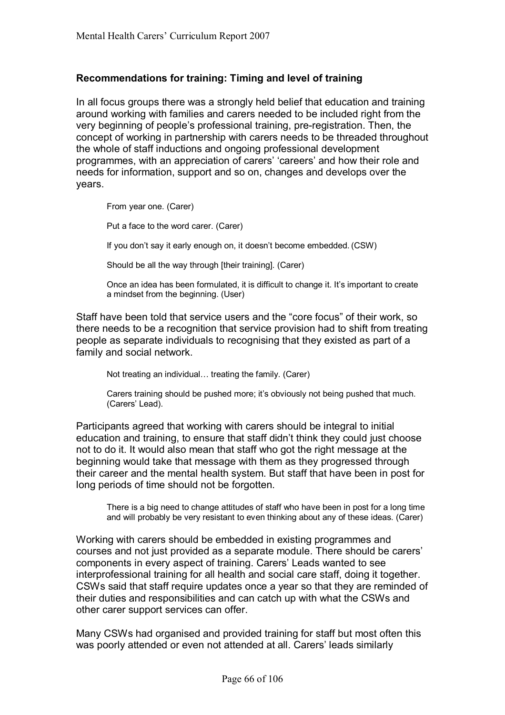## **Recommendations for training: Timing and level of training**

In all focus groups there was a strongly held belief that education and training around working with families and carers needed to be included right from the very beginning of peopleís professional training, pre-registration. Then, the concept of working in partnership with carers needs to be threaded throughout the whole of staff inductions and ongoing professional development programmes, with an appreciation of carers' 'careers' and how their role and needs for information, support and so on, changes and develops over the years.

From year one. (Carer)

Put a face to the word carer. (Carer)

If you don't say it early enough on, it doesn't become embedded. (CSW)

Should be all the way through [their training]. (Carer)

Once an idea has been formulated, it is difficult to change it. It's important to create a mindset from the beginning. (User)

Staff have been told that service users and the "core focus" of their work, so there needs to be a recognition that service provision had to shift from treating people as separate individuals to recognising that they existed as part of a family and social network.

Not treating an individual... treating the family. (Carer)

Carers training should be pushed more; it's obviously not being pushed that much. (Carers' Lead).

Participants agreed that working with carers should be integral to initial education and training, to ensure that staff didn't think they could just choose not to do it. It would also mean that staff who got the right message at the beginning would take that message with them as they progressed through their career and the mental health system. But staff that have been in post for long periods of time should not be forgotten.

There is a big need to change attitudes of staff who have been in post for a long time and will probably be very resistant to even thinking about any of these ideas. (Carer)

Working with carers should be embedded in existing programmes and courses and not just provided as a separate module. There should be carers' components in every aspect of training. Carersí Leads wanted to see interprofessional training for all health and social care staff, doing it together. CSWs said that staff require updates once a year so that they are reminded of their duties and responsibilities and can catch up with what the CSWs and other carer support services can offer.

Many CSWs had organised and provided training for staff but most often this was poorly attended or even not attended at all. Carers' leads similarly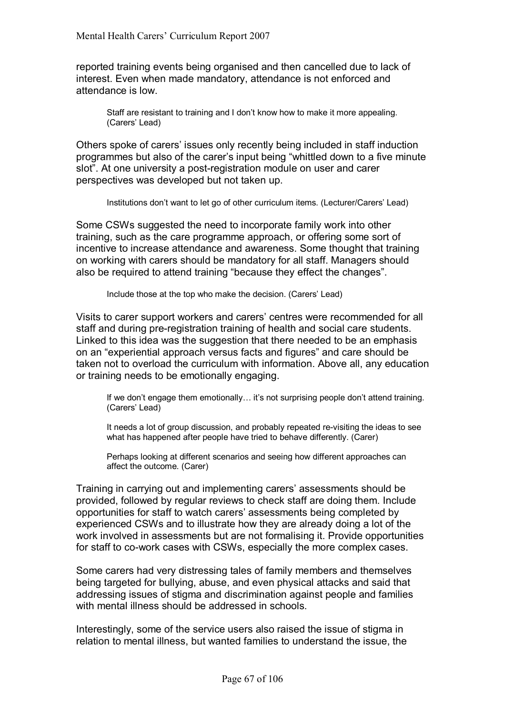reported training events being organised and then cancelled due to lack of interest. Even when made mandatory, attendance is not enforced and attendance is low.

Staff are resistant to training and I don't know how to make it more appealing. (Carers' Lead)

Others spoke of carers' issues only recently being included in staff induction programmes but also of the carer's input being "whittled down to a five minute slot". At one university a post-registration module on user and carer perspectives was developed but not taken up.

Institutions don't want to let go of other curriculum items. (Lecturer/Carers' Lead)

Some CSWs suggested the need to incorporate family work into other training, such as the care programme approach, or offering some sort of incentive to increase attendance and awareness. Some thought that training on working with carers should be mandatory for all staff. Managers should also be required to attend training "because they effect the changes".

Include those at the top who make the decision. (Carers' Lead)

Visits to carer support workers and carersí centres were recommended for all staff and during pre-registration training of health and social care students. Linked to this idea was the suggestion that there needed to be an emphasis on an "experiential approach versus facts and figures" and care should be taken not to overload the curriculum with information. Above all, any education or training needs to be emotionally engaging.

If we don't engage them emotionally... it's not surprising people don't attend training. (Carers' Lead)

 It needs a lot of group discussion, and probably repeated re-visiting the ideas to see what has happened after people have tried to behave differently. (Carer)

 Perhaps looking at different scenarios and seeing how different approaches can affect the outcome. (Carer)

Training in carrying out and implementing carersí assessments should be provided, followed by regular reviews to check staff are doing them. Include opportunities for staff to watch carersí assessments being completed by experienced CSWs and to illustrate how they are already doing a lot of the work involved in assessments but are not formalising it. Provide opportunities for staff to co-work cases with CSWs, especially the more complex cases.

Some carers had very distressing tales of family members and themselves being targeted for bullying, abuse, and even physical attacks and said that addressing issues of stigma and discrimination against people and families with mental illness should be addressed in schools.

Interestingly, some of the service users also raised the issue of stigma in relation to mental illness, but wanted families to understand the issue, the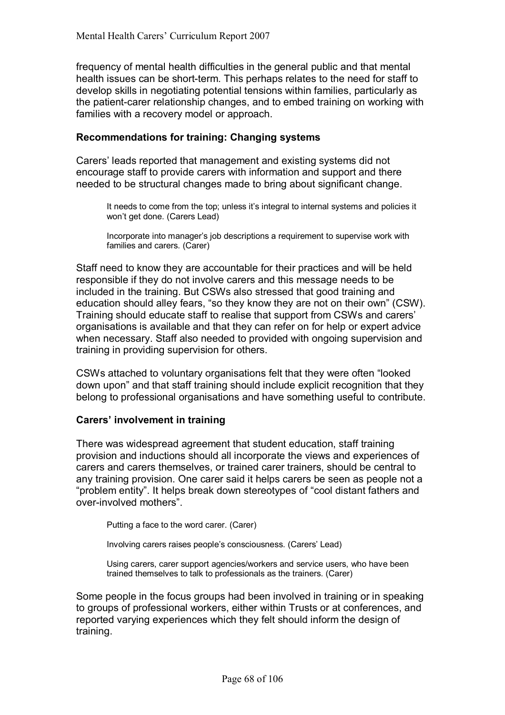frequency of mental health difficulties in the general public and that mental health issues can be short-term. This perhaps relates to the need for staff to develop skills in negotiating potential tensions within families, particularly as the patient-carer relationship changes, and to embed training on working with families with a recovery model or approach.

### **Recommendations for training: Changing systems**

Carers' leads reported that management and existing systems did not encourage staff to provide carers with information and support and there needed to be structural changes made to bring about significant change.

It needs to come from the top; unless it's integral to internal systems and policies it won't get done. (Carers Lead)

Incorporate into manager's job descriptions a requirement to supervise work with families and carers. (Carer)

Staff need to know they are accountable for their practices and will be held responsible if they do not involve carers and this message needs to be included in the training. But CSWs also stressed that good training and education should alley fears, "so they know they are not on their own" (CSW). Training should educate staff to realise that support from CSWs and carers' organisations is available and that they can refer on for help or expert advice when necessary. Staff also needed to provided with ongoing supervision and training in providing supervision for others.

CSWs attached to voluntary organisations felt that they were often "looked" down upon" and that staff training should include explicit recognition that they belong to professional organisations and have something useful to contribute.

#### **Carersí involvement in training**

There was widespread agreement that student education, staff training provision and inductions should all incorporate the views and experiences of carers and carers themselves, or trained carer trainers, should be central to any training provision. One carer said it helps carers be seen as people not a "problem entity". It helps break down stereotypes of "cool distant fathers and over-involved mothers".

Putting a face to the word carer. (Carer)

Involving carers raises people's consciousness. (Carers' Lead)

 Using carers, carer support agencies/workers and service users, who have been trained themselves to talk to professionals as the trainers. (Carer)

Some people in the focus groups had been involved in training or in speaking to groups of professional workers, either within Trusts or at conferences, and reported varying experiences which they felt should inform the design of training.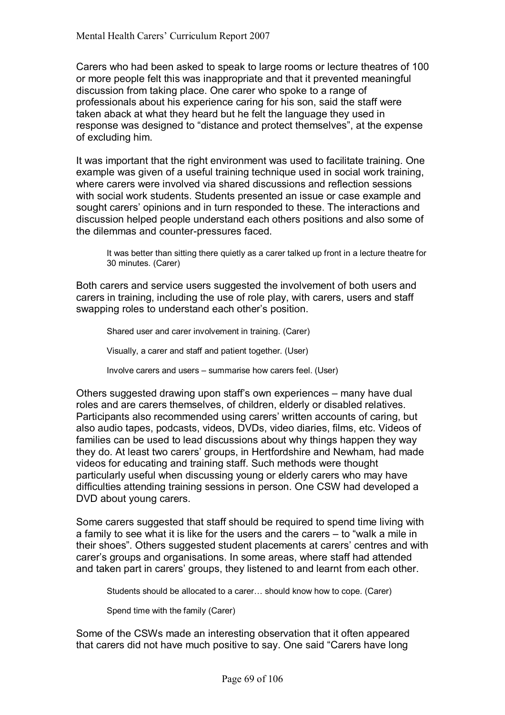Carers who had been asked to speak to large rooms or lecture theatres of 100 or more people felt this was inappropriate and that it prevented meaningful discussion from taking place. One carer who spoke to a range of professionals about his experience caring for his son, said the staff were taken aback at what they heard but he felt the language they used in response was designed to "distance and protect themselves", at the expense of excluding him.

It was important that the right environment was used to facilitate training. One example was given of a useful training technique used in social work training, where carers were involved via shared discussions and reflection sessions with social work students. Students presented an issue or case example and sought carersí opinions and in turn responded to these. The interactions and discussion helped people understand each others positions and also some of the dilemmas and counter-pressures faced.

It was better than sitting there quietly as a carer talked up front in a lecture theatre for 30 minutes. (Carer)

Both carers and service users suggested the involvement of both users and carers in training, including the use of role play, with carers, users and staff swapping roles to understand each other's position.

Shared user and carer involvement in training. (Carer)

Visually, a carer and staff and patient together. (User)

Involve carers and users – summarise how carers feel. (User)

Others suggested drawing upon staff's own experiences – many have dual roles and are carers themselves, of children, elderly or disabled relatives. Participants also recommended using carers' written accounts of caring, but also audio tapes, podcasts, videos, DVDs, video diaries, films, etc. Videos of families can be used to lead discussions about why things happen they way they do. At least two carers' groups, in Hertfordshire and Newham, had made videos for educating and training staff. Such methods were thought particularly useful when discussing young or elderly carers who may have difficulties attending training sessions in person. One CSW had developed a DVD about young carers.

Some carers suggested that staff should be required to spend time living with a family to see what it is like for the users and the carers  $-$  to "walk a mile in their shoesî. Others suggested student placements at carersí centres and with carerís groups and organisations. In some areas, where staff had attended and taken part in carers' groups, they listened to and learnt from each other.

Students should be allocated to a carer... should know how to cope. (Carer)

Spend time with the family (Carer)

Some of the CSWs made an interesting observation that it often appeared that carers did not have much positive to say. One said "Carers have long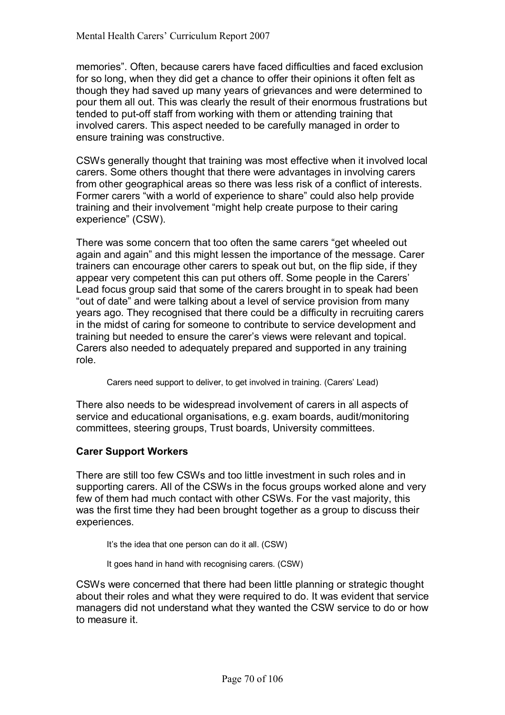memoriesî. Often, because carers have faced difficulties and faced exclusion for so long, when they did get a chance to offer their opinions it often felt as though they had saved up many years of grievances and were determined to pour them all out. This was clearly the result of their enormous frustrations but tended to put-off staff from working with them or attending training that involved carers. This aspect needed to be carefully managed in order to ensure training was constructive.

CSWs generally thought that training was most effective when it involved local carers. Some others thought that there were advantages in involving carers from other geographical areas so there was less risk of a conflict of interests. Former carers "with a world of experience to share" could also help provide training and their involvement "might help create purpose to their caring experience" (CSW).

There was some concern that too often the same carers "get wheeled out again and againî and this might lessen the importance of the message. Carer trainers can encourage other carers to speak out but, on the flip side, if they appear very competent this can put others off. Some people in the Carers' Lead focus group said that some of the carers brought in to speak had been "out of date" and were talking about a level of service provision from many years ago. They recognised that there could be a difficulty in recruiting carers in the midst of caring for someone to contribute to service development and training but needed to ensure the carer's views were relevant and topical. Carers also needed to adequately prepared and supported in any training role.

Carers need support to deliver, to get involved in training. (Carers' Lead)

There also needs to be widespread involvement of carers in all aspects of service and educational organisations, e.g. exam boards, audit/monitoring committees, steering groups, Trust boards, University committees.

# **Carer Support Workers**

There are still too few CSWs and too little investment in such roles and in supporting carers. All of the CSWs in the focus groups worked alone and very few of them had much contact with other CSWs. For the vast majority, this was the first time they had been brought together as a group to discuss their experiences.

It's the idea that one person can do it all. (CSW)

It goes hand in hand with recognising carers. (CSW)

CSWs were concerned that there had been little planning or strategic thought about their roles and what they were required to do. It was evident that service managers did not understand what they wanted the CSW service to do or how to measure it.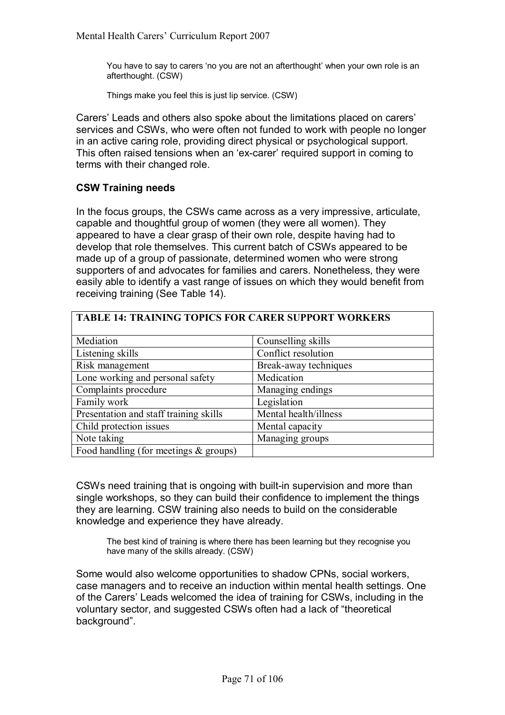You have to say to carers 'no you are not an afterthought' when your own role is an afterthought. (CSW)

Things make you feel this is just lip service. (CSW)

Carers' Leads and others also spoke about the limitations placed on carers' services and CSWs, who were often not funded to work with people no longer in an active caring role, providing direct physical or psychological support. This often raised tensions when an 'ex-carer' required support in coming to terms with their changed role.

### **CSW Training needs**

In the focus groups, the CSWs came across as a very impressive, articulate, capable and thoughtful group of women (they were all women). They appeared to have a clear grasp of their own role, despite having had to develop that role themselves. This current batch of CSWs appeared to be made up of a group of passionate, determined women who were strong supporters of and advocates for families and carers. Nonetheless, they were easily able to identify a vast range of issues on which they would benefit from receiving training (See Table 14).

| TABLE 14: TRAINING TOPICS FOR CARER SUPPORT WORKERS |  |
|-----------------------------------------------------|--|
|-----------------------------------------------------|--|

| Mediation                               | Counselling skills    |
|-----------------------------------------|-----------------------|
| Listening skills                        | Conflict resolution   |
| Risk management                         | Break-away techniques |
| Lone working and personal safety        | Medication            |
| Complaints procedure                    | Managing endings      |
| Family work                             | Legislation           |
| Presentation and staff training skills  | Mental health/illness |
| Child protection issues                 | Mental capacity       |
| Note taking                             | Managing groups       |
| Food handling (for meetings $&$ groups) |                       |

CSWs need training that is ongoing with built-in supervision and more than single workshops, so they can build their confidence to implement the things they are learning. CSW training also needs to build on the considerable knowledge and experience they have already.

 The best kind of training is where there has been learning but they recognise you have many of the skills already. (CSW)

Some would also welcome opportunities to shadow CPNs, social workers, case managers and to receive an induction within mental health settings. One of the Carersí Leads welcomed the idea of training for CSWs, including in the voluntary sector, and suggested CSWs often had a lack of "theoretical background".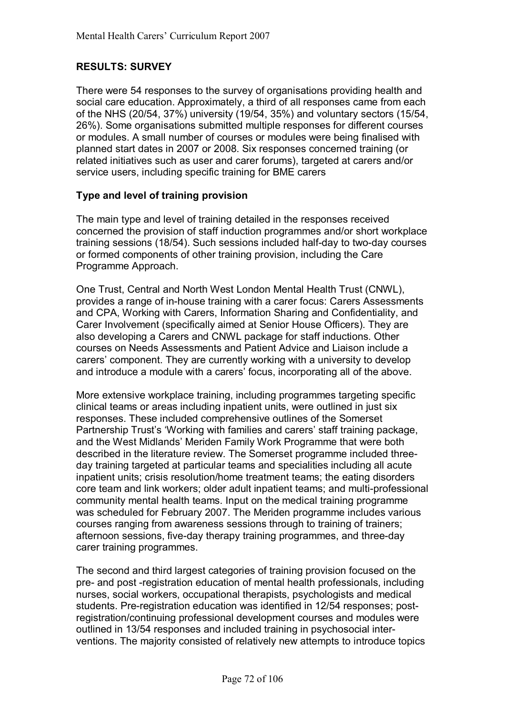# **RESULTS: SURVEY**

There were 54 responses to the survey of organisations providing health and social care education. Approximately, a third of all responses came from each of the NHS (20/54, 37%) university (19/54, 35%) and voluntary sectors (15/54, 26%). Some organisations submitted multiple responses for different courses or modules. A small number of courses or modules were being finalised with planned start dates in 2007 or 2008. Six responses concerned training (or related initiatives such as user and carer forums), targeted at carers and/or service users, including specific training for BME carers

### **Type and level of training provision**

The main type and level of training detailed in the responses received concerned the provision of staff induction programmes and/or short workplace training sessions (18/54). Such sessions included half-day to two-day courses or formed components of other training provision, including the Care Programme Approach.

One Trust, Central and North West London Mental Health Trust (CNWL), provides a range of in-house training with a carer focus: Carers Assessments and CPA, Working with Carers, Information Sharing and Confidentiality, and Carer Involvement (specifically aimed at Senior House Officers). They are also developing a Carers and CNWL package for staff inductions. Other courses on Needs Assessments and Patient Advice and Liaison include a carers' component. They are currently working with a university to develop and introduce a module with a carers' focus, incorporating all of the above.

More extensive workplace training, including programmes targeting specific clinical teams or areas including inpatient units, were outlined in just six responses. These included comprehensive outlines of the Somerset Partnership Trust's 'Working with families and carers' staff training package, and the West Midlandsí Meriden Family Work Programme that were both described in the literature review. The Somerset programme included threeday training targeted at particular teams and specialities including all acute inpatient units; crisis resolution/home treatment teams; the eating disorders core team and link workers; older adult inpatient teams; and multi-professional community mental health teams. Input on the medical training programme was scheduled for February 2007. The Meriden programme includes various courses ranging from awareness sessions through to training of trainers; afternoon sessions, five-day therapy training programmes, and three-day carer training programmes.

The second and third largest categories of training provision focused on the pre- and post -registration education of mental health professionals, including nurses, social workers, occupational therapists, psychologists and medical students. Pre-registration education was identified in 12/54 responses; postregistration/continuing professional development courses and modules were outlined in 13/54 responses and included training in psychosocial interventions. The majority consisted of relatively new attempts to introduce topics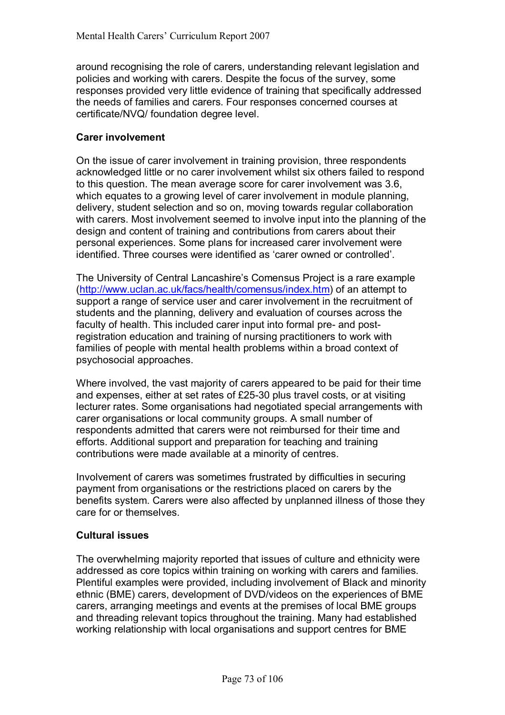around recognising the role of carers, understanding relevant legislation and policies and working with carers. Despite the focus of the survey, some responses provided very little evidence of training that specifically addressed the needs of families and carers. Four responses concerned courses at certificate/NVQ/ foundation degree level.

# **Carer involvement**

On the issue of carer involvement in training provision, three respondents acknowledged little or no carer involvement whilst six others failed to respond to this question. The mean average score for carer involvement was 3.6, which equates to a growing level of carer involvement in module planning, delivery, student selection and so on, moving towards regular collaboration with carers. Most involvement seemed to involve input into the planning of the design and content of training and contributions from carers about their personal experiences. Some plans for increased carer involvement were identified. Three courses were identified as 'carer owned or controlled'.

The University of Central Lancashire's Comensus Project is a rare example (http://www.uclan.ac.uk/facs/health/comensus/index.htm) of an attempt to support a range of service user and carer involvement in the recruitment of students and the planning, delivery and evaluation of courses across the faculty of health. This included carer input into formal pre- and postregistration education and training of nursing practitioners to work with families of people with mental health problems within a broad context of psychosocial approaches.

Where involved, the vast majority of carers appeared to be paid for their time and expenses, either at set rates of £25-30 plus travel costs, or at visiting lecturer rates. Some organisations had negotiated special arrangements with carer organisations or local community groups. A small number of respondents admitted that carers were not reimbursed for their time and efforts. Additional support and preparation for teaching and training contributions were made available at a minority of centres.

Involvement of carers was sometimes frustrated by difficulties in securing payment from organisations or the restrictions placed on carers by the benefits system. Carers were also affected by unplanned illness of those they care for or themselves.

# **Cultural issues**

The overwhelming majority reported that issues of culture and ethnicity were addressed as core topics within training on working with carers and families. Plentiful examples were provided, including involvement of Black and minority ethnic (BME) carers, development of DVD/videos on the experiences of BME carers, arranging meetings and events at the premises of local BME groups and threading relevant topics throughout the training. Many had established working relationship with local organisations and support centres for BME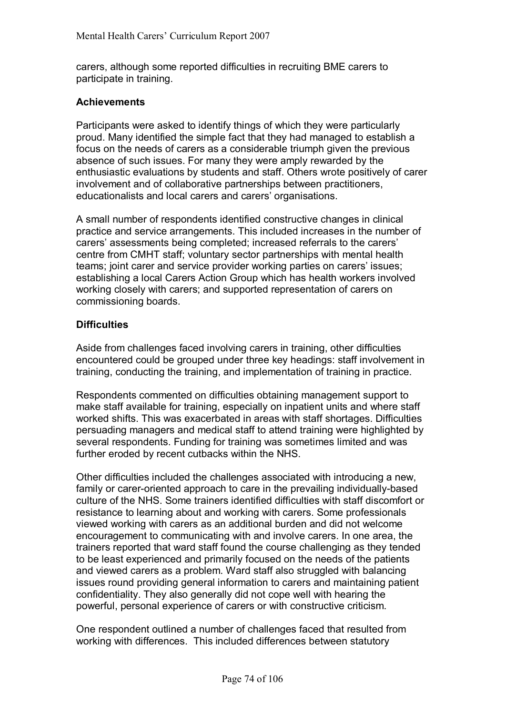carers, although some reported difficulties in recruiting BME carers to participate in training.

# **Achievements**

Participants were asked to identify things of which they were particularly proud. Many identified the simple fact that they had managed to establish a focus on the needs of carers as a considerable triumph given the previous absence of such issues. For many they were amply rewarded by the enthusiastic evaluations by students and staff. Others wrote positively of carer involvement and of collaborative partnerships between practitioners, educationalists and local carers and carers' organisations.

A small number of respondents identified constructive changes in clinical practice and service arrangements. This included increases in the number of carers' assessments being completed; increased referrals to the carers' centre from CMHT staff; voluntary sector partnerships with mental health teams; joint carer and service provider working parties on carers' issues; establishing a local Carers Action Group which has health workers involved working closely with carers; and supported representation of carers on commissioning boards.

# **Difficulties**

Aside from challenges faced involving carers in training, other difficulties encountered could be grouped under three key headings: staff involvement in training, conducting the training, and implementation of training in practice.

Respondents commented on difficulties obtaining management support to make staff available for training, especially on inpatient units and where staff worked shifts. This was exacerbated in areas with staff shortages. Difficulties persuading managers and medical staff to attend training were highlighted by several respondents. Funding for training was sometimes limited and was further eroded by recent cutbacks within the NHS.

Other difficulties included the challenges associated with introducing a new, family or carer-oriented approach to care in the prevailing individually-based culture of the NHS. Some trainers identified difficulties with staff discomfort or resistance to learning about and working with carers. Some professionals viewed working with carers as an additional burden and did not welcome encouragement to communicating with and involve carers. In one area, the trainers reported that ward staff found the course challenging as they tended to be least experienced and primarily focused on the needs of the patients and viewed carers as a problem. Ward staff also struggled with balancing issues round providing general information to carers and maintaining patient confidentiality. They also generally did not cope well with hearing the powerful, personal experience of carers or with constructive criticism.

One respondent outlined a number of challenges faced that resulted from working with differences. This included differences between statutory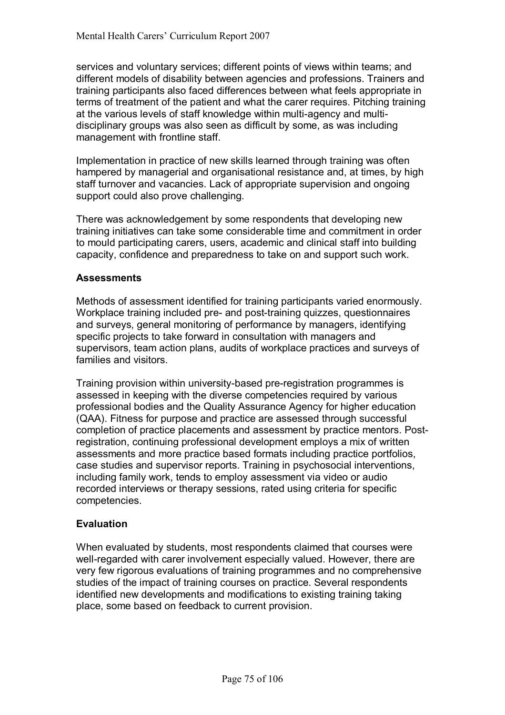services and voluntary services; different points of views within teams; and different models of disability between agencies and professions. Trainers and training participants also faced differences between what feels appropriate in terms of treatment of the patient and what the carer requires. Pitching training at the various levels of staff knowledge within multi-agency and multidisciplinary groups was also seen as difficult by some, as was including management with frontline staff.

Implementation in practice of new skills learned through training was often hampered by managerial and organisational resistance and, at times, by high staff turnover and vacancies. Lack of appropriate supervision and ongoing support could also prove challenging.

There was acknowledgement by some respondents that developing new training initiatives can take some considerable time and commitment in order to mould participating carers, users, academic and clinical staff into building capacity, confidence and preparedness to take on and support such work.

# **Assessments**

Methods of assessment identified for training participants varied enormously. Workplace training included pre- and post-training quizzes, questionnaires and surveys, general monitoring of performance by managers, identifying specific projects to take forward in consultation with managers and supervisors, team action plans, audits of workplace practices and surveys of families and visitors.

Training provision within university-based pre-registration programmes is assessed in keeping with the diverse competencies required by various professional bodies and the Quality Assurance Agency for higher education (QAA). Fitness for purpose and practice are assessed through successful completion of practice placements and assessment by practice mentors. Postregistration, continuing professional development employs a mix of written assessments and more practice based formats including practice portfolios, case studies and supervisor reports. Training in psychosocial interventions, including family work, tends to employ assessment via video or audio recorded interviews or therapy sessions, rated using criteria for specific competencies.

# **Evaluation**

When evaluated by students, most respondents claimed that courses were well-regarded with carer involvement especially valued. However, there are very few rigorous evaluations of training programmes and no comprehensive studies of the impact of training courses on practice. Several respondents identified new developments and modifications to existing training taking place, some based on feedback to current provision.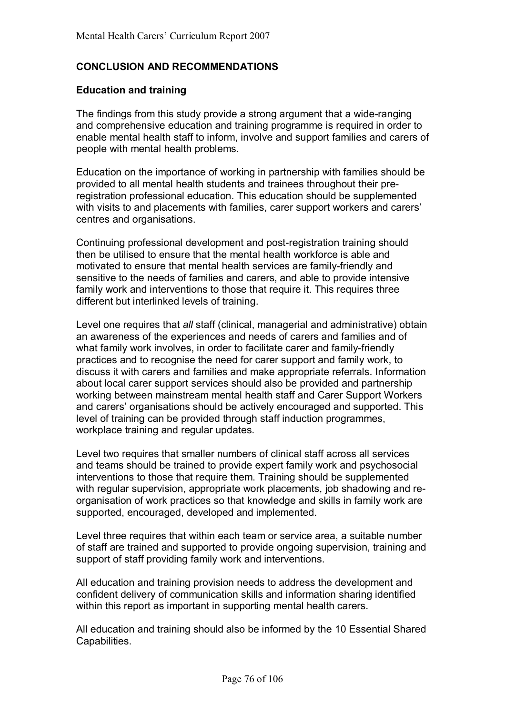# **CONCLUSION AND RECOMMENDATIONS**

# **Education and training**

The findings from this study provide a strong argument that a wide-ranging and comprehensive education and training programme is required in order to enable mental health staff to inform, involve and support families and carers of people with mental health problems.

Education on the importance of working in partnership with families should be provided to all mental health students and trainees throughout their preregistration professional education. This education should be supplemented with visits to and placements with families, carer support workers and carers' centres and organisations.

Continuing professional development and post-registration training should then be utilised to ensure that the mental health workforce is able and motivated to ensure that mental health services are family-friendly and sensitive to the needs of families and carers, and able to provide intensive family work and interventions to those that require it. This requires three different but interlinked levels of training.

Level one requires that *all* staff (clinical, managerial and administrative) obtain an awareness of the experiences and needs of carers and families and of what family work involves, in order to facilitate carer and family-friendly practices and to recognise the need for carer support and family work, to discuss it with carers and families and make appropriate referrals. Information about local carer support services should also be provided and partnership working between mainstream mental health staff and Carer Support Workers and carers' organisations should be actively encouraged and supported. This level of training can be provided through staff induction programmes, workplace training and regular updates.

Level two requires that smaller numbers of clinical staff across all services and teams should be trained to provide expert family work and psychosocial interventions to those that require them. Training should be supplemented with regular supervision, appropriate work placements, job shadowing and reorganisation of work practices so that knowledge and skills in family work are supported, encouraged, developed and implemented.

Level three requires that within each team or service area, a suitable number of staff are trained and supported to provide ongoing supervision, training and support of staff providing family work and interventions.

All education and training provision needs to address the development and confident delivery of communication skills and information sharing identified within this report as important in supporting mental health carers.

All education and training should also be informed by the 10 Essential Shared Capabilities.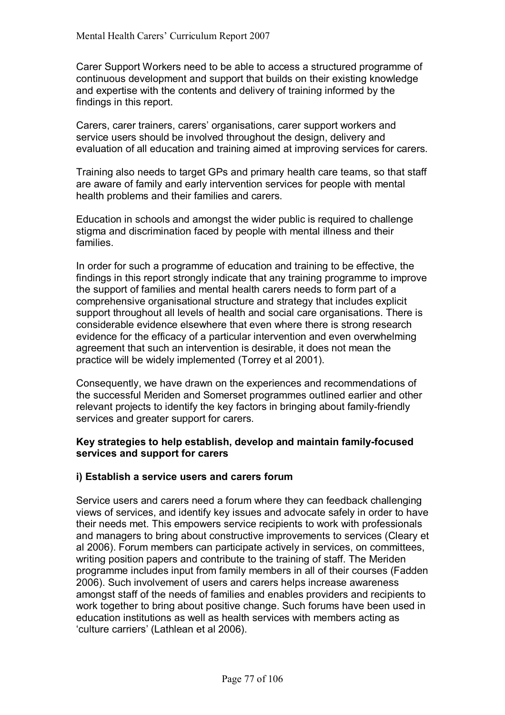Carer Support Workers need to be able to access a structured programme of continuous development and support that builds on their existing knowledge and expertise with the contents and delivery of training informed by the findings in this report.

Carers, carer trainers, carersí organisations, carer support workers and service users should be involved throughout the design, delivery and evaluation of all education and training aimed at improving services for carers.

Training also needs to target GPs and primary health care teams, so that staff are aware of family and early intervention services for people with mental health problems and their families and carers.

Education in schools and amongst the wider public is required to challenge stigma and discrimination faced by people with mental illness and their families.

In order for such a programme of education and training to be effective, the findings in this report strongly indicate that any training programme to improve the support of families and mental health carers needs to form part of a comprehensive organisational structure and strategy that includes explicit support throughout all levels of health and social care organisations. There is considerable evidence elsewhere that even where there is strong research evidence for the efficacy of a particular intervention and even overwhelming agreement that such an intervention is desirable, it does not mean the practice will be widely implemented (Torrey et al 2001).

Consequently, we have drawn on the experiences and recommendations of the successful Meriden and Somerset programmes outlined earlier and other relevant projects to identify the key factors in bringing about family-friendly services and greater support for carers.

# **Key strategies to help establish, develop and maintain family-focused services and support for carers**

# **i) Establish a service users and carers forum**

Service users and carers need a forum where they can feedback challenging views of services, and identify key issues and advocate safely in order to have their needs met. This empowers service recipients to work with professionals and managers to bring about constructive improvements to services (Cleary et al 2006). Forum members can participate actively in services, on committees, writing position papers and contribute to the training of staff. The Meriden programme includes input from family members in all of their courses (Fadden 2006). Such involvement of users and carers helps increase awareness amongst staff of the needs of families and enables providers and recipients to work together to bring about positive change. Such forums have been used in education institutions as well as health services with members acting as 'culture carriers' (Lathlean et al 2006).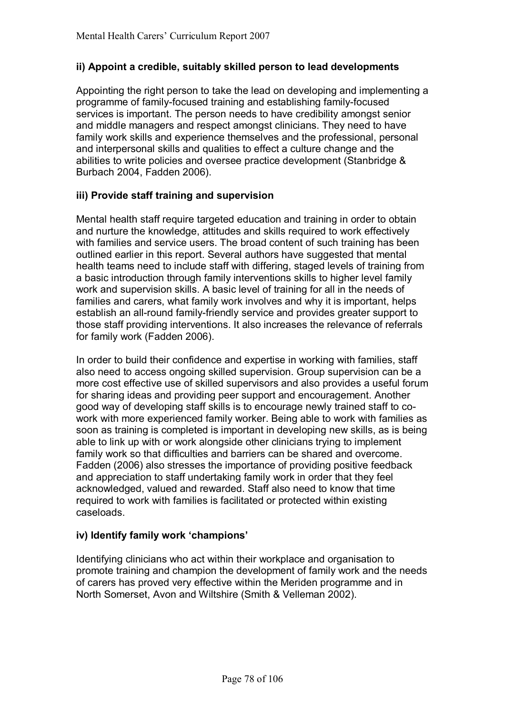# **ii) Appoint a credible, suitably skilled person to lead developments**

Appointing the right person to take the lead on developing and implementing a programme of family-focused training and establishing family-focused services is important. The person needs to have credibility amongst senior and middle managers and respect amongst clinicians. They need to have family work skills and experience themselves and the professional, personal and interpersonal skills and qualities to effect a culture change and the abilities to write policies and oversee practice development (Stanbridge & Burbach 2004, Fadden 2006).

# **iii) Provide staff training and supervision**

Mental health staff require targeted education and training in order to obtain and nurture the knowledge, attitudes and skills required to work effectively with families and service users. The broad content of such training has been outlined earlier in this report. Several authors have suggested that mental health teams need to include staff with differing, staged levels of training from a basic introduction through family interventions skills to higher level family work and supervision skills. A basic level of training for all in the needs of families and carers, what family work involves and why it is important, helps establish an all-round family-friendly service and provides greater support to those staff providing interventions. It also increases the relevance of referrals for family work (Fadden 2006).

In order to build their confidence and expertise in working with families, staff also need to access ongoing skilled supervision. Group supervision can be a more cost effective use of skilled supervisors and also provides a useful forum for sharing ideas and providing peer support and encouragement. Another good way of developing staff skills is to encourage newly trained staff to cowork with more experienced family worker. Being able to work with families as soon as training is completed is important in developing new skills, as is being able to link up with or work alongside other clinicians trying to implement family work so that difficulties and barriers can be shared and overcome. Fadden (2006) also stresses the importance of providing positive feedback and appreciation to staff undertaking family work in order that they feel acknowledged, valued and rewarded. Staff also need to know that time required to work with families is facilitated or protected within existing caseloads.

# iv) Identify family work 'champions'

Identifying clinicians who act within their workplace and organisation to promote training and champion the development of family work and the needs of carers has proved very effective within the Meriden programme and in North Somerset, Avon and Wiltshire (Smith & Velleman 2002).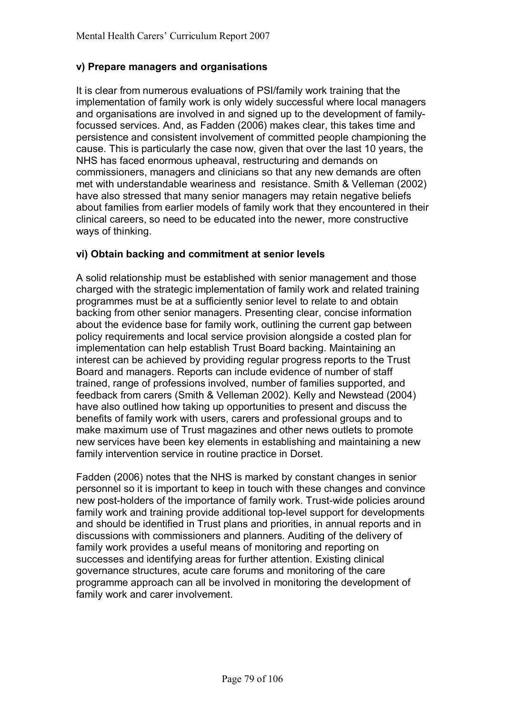# **v) Prepare managers and organisations**

It is clear from numerous evaluations of PSI/family work training that the implementation of family work is only widely successful where local managers and organisations are involved in and signed up to the development of familyfocussed services. And, as Fadden (2006) makes clear, this takes time and persistence and consistent involvement of committed people championing the cause. This is particularly the case now, given that over the last 10 years, the NHS has faced enormous upheaval, restructuring and demands on commissioners, managers and clinicians so that any new demands are often met with understandable weariness and resistance. Smith & Velleman (2002) have also stressed that many senior managers may retain negative beliefs about families from earlier models of family work that they encountered in their clinical careers, so need to be educated into the newer, more constructive ways of thinking.

# **vi) Obtain backing and commitment at senior levels**

A solid relationship must be established with senior management and those charged with the strategic implementation of family work and related training programmes must be at a sufficiently senior level to relate to and obtain backing from other senior managers. Presenting clear, concise information about the evidence base for family work, outlining the current gap between policy requirements and local service provision alongside a costed plan for implementation can help establish Trust Board backing. Maintaining an interest can be achieved by providing regular progress reports to the Trust Board and managers. Reports can include evidence of number of staff trained, range of professions involved, number of families supported, and feedback from carers (Smith & Velleman 2002). Kelly and Newstead (2004) have also outlined how taking up opportunities to present and discuss the benefits of family work with users, carers and professional groups and to make maximum use of Trust magazines and other news outlets to promote new services have been key elements in establishing and maintaining a new family intervention service in routine practice in Dorset.

Fadden (2006) notes that the NHS is marked by constant changes in senior personnel so it is important to keep in touch with these changes and convince new post-holders of the importance of family work. Trust-wide policies around family work and training provide additional top-level support for developments and should be identified in Trust plans and priorities, in annual reports and in discussions with commissioners and planners. Auditing of the delivery of family work provides a useful means of monitoring and reporting on successes and identifying areas for further attention. Existing clinical governance structures, acute care forums and monitoring of the care programme approach can all be involved in monitoring the development of family work and carer involvement.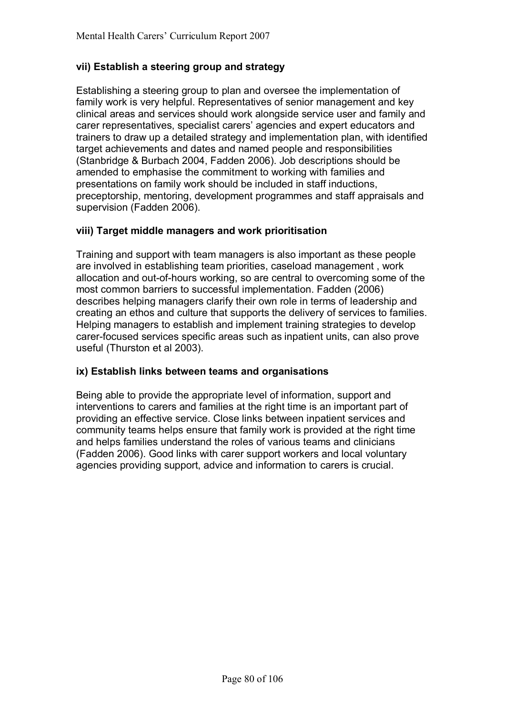# **vii) Establish a steering group and strategy**

Establishing a steering group to plan and oversee the implementation of family work is very helpful. Representatives of senior management and key clinical areas and services should work alongside service user and family and carer representatives, specialist carers' agencies and expert educators and trainers to draw up a detailed strategy and implementation plan, with identified target achievements and dates and named people and responsibilities (Stanbridge & Burbach 2004, Fadden 2006). Job descriptions should be amended to emphasise the commitment to working with families and presentations on family work should be included in staff inductions, preceptorship, mentoring, development programmes and staff appraisals and supervision (Fadden 2006).

# **viii) Target middle managers and work prioritisation**

Training and support with team managers is also important as these people are involved in establishing team priorities, caseload management , work allocation and out-of-hours working, so are central to overcoming some of the most common barriers to successful implementation. Fadden (2006) describes helping managers clarify their own role in terms of leadership and creating an ethos and culture that supports the delivery of services to families. Helping managers to establish and implement training strategies to develop carer-focused services specific areas such as inpatient units, can also prove useful (Thurston et al 2003).

# **ix) Establish links between teams and organisations**

Being able to provide the appropriate level of information, support and interventions to carers and families at the right time is an important part of providing an effective service. Close links between inpatient services and community teams helps ensure that family work is provided at the right time and helps families understand the roles of various teams and clinicians (Fadden 2006). Good links with carer support workers and local voluntary agencies providing support, advice and information to carers is crucial.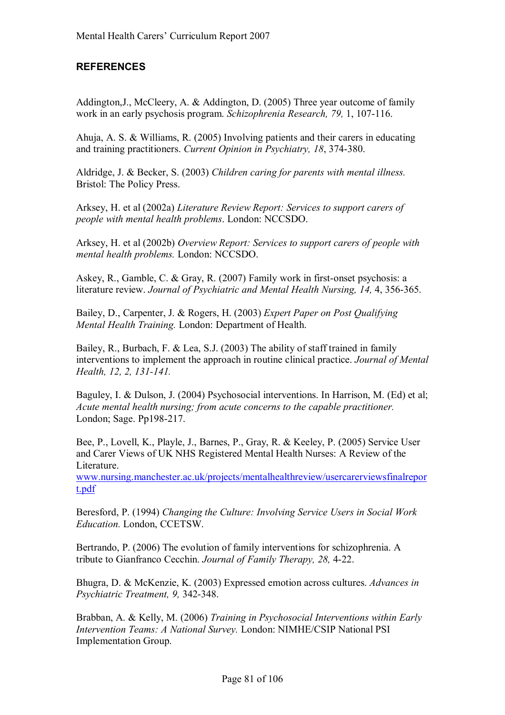# **REFERENCES**

Addington,J., McCleery, A. & Addington, D. (2005) Three year outcome of family work in an early psychosis program. *Schizophrenia Research, 79,* 1, 107-116.

Ahuja, A. S. & Williams, R. (2005) Involving patients and their carers in educating and training practitioners. *Current Opinion in Psychiatry, 18*, 374-380.

Aldridge, J. & Becker, S. (2003) *Children caring for parents with mental illness.* Bristol: The Policy Press.

Arksey, H. et al (2002a) *Literature Review Report: Services to support carers of people with mental health problems*. London: NCCSDO.

Arksey, H. et al (2002b) *Overview Report: Services to support carers of people with mental health problems.* London: NCCSDO.

Askey, R., Gamble, C. & Gray, R. (2007) Family work in first-onset psychosis: a literature review. *Journal of Psychiatric and Mental Health Nursing, 14,* 4, 356-365.

Bailey, D., Carpenter, J. & Rogers, H. (2003) *Expert Paper on Post Qualifying Mental Health Training.* London: Department of Health.

Bailey, R., Burbach, F. & Lea, S.J. (2003) The ability of staff trained in family interventions to implement the approach in routine clinical practice. *Journal of Mental Health, 12, 2, 131-141.* 

Baguley, I. & Dulson, J. (2004) Psychosocial interventions. In Harrison, M. (Ed) et al; *Acute mental health nursing; from acute concerns to the capable practitioner.* London; Sage. Pp198-217.

Bee, P., Lovell, K., Playle, J., Barnes, P., Gray, R. & Keeley, P. (2005) Service User and Carer Views of UK NHS Registered Mental Health Nurses: A Review of the Literature.

www.nursing.manchester.ac.uk/projects/mentalhealthreview/usercarerviewsfinalrepor t.pdf

Beresford, P. (1994) *Changing the Culture: Involving Service Users in Social Work Education.* London, CCETSW.

Bertrando, P. (2006) The evolution of family interventions for schizophrenia. A tribute to Gianfranco Cecchin. *Journal of Family Therapy, 28,* 4-22.

Bhugra, D. & McKenzie, K. (2003) Expressed emotion across cultures. *Advances in Psychiatric Treatment, 9,* 342-348.

Brabban, A. & Kelly, M. (2006) *Training in Psychosocial Interventions within Early Intervention Teams: A National Survey.* London: NIMHE/CSIP National PSI Implementation Group.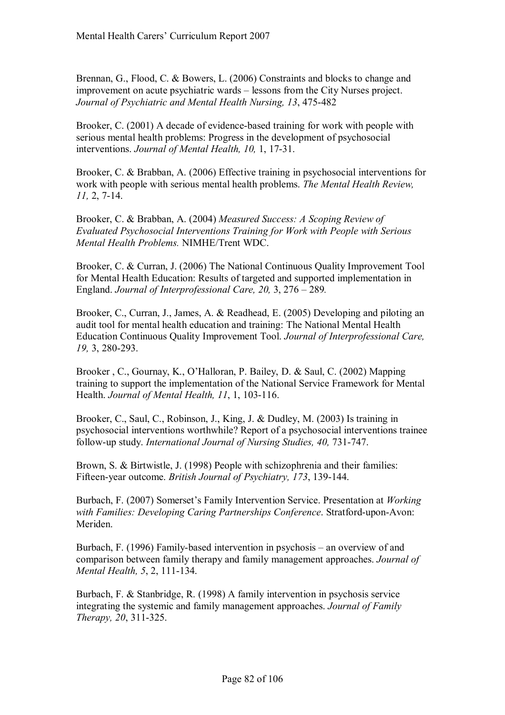Brennan, G., Flood, C. & Bowers, L. (2006) Constraints and blocks to change and improvement on acute psychiatric wards – lessons from the City Nurses project. *Journal of Psychiatric and Mental Health Nursing, 13*, 475-482

Brooker, C. (2001) A decade of evidence-based training for work with people with serious mental health problems: Progress in the development of psychosocial interventions. *Journal of Mental Health, 10,* 1, 17-31.

Brooker, C. & Brabban, A. (2006) Effective training in psychosocial interventions for work with people with serious mental health problems. *The Mental Health Review, 11,* 2, 7-14.

Brooker, C. & Brabban, A. (2004) *Measured Success: A Scoping Review of Evaluated Psychosocial Interventions Training for Work with People with Serious Mental Health Problems.* NIMHE/Trent WDC.

Brooker, C. & Curran, J. (2006) The National Continuous Quality Improvement Tool for Mental Health Education: Results of targeted and supported implementation in England. *Journal of Interprofessional Care, 20, 3, 276 – 289.* 

Brooker, C., Curran, J., James, A. & Readhead, E. (2005) Developing and piloting an audit tool for mental health education and training: The National Mental Health Education Continuous Quality Improvement Tool. *Journal of Interprofessional Care, 19,* 3, 280-293.

Brooker, C., Gournay, K., O'Halloran, P. Bailey, D. & Saul, C. (2002) Mapping training to support the implementation of the National Service Framework for Mental Health. *Journal of Mental Health, 11*, 1, 103-116.

Brooker, C., Saul, C., Robinson, J., King, J. & Dudley, M. (2003) Is training in psychosocial interventions worthwhile? Report of a psychosocial interventions trainee follow-up study. *International Journal of Nursing Studies, 40,* 731-747.

Brown, S. & Birtwistle, J. (1998) People with schizophrenia and their families: Fifteen-year outcome. *British Journal of Psychiatry, 173*, 139-144.

Burbach, F. (2007) Somerset's Family Intervention Service. Presentation at *Working with Families: Developing Caring Partnerships Conference*. Stratford-upon-Avon: Meriden.

Burbach, F. (1996) Family-based intervention in psychosis – an overview of and comparison between family therapy and family management approaches. *Journal of Mental Health, 5*, 2, 111-134.

Burbach, F. & Stanbridge, R. (1998) A family intervention in psychosis service integrating the systemic and family management approaches. *Journal of Family Therapy, 20*, 311-325.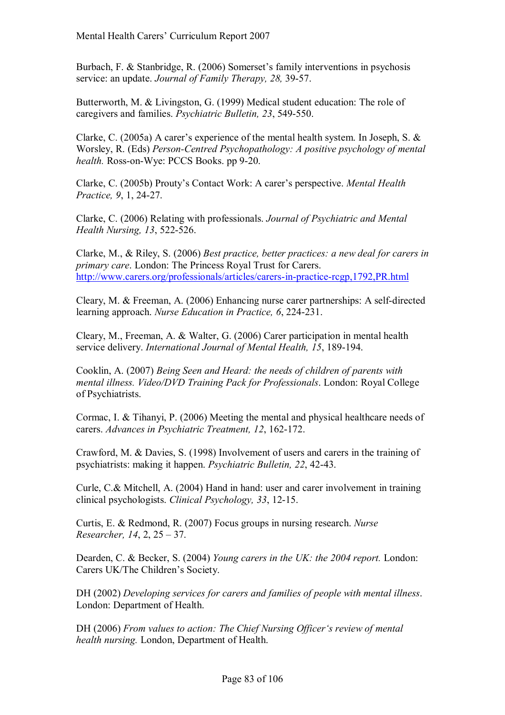Burbach, F. & Stanbridge, R.  $(2006)$  Somerset's family interventions in psychosis service: an update. *Journal of Family Therapy, 28,* 39-57.

Butterworth, M. & Livingston, G. (1999) Medical student education: The role of caregivers and families. *Psychiatric Bulletin, 23*, 549-550.

Clarke, C. (2005a) A carer's experience of the mental health system. In Joseph, S.  $\&$ Worsley, R. (Eds) *Person-Centred Psychopathology: A positive psychology of mental health.* Ross-on-Wye: PCCS Books. pp 9-20.

Clarke, C. (2005b) Prouty's Contact Work: A carer's perspective. *Mental Health Practice, 9*, 1, 24-27.

Clarke, C. (2006) Relating with professionals. *Journal of Psychiatric and Mental Health Nursing, 13*, 522-526.

Clarke, M., & Riley, S. (2006) *Best practice, better practices: a new deal for carers in primary care*. London: The Princess Royal Trust for Carers. http://www.carers.org/professionals/articles/carers-in-practice-rcgp,1792,PR.html

Cleary, M. & Freeman, A. (2006) Enhancing nurse carer partnerships: A self-directed learning approach. *Nurse Education in Practice, 6*, 224-231.

Cleary, M., Freeman, A. & Walter, G. (2006) Carer participation in mental health service delivery. *International Journal of Mental Health, 15*, 189-194.

Cooklin, A. (2007) *Being Seen and Heard: the needs of children of parents with mental illness. Video/DVD Training Pack for Professionals*. London: Royal College of Psychiatrists.

Cormac, I. & Tihanyi, P. (2006) Meeting the mental and physical healthcare needs of carers. *Advances in Psychiatric Treatment, 12*, 162-172.

Crawford, M. & Davies, S. (1998) Involvement of users and carers in the training of psychiatrists: making it happen. *Psychiatric Bulletin, 22*, 42-43.

Curle, C.& Mitchell, A. (2004) Hand in hand: user and carer involvement in training clinical psychologists. *Clinical Psychology, 33*, 12-15.

Curtis, E. & Redmond, R. (2007) Focus groups in nursing research. *Nurse Researcher, 14, 2,*  $25 - 37$ *.* 

Dearden, C. & Becker, S. (2004) *Young carers in the UK: the 2004 report.* London: Carers UK/The Children's Society.

DH (2002) *Developing services for carers and families of people with mental illness*. London: Department of Health.

DH (2006) *From values to action: The Chief Nursing Officer's review of mental health nursing.* London, Department of Health.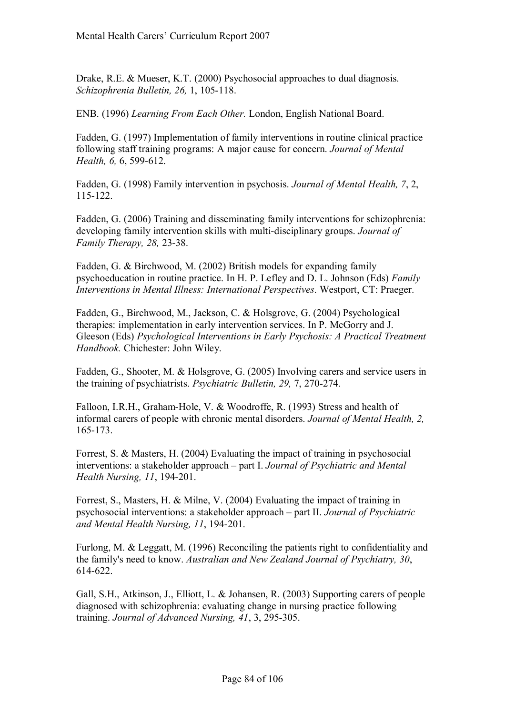Drake, R.E. & Mueser, K.T. (2000) Psychosocial approaches to dual diagnosis. *Schizophrenia Bulletin, 26,* 1, 105-118.

ENB. (1996) *Learning From Each Other.* London, English National Board.

Fadden, G. (1997) Implementation of family interventions in routine clinical practice following staff training programs: A major cause for concern. *Journal of Mental Health, 6,* 6, 599-612.

Fadden, G. (1998) Family intervention in psychosis. *Journal of Mental Health, 7*, 2, 115-122.

Fadden, G. (2006) Training and disseminating family interventions for schizophrenia: developing family intervention skills with multi-disciplinary groups. *Journal of Family Therapy, 28,* 23-38.

Fadden, G. & Birchwood, M. (2002) British models for expanding family psychoeducation in routine practice. In H. P. Lefley and D. L. Johnson (Eds) *Family Interventions in Mental Illness: International Perspectives*. Westport, CT: Praeger.

Fadden, G., Birchwood, M., Jackson, C. & Holsgrove, G. (2004) Psychological therapies: implementation in early intervention services. In P. McGorry and J. Gleeson (Eds) *Psychological Interventions in Early Psychosis: A Practical Treatment Handbook.* Chichester: John Wiley.

Fadden, G., Shooter, M. & Holsgrove, G. (2005) Involving carers and service users in the training of psychiatrists. *Psychiatric Bulletin, 29,* 7, 270-274.

Falloon, I.R.H., Graham-Hole, V. & Woodroffe, R. (1993) Stress and health of informal carers of people with chronic mental disorders. *Journal of Mental Health, 2,*  165-173.

Forrest, S. & Masters, H. (2004) Evaluating the impact of training in psychosocial interventions: a stakeholder approach – part I. *Journal of Psychiatric and Mental Health Nursing, 11*, 194-201.

Forrest, S., Masters, H. & Milne, V. (2004) Evaluating the impact of training in psychosocial interventions: a stakeholder approach – part II. *Journal of Psychiatric and Mental Health Nursing, 11*, 194-201.

Furlong, M. & Leggatt, M. (1996) Reconciling the patients right to confidentiality and the family's need to know. *Australian and New Zealand Journal of Psychiatry, 30*, 614-622.

Gall, S.H., Atkinson, J., Elliott, L. & Johansen, R. (2003) Supporting carers of people diagnosed with schizophrenia: evaluating change in nursing practice following training. *Journal of Advanced Nursing, 41*, 3, 295-305.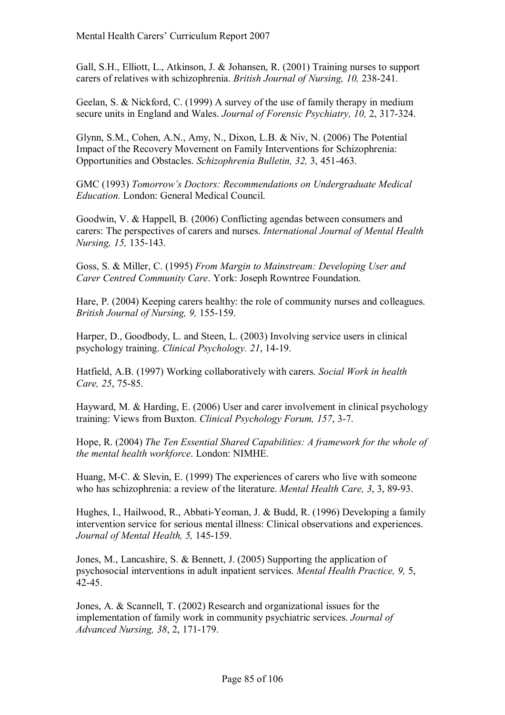Gall, S.H., Elliott, L., Atkinson, J. & Johansen, R. (2001) Training nurses to support carers of relatives with schizophrenia. *British Journal of Nursing, 10,* 238-241.

Geelan, S. & Nickford, C. (1999) A survey of the use of family therapy in medium secure units in England and Wales. *Journal of Forensic Psychiatry, 10,* 2, 317-324.

Glynn, S.M., Cohen, A.N., Amy, N., Dixon, L.B. & Niv, N. (2006) The Potential Impact of the Recovery Movement on Family Interventions for Schizophrenia: Opportunities and Obstacles. *Schizophrenia Bulletin, 32,* 3, 451-463.

GMC (1993) *Tomorrowís Doctors: Recommendations on Undergraduate Medical Education.* London: General Medical Council.

Goodwin, V. & Happell, B. (2006) Conflicting agendas between consumers and carers: The perspectives of carers and nurses. *International Journal of Mental Health Nursing, 15,* 135-143.

Goss, S. & Miller, C. (1995) *From Margin to Mainstream: Developing User and Carer Centred Community Care*. York: Joseph Rowntree Foundation.

Hare, P. (2004) Keeping carers healthy: the role of community nurses and colleagues. *British Journal of Nursing, 9,* 155-159.

Harper, D., Goodbody, L. and Steen, L. (2003) Involving service users in clinical psychology training. *Clinical Psychology. 21*, 14-19.

Hatfield, A.B. (1997) Working collaboratively with carers. *Social Work in health Care, 25*, 75-85.

Hayward, M. & Harding, E. (2006) User and carer involvement in clinical psychology training: Views from Buxton. *Clinical Psychology Forum, 157*, 3-7.

Hope, R. (2004) *The Ten Essential Shared Capabilities: A framework for the whole of the mental health workforce*. London: NIMHE.

Huang, M-C. & Slevin, E. (1999) The experiences of carers who live with someone who has schizophrenia: a review of the literature. *Mental Health Care, 3*, 3, 89-93.

Hughes, I., Hailwood, R., Abbati-Yeoman, J. & Budd, R. (1996) Developing a family intervention service for serious mental illness: Clinical observations and experiences. *Journal of Mental Health, 5,* 145-159.

Jones, M., Lancashire, S. & Bennett, J. (2005) Supporting the application of psychosocial interventions in adult inpatient services. *Mental Health Practice, 9,* 5, 42-45.

Jones, A. & Scannell, T. (2002) Research and organizational issues for the implementation of family work in community psychiatric services. *Journal of Advanced Nursing, 38*, 2, 171-179.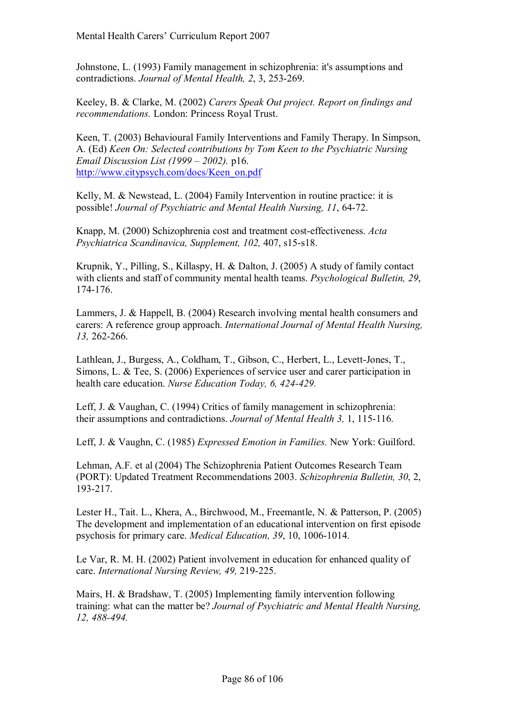Johnstone, L. (1993) Family management in schizophrenia: it's assumptions and contradictions. *Journal of Mental Health, 2*, 3, 253-269.

Keeley, B. & Clarke, M. (2002) *Carers Speak Out project. Report on findings and recommendations.* London: Princess Royal Trust.

Keen, T. (2003) Behavioural Family Interventions and Family Therapy. In Simpson, A. (Ed) *Keen On: Selected contributions by Tom Keen to the Psychiatric Nursing Email Discussion List (1999 – 2002).* p16. http://www.citypsych.com/docs/Keen\_on.pdf

Kelly, M. & Newstead, L. (2004) Family Intervention in routine practice: it is possible! *Journal of Psychiatric and Mental Health Nursing, 11*, 64-72.

Knapp, M. (2000) Schizophrenia cost and treatment cost-effectiveness. *Acta Psychiatrica Scandinavica, Supplement, 102,* 407, s15-s18.

Krupnik, Y., Pilling, S., Killaspy, H. & Dalton, J. (2005) A study of family contact with clients and staff of community mental health teams. *Psychological Bulletin, 29*, 174-176.

Lammers, J. & Happell, B. (2004) Research involving mental health consumers and carers: A reference group approach. *International Journal of Mental Health Nursing, 13,* 262-266.

Lathlean, J., Burgess, A., Coldham, T., Gibson, C., Herbert, L., Levett-Jones, T., Simons, L. & Tee, S. (2006) Experiences of service user and carer participation in health care education. *Nurse Education Today, 6, 424-429.* 

Leff, J. & Vaughan, C. (1994) Critics of family management in schizophrenia: their assumptions and contradictions. *Journal of Mental Health 3,* 1, 115-116.

Leff, J. & Vaughn, C. (1985) *Expressed Emotion in Families.* New York: Guilford.

Lehman, A.F. et al (2004) The Schizophrenia Patient Outcomes Research Team (PORT): Updated Treatment Recommendations 2003. *Schizophrenia Bulletin, 30*, 2, 193-217.

Lester H., Tait. L., Khera, A., Birchwood, M., Freemantle, N. & Patterson, P. (2005) The development and implementation of an educational intervention on first episode psychosis for primary care. *Medical Education, 39*, 10, 1006-1014.

Le Var, R. M. H. (2002) Patient involvement in education for enhanced quality of care. *International Nursing Review, 49,* 219-225.

Mairs, H. & Bradshaw, T. (2005) Implementing family intervention following training: what can the matter be? *Journal of Psychiatric and Mental Health Nursing, 12, 488-494.*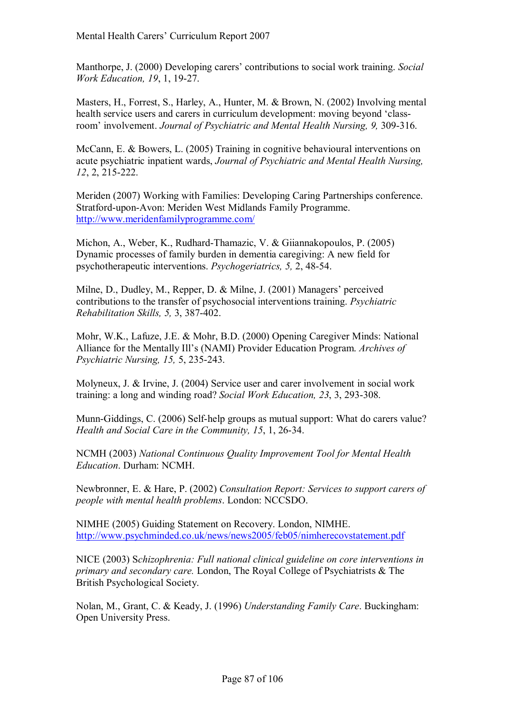Manthorpe, J. (2000) Developing carers' contributions to social work training. *Social Work Education, 19*, 1, 19-27.

Masters, H., Forrest, S., Harley, A., Hunter, M. & Brown, N. (2002) Involving mental health service users and carers in curriculum development: moving beyond 'classroomí involvement. *Journal of Psychiatric and Mental Health Nursing, 9,* 309-316.

McCann, E. & Bowers, L. (2005) Training in cognitive behavioural interventions on acute psychiatric inpatient wards, *Journal of Psychiatric and Mental Health Nursing, 12*, 2, 215-222.

Meriden (2007) Working with Families: Developing Caring Partnerships conference. Stratford-upon-Avon: Meriden West Midlands Family Programme. http://www.meridenfamilyprogramme.com/

Michon, A., Weber, K., Rudhard-Thamazic, V. & Giiannakopoulos, P. (2005) Dynamic processes of family burden in dementia caregiving: A new field for psychotherapeutic interventions. *Psychogeriatrics, 5,* 2, 48-54.

Milne, D., Dudley, M., Repper, D. & Milne, J. (2001) Managers' perceived contributions to the transfer of psychosocial interventions training. *Psychiatric Rehabilitation Skills, 5,* 3, 387-402.

Mohr, W.K., Lafuze, J.E. & Mohr, B.D. (2000) Opening Caregiver Minds: National Alliance for the Mentally Ill's (NAMI) Provider Education Program. *Archives of Psychiatric Nursing, 15,* 5, 235-243.

Molyneux, J. & Irvine, J. (2004) Service user and carer involvement in social work training: a long and winding road? *Social Work Education, 23*, 3, 293-308.

Munn-Giddings, C. (2006) Self-help groups as mutual support: What do carers value? *Health and Social Care in the Community, 15*, 1, 26-34.

NCMH (2003) *National Continuous Quality Improvement Tool for Mental Health Education*. Durham: NCMH.

Newbronner, E. & Hare, P. (2002) *Consultation Report: Services to support carers of people with mental health problems*. London: NCCSDO.

NIMHE (2005) Guiding Statement on Recovery. London, NIMHE. http://www.psychminded.co.uk/news/news2005/feb05/nimherecovstatement.pdf

NICE (2003) S*chizophrenia: Full national clinical guideline on core interventions in primary and secondary care.* London, The Royal College of Psychiatrists & The British Psychological Society.

Nolan, M., Grant, C. & Keady, J. (1996) *Understanding Family Care*. Buckingham: Open University Press.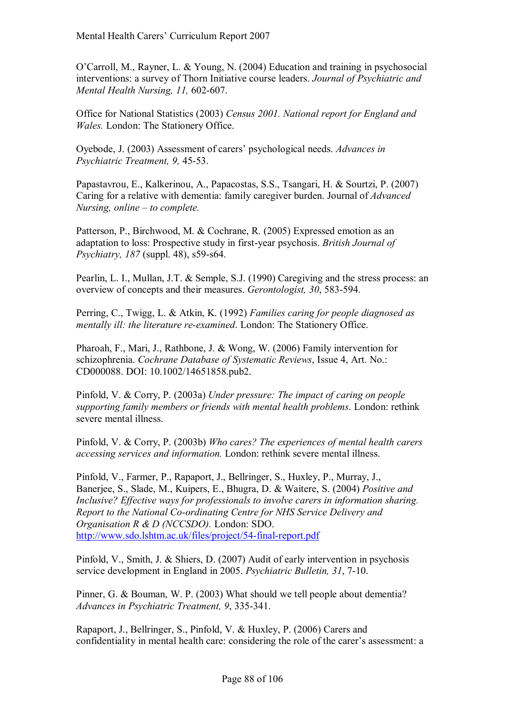O'Carroll, M., Rayner, L. & Young, N. (2004) Education and training in psychosocial interventions: a survey of Thorn Initiative course leaders. *Journal of Psychiatric and Mental Health Nursing, 11,* 602-607.

Office for National Statistics (2003) *Census 2001. National report for England and Wales.* London: The Stationery Office.

Oyebode, J. (2003) Assessment of carers' psychological needs. *Advances in Psychiatric Treatment, 9,* 45-53.

Papastavrou, E., Kalkerinou, A., Papacostas, S.S., Tsangari, H. & Sourtzi, P. (2007) Caring for a relative with dementia: family caregiver burden. Journal of *Advanced Nursing, online – to complete.* 

Patterson, P., Birchwood, M. & Cochrane, R. (2005) Expressed emotion as an adaptation to loss: Prospective study in first-year psychosis. *British Journal of Psychiatry, 187* (suppl. 48), s59-s64.

Pearlin, L. I., Mullan, J.T. & Semple, S.J. (1990) Caregiving and the stress process: an overview of concepts and their measures. *Gerontologist, 30*, 583-594.

Perring, C., Twigg, L. & Atkin, K. (1992) *Families caring for people diagnosed as mentally ill: the literature re-examined*. London: The Stationery Office.

Pharoah, F., Mari, J., Rathbone, J. & Wong, W. (2006) Family intervention for schizophrenia. *Cochrane Database of Systematic Reviews*, Issue 4, Art. No.: CD000088. DOI: 10.1002/14651858.pub2.

Pinfold, V. & Corry, P. (2003a) *Under pressure: The impact of caring on people supporting family members or friends with mental health problems*. London: rethink severe mental illness.

Pinfold, V. & Corry, P. (2003b) *Who cares? The experiences of mental health carers accessing services and information.* London: rethink severe mental illness.

Pinfold, V., Farmer, P., Rapaport, J., Bellringer, S., Huxley, P., Murray, J., Banerjee, S., Slade, M., Kuipers, E., Bhugra, D. & Waitere, S. (2004) *Positive and Inclusive? Effective ways for professionals to involve carers in information sharing. Report to the National Co-ordinating Centre for NHS Service Delivery and Organisation R & D (NCCSDO).* London: SDO. http://www.sdo.lshtm.ac.uk/files/project/54-final-report.pdf

Pinfold, V., Smith, J. & Shiers, D. (2007) Audit of early intervention in psychosis service development in England in 2005. *Psychiatric Bulletin, 31*, 7-10.

Pinner, G. & Bouman, W. P. (2003) What should we tell people about dementia? *Advances in Psychiatric Treatment, 9*, 335-341.

Rapaport, J., Bellringer, S., Pinfold, V. & Huxley, P. (2006) Carers and confidentiality in mental health care: considering the role of the carer's assessment: a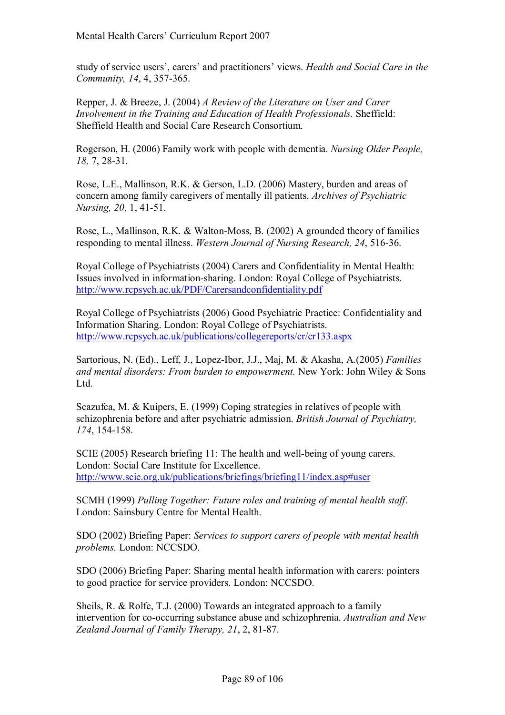study of service users', carers' and practitioners' views. *Health and Social Care in the Community, 14*, 4, 357-365.

Repper, J. & Breeze, J. (2004) *A Review of the Literature on User and Carer Involvement in the Training and Education of Health Professionals.* Sheffield: Sheffield Health and Social Care Research Consortium.

Rogerson, H. (2006) Family work with people with dementia. *Nursing Older People, 18,* 7, 28-31.

Rose, L.E., Mallinson, R.K. & Gerson, L.D. (2006) Mastery, burden and areas of concern among family caregivers of mentally ill patients. *Archives of Psychiatric Nursing, 20*, 1, 41-51.

Rose, L., Mallinson, R.K. & Walton-Moss, B. (2002) A grounded theory of families responding to mental illness. *Western Journal of Nursing Research, 24*, 516-36.

Royal College of Psychiatrists (2004) Carers and Confidentiality in Mental Health: Issues involved in information-sharing. London: Royal College of Psychiatrists. http://www.rcpsych.ac.uk/PDF/Carersandconfidentiality.pdf

Royal College of Psychiatrists (2006) Good Psychiatric Practice: Confidentiality and Information Sharing. London: Royal College of Psychiatrists. http://www.rcpsych.ac.uk/publications/collegereports/cr/cr133.aspx

Sartorious, N. (Ed)., Leff, J., Lopez-Ibor, J.J., Maj, M. & Akasha, A.(2005) *Families and mental disorders: From burden to empowerment.* New York: John Wiley & Sons Ltd.

Scazufca, M. & Kuipers, E. (1999) Coping strategies in relatives of people with schizophrenia before and after psychiatric admission. *British Journal of Psychiatry, 174*, 154-158.

SCIE (2005) Research briefing 11: The health and well-being of young carers. London: Social Care Institute for Excellence. http://www.scie.org.uk/publications/briefings/briefing11/index.asp#user

SCMH (1999) *Pulling Together: Future roles and training of mental health staff*. London: Sainsbury Centre for Mental Health.

SDO (2002) Briefing Paper: *Services to support carers of people with mental health problems.* London: NCCSDO.

SDO (2006) Briefing Paper: Sharing mental health information with carers: pointers to good practice for service providers. London: NCCSDO.

Sheils, R. & Rolfe, T.J. (2000) Towards an integrated approach to a family intervention for co-occurring substance abuse and schizophrenia. *Australian and New Zealand Journal of Family Therapy, 21*, 2, 81-87.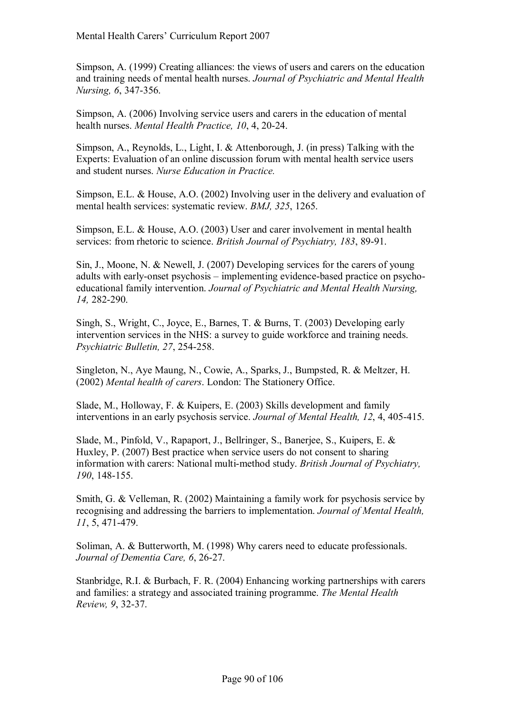Simpson, A. (1999) Creating alliances: the views of users and carers on the education and training needs of mental health nurses. *Journal of Psychiatric and Mental Health Nursing, 6*, 347-356.

Simpson, A. (2006) Involving service users and carers in the education of mental health nurses. *Mental Health Practice, 10*, 4, 20-24.

Simpson, A., Reynolds, L., Light, I. & Attenborough, J. (in press) Talking with the Experts: Evaluation of an online discussion forum with mental health service users and student nurses. *Nurse Education in Practice.*

Simpson, E.L. & House, A.O. (2002) Involving user in the delivery and evaluation of mental health services: systematic review. *BMJ, 325*, 1265.

Simpson, E.L. & House, A.O. (2003) User and carer involvement in mental health services: from rhetoric to science. *British Journal of Psychiatry, 183*, 89-91.

Sin, J., Moone, N. & Newell, J. (2007) Developing services for the carers of young adults with early-onset psychosis – implementing evidence-based practice on psychoeducational family intervention. *Journal of Psychiatric and Mental Health Nursing, 14,* 282-290.

Singh, S., Wright, C., Joyce, E., Barnes, T. & Burns, T. (2003) Developing early intervention services in the NHS: a survey to guide workforce and training needs. *Psychiatric Bulletin, 27*, 254-258.

Singleton, N., Aye Maung, N., Cowie, A., Sparks, J., Bumpsted, R. & Meltzer, H. (2002) *Mental health of carers*. London: The Stationery Office.

Slade, M., Holloway, F. & Kuipers, E. (2003) Skills development and family interventions in an early psychosis service. *Journal of Mental Health, 12*, 4, 405-415.

Slade, M., Pinfold, V., Rapaport, J., Bellringer, S., Banerjee, S., Kuipers, E. & Huxley, P. (2007) Best practice when service users do not consent to sharing information with carers: National multi-method study. *British Journal of Psychiatry, 190*, 148-155.

Smith, G. & Velleman, R. (2002) Maintaining a family work for psychosis service by recognising and addressing the barriers to implementation. *Journal of Mental Health, 11*, 5, 471-479.

Soliman, A. & Butterworth, M. (1998) Why carers need to educate professionals. *Journal of Dementia Care, 6*, 26-27.

Stanbridge, R.I. & Burbach, F. R. (2004) Enhancing working partnerships with carers and families: a strategy and associated training programme. *The Mental Health Review, 9*, 32-37.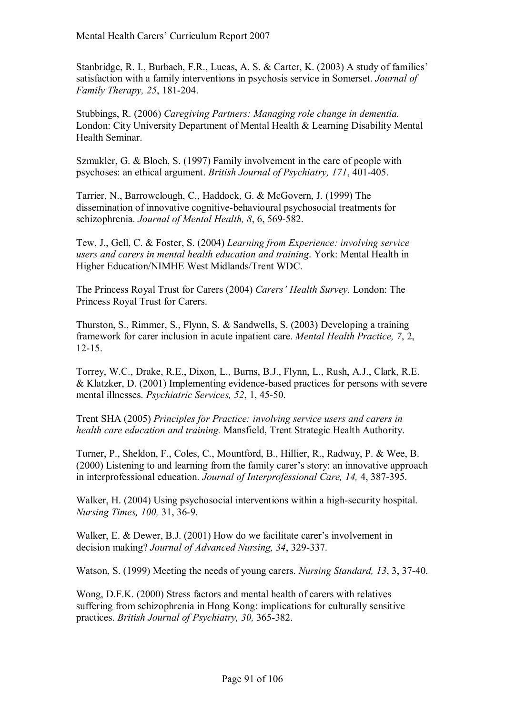Stanbridge, R. I., Burbach, F.R., Lucas, A. S. & Carter, K. (2003) A study of families<sup>7</sup> satisfaction with a family interventions in psychosis service in Somerset. *Journal of Family Therapy, 25*, 181-204.

Stubbings, R. (2006) *Caregiving Partners: Managing role change in dementia.* London: City University Department of Mental Health & Learning Disability Mental Health Seminar.

Szmukler, G. & Bloch, S. (1997) Family involvement in the care of people with psychoses: an ethical argument. *British Journal of Psychiatry, 171*, 401-405.

Tarrier, N., Barrowclough, C., Haddock, G. & McGovern, J. (1999) The dissemination of innovative cognitive-behavioural psychosocial treatments for schizophrenia. *Journal of Mental Health, 8*, 6, 569-582.

Tew, J., Gell, C. & Foster, S. (2004) *Learning from Experience: involving service users and carers in mental health education and training*. York: Mental Health in Higher Education/NIMHE West Midlands/Trent WDC.

The Princess Royal Trust for Carers (2004) *Carersí Health Survey*. London: The Princess Royal Trust for Carers.

Thurston, S., Rimmer, S., Flynn, S. & Sandwells, S. (2003) Developing a training framework for carer inclusion in acute inpatient care. *Mental Health Practice, 7*, 2, 12-15.

Torrey, W.C., Drake, R.E., Dixon, L., Burns, B.J., Flynn, L., Rush, A.J., Clark, R.E. & Klatzker, D. (2001) Implementing evidence-based practices for persons with severe mental illnesses. *Psychiatric Services, 52*, 1, 45-50.

Trent SHA (2005) *Principles for Practice: involving service users and carers in health care education and training.* Mansfield, Trent Strategic Health Authority.

Turner, P., Sheldon, F., Coles, C., Mountford, B., Hillier, R., Radway, P. & Wee, B.  $(2000)$  Listening to and learning from the family carer's story: an innovative approach in interprofessional education. *Journal of Interprofessional Care, 14,* 4, 387-395.

Walker, H. (2004) Using psychosocial interventions within a high-security hospital. *Nursing Times, 100,* 31, 36-9.

Walker, E. & Dewer, B.J. (2001) How do we facilitate carer's involvement in decision making? *Journal of Advanced Nursing, 34*, 329-337.

Watson, S. (1999) Meeting the needs of young carers. *Nursing Standard, 13*, 3, 37-40.

Wong, D.F.K. (2000) Stress factors and mental health of carers with relatives suffering from schizophrenia in Hong Kong: implications for culturally sensitive practices. *British Journal of Psychiatry, 30,* 365-382.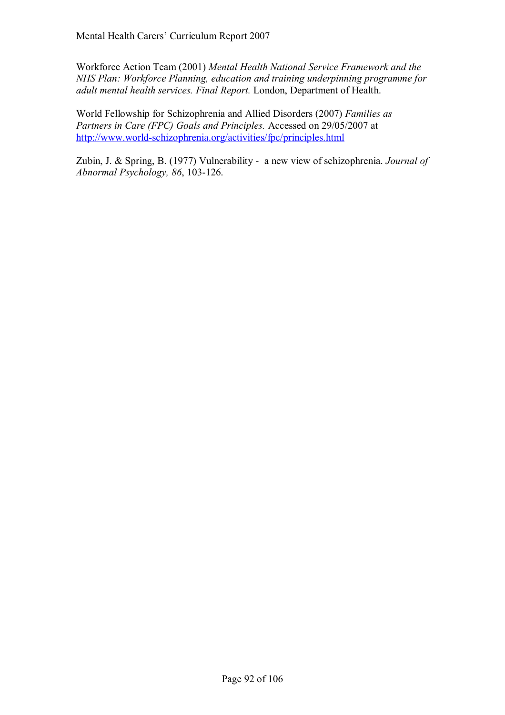Workforce Action Team (2001) *Mental Health National Service Framework and the NHS Plan: Workforce Planning, education and training underpinning programme for adult mental health services. Final Report.* London, Department of Health.

World Fellowship for Schizophrenia and Allied Disorders (2007) *Families as Partners in Care (FPC) Goals and Principles.* Accessed on 29/05/2007 at http://www.world-schizophrenia.org/activities/fpc/principles.html

Zubin, J. & Spring, B. (1977) Vulnerability - a new view of schizophrenia. *Journal of Abnormal Psychology, 86*, 103-126.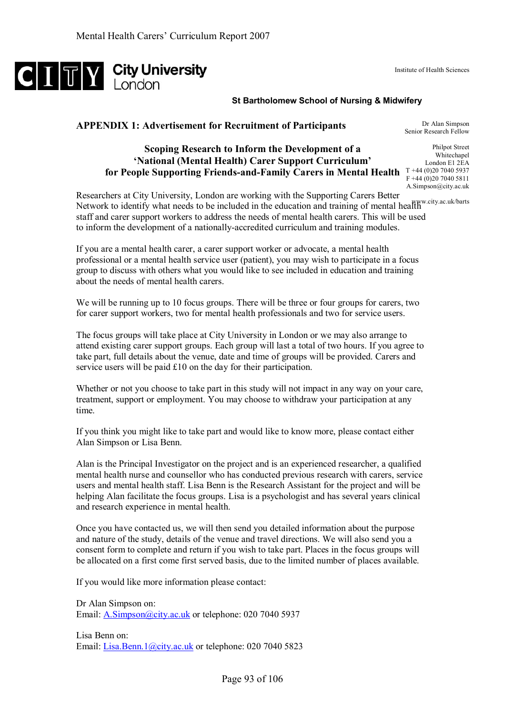

#### **St Bartholomew School of Nursing & Midwifery**

### **APPENDIX 1: Advertisement for Recruitment of Participants**

# **Scoping Research to Inform the Development of a 'National (Mental Health) Carer Support Curriculum' for People Supporting Friends-and-Family Carers in Mental Health**  T +44 (0)20 7040 5937

Dr Alan Simpson Senior Research Fellow Philpot Street

Institute of Health Sciences

Whitechapel London E1 2EA F +44 (0)20 7040 5811 A.Simpson@city.ac.uk

Researchers at City University, London are working with the Supporting Carers Better Network to identify what needs to be included in the education and training of mental health w.city.ac.uk/barts staff and carer support workers to address the needs of mental health carers. This will be used to inform the development of a nationally-accredited curriculum and training modules.

If you are a mental health carer, a carer support worker or advocate, a mental health professional or a mental health service user (patient), you may wish to participate in a focus group to discuss with others what you would like to see included in education and training about the needs of mental health carers.

We will be running up to 10 focus groups. There will be three or four groups for carers, two for carer support workers, two for mental health professionals and two for service users.

The focus groups will take place at City University in London or we may also arrange to attend existing carer support groups. Each group will last a total of two hours. If you agree to take part, full details about the venue, date and time of groups will be provided. Carers and service users will be paid £10 on the day for their participation.

Whether or not you choose to take part in this study will not impact in any way on your care, treatment, support or employment. You may choose to withdraw your participation at any time.

If you think you might like to take part and would like to know more, please contact either Alan Simpson or Lisa Benn.

Alan is the Principal Investigator on the project and is an experienced researcher, a qualified mental health nurse and counsellor who has conducted previous research with carers, service users and mental health staff. Lisa Benn is the Research Assistant for the project and will be helping Alan facilitate the focus groups. Lisa is a psychologist and has several years clinical and research experience in mental health.

Once you have contacted us, we will then send you detailed information about the purpose and nature of the study, details of the venue and travel directions. We will also send you a consent form to complete and return if you wish to take part. Places in the focus groups will be allocated on a first come first served basis, due to the limited number of places available.

If you would like more information please contact:

Dr Alan Simpson on: Email: **A.Simpson**@city.ac.uk or telephone: 020 7040 5937

Lisa Benn on: Email: Lisa.Benn.1@city.ac.uk or telephone: 020 7040 5823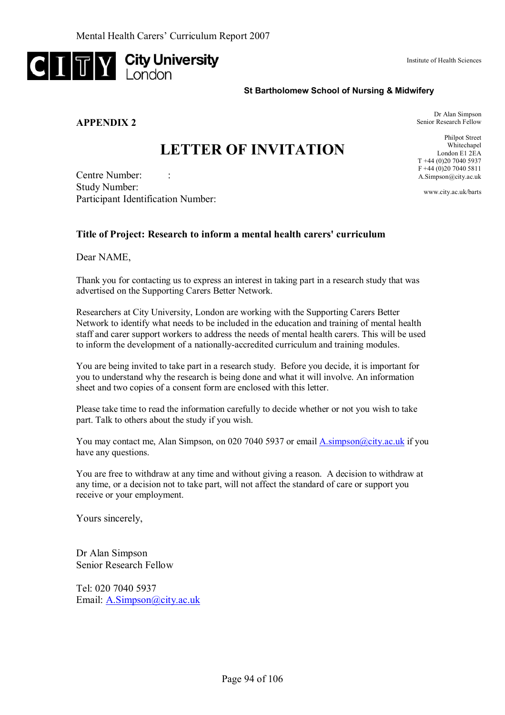

**APPENDIX 2** 

Institute of Health Sciences

#### **St Bartholomew School of Nursing & Midwifery**

Dr Alan Simpson Senior Research Fellow

Philpot Street Whitechapel London E1 2EA T +44 (0)20 7040 5937 F +44 (0)20 7040 5811 A.Simpson@city.ac.uk www.city.ac.uk/barts

# **LETTER OF INVITATION**

Centre Number: Study Number: Participant Identification Number:

#### **Title of Project: Research to inform a mental health carers' curriculum**

Dear NAME,

Thank you for contacting us to express an interest in taking part in a research study that was advertised on the Supporting Carers Better Network.

Researchers at City University, London are working with the Supporting Carers Better Network to identify what needs to be included in the education and training of mental health staff and carer support workers to address the needs of mental health carers. This will be used to inform the development of a nationally-accredited curriculum and training modules.

You are being invited to take part in a research study. Before you decide, it is important for you to understand why the research is being done and what it will involve. An information sheet and two copies of a consent form are enclosed with this letter.

Please take time to read the information carefully to decide whether or not you wish to take part. Talk to others about the study if you wish.

You may contact me, Alan Simpson, on 020 7040 5937 or email A.simpson@city.ac.uk if you have any questions.

You are free to withdraw at any time and without giving a reason. A decision to withdraw at any time, or a decision not to take part, will not affect the standard of care or support you receive or your employment.

Yours sincerely,

Dr Alan Simpson Senior Research Fellow

Tel: 020 7040 5937 Email: A.Simpson@city.ac.uk

Page 94 of 106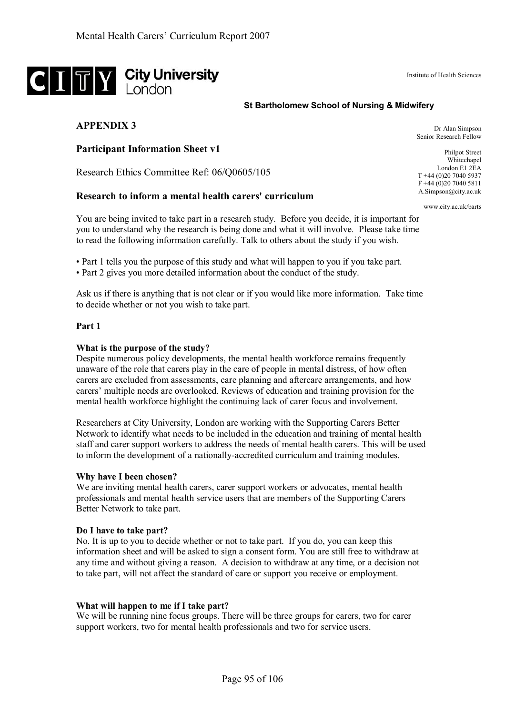# **CITY** City University

#### **St Bartholomew School of Nursing & Midwifery**

### **APPENDIX 3**

**Participant Information Sheet v1** 

Research Ethics Committee Ref: 06/Q0605/105

#### **Research to inform a mental health carers' curriculum**

You are being invited to take part in a research study. Before you decide, it is important for you to understand why the research is being done and what it will involve. Please take time to read the following information carefully. Talk to others about the study if you wish.

• Part 1 tells you the purpose of this study and what will happen to you if you take part.

• Part 2 gives you more detailed information about the conduct of the study.

Ask us if there is anything that is not clear or if you would like more information. Take time to decide whether or not you wish to take part.

#### **Part 1**

#### **What is the purpose of the study?**

Despite numerous policy developments, the mental health workforce remains frequently unaware of the role that carers play in the care of people in mental distress, of how often carers are excluded from assessments, care planning and aftercare arrangements, and how carersí multiple needs are overlooked. Reviews of education and training provision for the mental health workforce highlight the continuing lack of carer focus and involvement.

Researchers at City University, London are working with the Supporting Carers Better Network to identify what needs to be included in the education and training of mental health staff and carer support workers to address the needs of mental health carers. This will be used to inform the development of a nationally-accredited curriculum and training modules.

#### **Why have I been chosen?**

We are inviting mental health carers, carer support workers or advocates, mental health professionals and mental health service users that are members of the Supporting Carers Better Network to take part.

#### **Do I have to take part?**

No. It is up to you to decide whether or not to take part. If you do, you can keep this information sheet and will be asked to sign a consent form. You are still free to withdraw at any time and without giving a reason. A decision to withdraw at any time, or a decision not to take part, will not affect the standard of care or support you receive or employment.

#### **What will happen to me if I take part?**

We will be running nine focus groups. There will be three groups for carers, two for carer support workers, two for mental health professionals and two for service users.

T +44 (0)20 7040 5937 F +44 (0)20 7040 5811 A.Simpson@city.ac.uk

Dr Alan Simpson Senior Research Fellow

www.city.ac.uk/barts

Institute of Health Sciences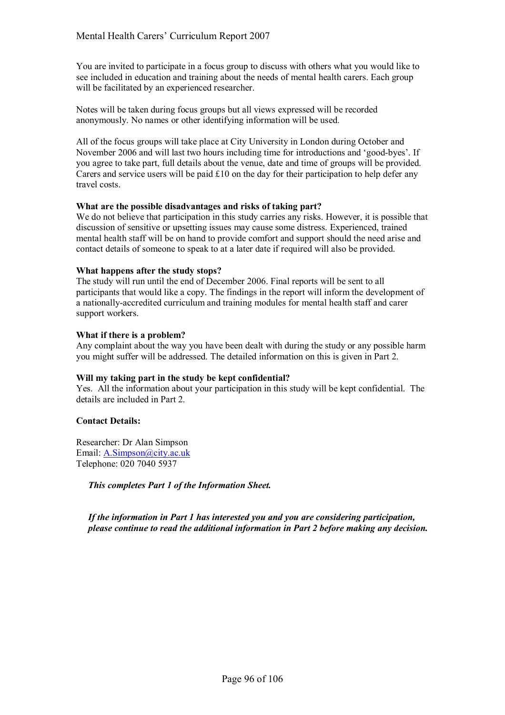You are invited to participate in a focus group to discuss with others what you would like to see included in education and training about the needs of mental health carers. Each group will be facilitated by an experienced researcher.

Notes will be taken during focus groups but all views expressed will be recorded anonymously. No names or other identifying information will be used.

All of the focus groups will take place at City University in London during October and November 2006 and will last two hours including time for introductions and 'good-byes'. If you agree to take part, full details about the venue, date and time of groups will be provided. Carers and service users will be paid  $\pounds 10$  on the day for their participation to help defer any travel costs.

#### **What are the possible disadvantages and risks of taking part?**

We do not believe that participation in this study carries any risks. However, it is possible that discussion of sensitive or upsetting issues may cause some distress. Experienced, trained mental health staff will be on hand to provide comfort and support should the need arise and contact details of someone to speak to at a later date if required will also be provided.

#### **What happens after the study stops?**

The study will run until the end of December 2006. Final reports will be sent to all participants that would like a copy. The findings in the report will inform the development of a nationally-accredited curriculum and training modules for mental health staff and carer support workers.

#### **What if there is a problem?**

Any complaint about the way you have been dealt with during the study or any possible harm you might suffer will be addressed. The detailed information on this is given in Part 2.

#### **Will my taking part in the study be kept confidential?**

Yes. All the information about your participation in this study will be kept confidential. The details are included in Part 2.

#### **Contact Details:**

Researcher: Dr Alan Simpson Email: A.Simpson@city.ac.uk Telephone: 020 7040 5937

*This completes Part 1 of the Information Sheet.* 

*If the information in Part 1 has interested you and you are considering participation, please continue to read the additional information in Part 2 before making any decision.*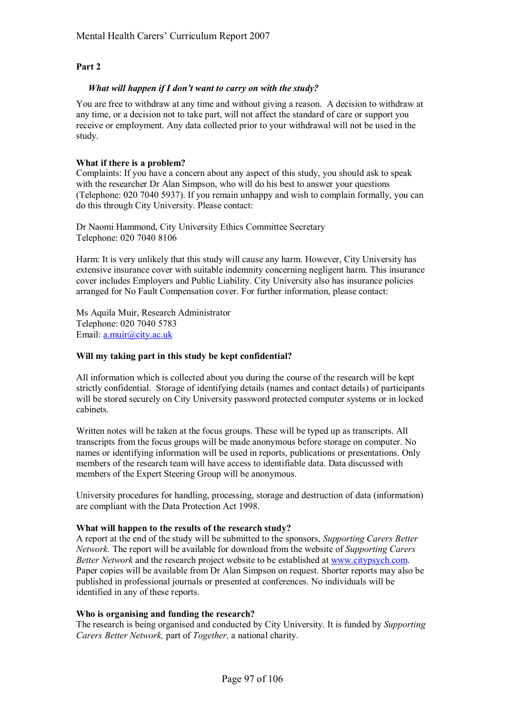#### **Part 2**

#### *What will happen if I don't want to carry on with the study?*

You are free to withdraw at any time and without giving a reason. A decision to withdraw at any time, or a decision not to take part, will not affect the standard of care or support you receive or employment. Any data collected prior to your withdrawal will not be used in the study.

#### **What if there is a problem?**

Complaints: If you have a concern about any aspect of this study, you should ask to speak with the researcher Dr Alan Simpson, who will do his best to answer your questions (Telephone: 020 7040 5937). If you remain unhappy and wish to complain formally, you can do this through City University. Please contact:

Dr Naomi Hammond, City University Ethics Committee Secretary Telephone: 020 7040 8106

Harm: It is very unlikely that this study will cause any harm. However, City University has extensive insurance cover with suitable indemnity concerning negligent harm. This insurance cover includes Employers and Public Liability. City University also has insurance policies arranged for No Fault Compensation cover. For further information, please contact:

Ms Aquila Muir, Research Administrator Telephone: 020 7040 5783 Email: a.muir@city.ac.uk

#### **Will my taking part in this study be kept confidential?**

All information which is collected about you during the course of the research will be kept strictly confidential. Storage of identifying details (names and contact details) of participants will be stored securely on City University password protected computer systems or in locked cabinets.

Written notes will be taken at the focus groups. These will be typed up as transcripts. All transcripts from the focus groups will be made anonymous before storage on computer. No names or identifying information will be used in reports, publications or presentations. Only members of the research team will have access to identifiable data. Data discussed with members of the Expert Steering Group will be anonymous.

University procedures for handling, processing, storage and destruction of data (information) are compliant with the Data Protection Act 1998.

#### **What will happen to the results of the research study?**

A report at the end of the study will be submitted to the sponsors, *Supporting Carers Better Network.* The report will be available for download from the website of *Supporting Carers Better Network* and the research project website to be established at www.citypsych.com. Paper copies will be available from Dr Alan Simpson on request. Shorter reports may also be published in professional journals or presented at conferences. No individuals will be identified in any of these reports.

#### **Who is organising and funding the research?**

The research is being organised and conducted by City University. It is funded by *Supporting Carers Better Network,* part of *Together,* a national charity.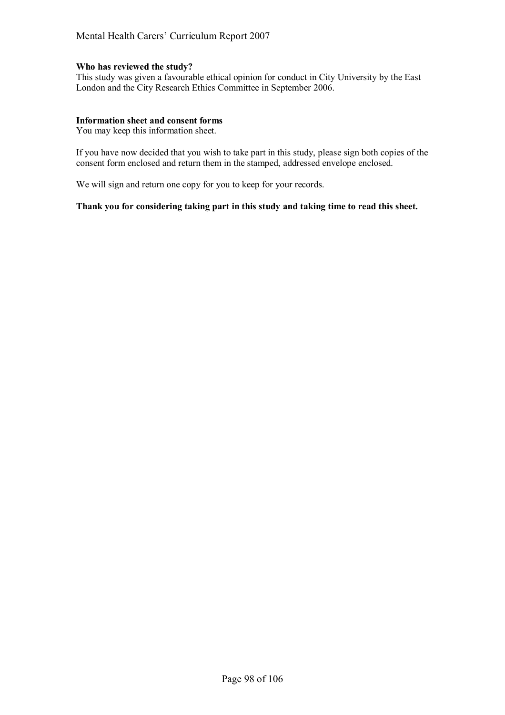#### Mental Health Carers' Curriculum Report 2007

#### **Who has reviewed the study?**

This study was given a favourable ethical opinion for conduct in City University by the East London and the City Research Ethics Committee in September 2006.

#### **Information sheet and consent forms**

You may keep this information sheet.

If you have now decided that you wish to take part in this study, please sign both copies of the consent form enclosed and return them in the stamped, addressed envelope enclosed.

We will sign and return one copy for you to keep for your records.

#### **Thank you for considering taking part in this study and taking time to read this sheet.**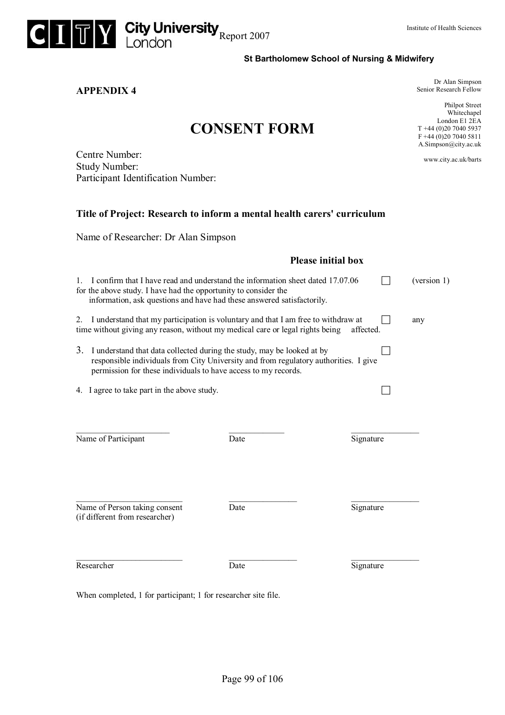

**APPENDIX 4** 

**St Bartholomew School of Nursing & Midwifery** 

Dr Alan Simpson Senior Research Fellow

Philpot Street Whitechapel London E1 2EA T +44 (0)20 7040 5937  $F +44 (0)20 7040 5811$ A.Simpson@city.ac.uk

www.city.ac.uk/barts

| Centre Number:                     |
|------------------------------------|
| <b>Study Number:</b>               |
| Participant Identification Number: |

#### **Title of Project: Research to inform a mental health carers' curriculum**

**CONSENT FORM**

Name of Researcher: Dr Alan Simpson

|                                                                                                                                                                                                                                                       | <b>Please initial box</b> |           |     |  |
|-------------------------------------------------------------------------------------------------------------------------------------------------------------------------------------------------------------------------------------------------------|---------------------------|-----------|-----|--|
| I confirm that I have read and understand the information sheet dated 17.07.06<br>(version 1)<br>$1_{-}$<br>for the above study. I have had the opportunity to consider the<br>information, ask questions and have had these answered satisfactorily. |                           |           |     |  |
| 2. I understand that my participation is voluntary and that I am free to withdraw at<br>time without giving any reason, without my medical care or legal rights being                                                                                 |                           | affected. | any |  |
| 3.<br>I understand that data collected during the study, may be looked at by<br>responsible individuals from City University and from regulatory authorities. I give<br>permission for these individuals to have access to my records.                |                           |           |     |  |
| 4. I agree to take part in the above study.                                                                                                                                                                                                           |                           |           |     |  |
| Name of Participant                                                                                                                                                                                                                                   | Date                      | Signature |     |  |
| Name of Person taking consent<br>(if different from researcher)                                                                                                                                                                                       | Date                      | Signature |     |  |
| Researcher                                                                                                                                                                                                                                            | Date                      | Signature |     |  |
| When completed, 1 for participant; 1 for researcher site file.                                                                                                                                                                                        |                           |           |     |  |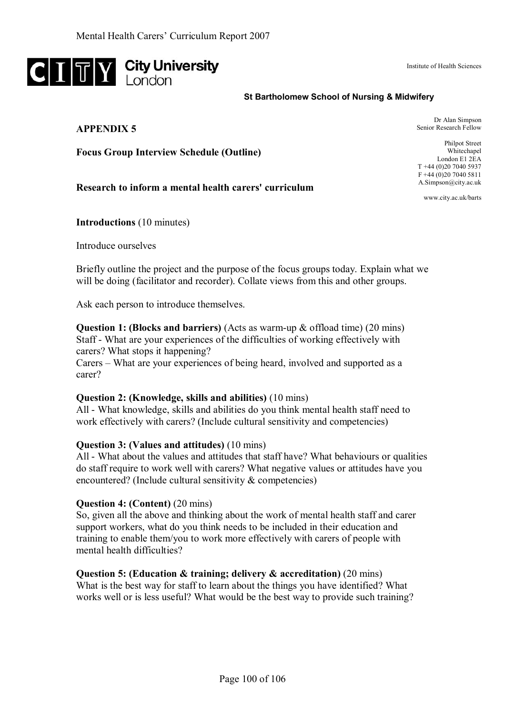

#### Institute of Health Sciences

#### **St Bartholomew School of Nursing & Midwifery**

#### **APPENDIX 5**

Dr Alan Simpson Senior Research Fellow

**Focus Group Interview Schedule (Outline)** 

#### **Research to inform a mental health carers' curriculum**

Philpot Street Whitechapel London E1 2EA T +44 (0)20 7040 5937 F +44 (0)20 7040 5811 A.Simpson@city.ac.uk

www.city.ac.uk/barts

**Introductions** (10 minutes)

Introduce ourselves

Briefly outline the project and the purpose of the focus groups today. Explain what we will be doing (facilitator and recorder). Collate views from this and other groups.

Ask each person to introduce themselves.

**Question 1: (Blocks and barriers)** (Acts as warm-up & offload time) (20 mins) Staff - What are your experiences of the difficulties of working effectively with carers? What stops it happening?

Carers – What are your experiences of being heard, involved and supported as a carer?

#### **Question 2: (Knowledge, skills and abilities)** (10 mins)

All - What knowledge, skills and abilities do you think mental health staff need to work effectively with carers? (Include cultural sensitivity and competencies)

#### **Question 3: (Values and attitudes)** (10 mins)

All - What about the values and attitudes that staff have? What behaviours or qualities do staff require to work well with carers? What negative values or attitudes have you encountered? (Include cultural sensitivity & competencies)

#### **Question 4: (Content)** (20 mins)

So, given all the above and thinking about the work of mental health staff and carer support workers, what do you think needs to be included in their education and training to enable them/you to work more effectively with carers of people with mental health difficulties?

#### **Question 5: (Education & training; delivery & accreditation)** (20 mins)

What is the best way for staff to learn about the things you have identified? What works well or is less useful? What would be the best way to provide such training?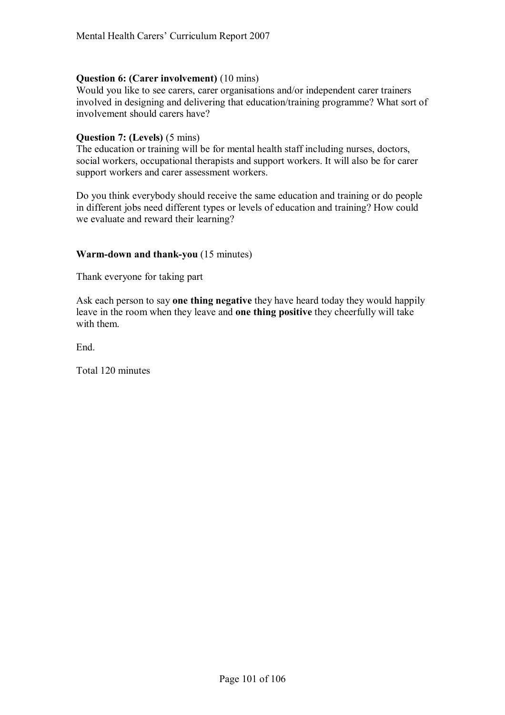# **Question 6: (Carer involvement)** (10 mins)

Would you like to see carers, carer organisations and/or independent carer trainers involved in designing and delivering that education/training programme? What sort of involvement should carers have?

### **Question 7: (Levels)** (5 mins)

The education or training will be for mental health staff including nurses, doctors, social workers, occupational therapists and support workers. It will also be for carer support workers and carer assessment workers.

Do you think everybody should receive the same education and training or do people in different jobs need different types or levels of education and training? How could we evaluate and reward their learning?

### **Warm-down and thank-you** (15 minutes)

Thank everyone for taking part

Ask each person to say **one thing negative** they have heard today they would happily leave in the room when they leave and **one thing positive** they cheerfully will take with them.

End.

Total 120 minutes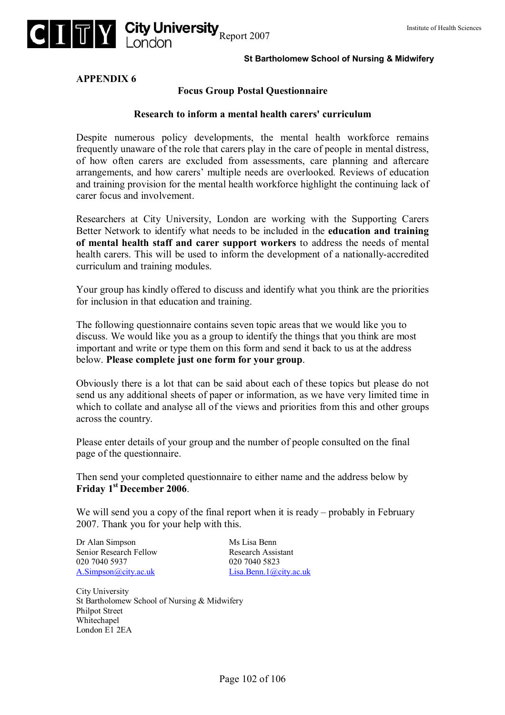

#### **St Bartholomew School of Nursing & Midwifery**

**APPENDIX 6** 

#### **Focus Group Postal Questionnaire**

#### **Research to inform a mental health carers' curriculum**

Despite numerous policy developments, the mental health workforce remains frequently unaware of the role that carers play in the care of people in mental distress, of how often carers are excluded from assessments, care planning and aftercare arrangements, and how carers' multiple needs are overlooked. Reviews of education and training provision for the mental health workforce highlight the continuing lack of carer focus and involvement.

Researchers at City University, London are working with the Supporting Carers Better Network to identify what needs to be included in the **education and training of mental health staff and carer support workers** to address the needs of mental health carers. This will be used to inform the development of a nationally-accredited curriculum and training modules.

Your group has kindly offered to discuss and identify what you think are the priorities for inclusion in that education and training.

The following questionnaire contains seven topic areas that we would like you to discuss. We would like you as a group to identify the things that you think are most important and write or type them on this form and send it back to us at the address below. **Please complete just one form for your group**.

Obviously there is a lot that can be said about each of these topics but please do not send us any additional sheets of paper or information, as we have very limited time in which to collate and analyse all of the views and priorities from this and other groups across the country.

Please enter details of your group and the number of people consulted on the final page of the questionnaire.

Then send your completed questionnaire to either name and the address below by **Friday 1st December 2006**.

We will send you a copy of the final report when it is ready  $-$  probably in February 2007. Thank you for your help with this.

Dr Alan Simpson Ms Lisa Benn Senior Research Fellow Research Assistant 020 7040 5937 020 7040 5823 A.Simpson@city.ac.uk Lisa.Benn.1@city.ac.uk

City University St Bartholomew School of Nursing & Midwifery Philpot Street Whitechapel London E1 2EA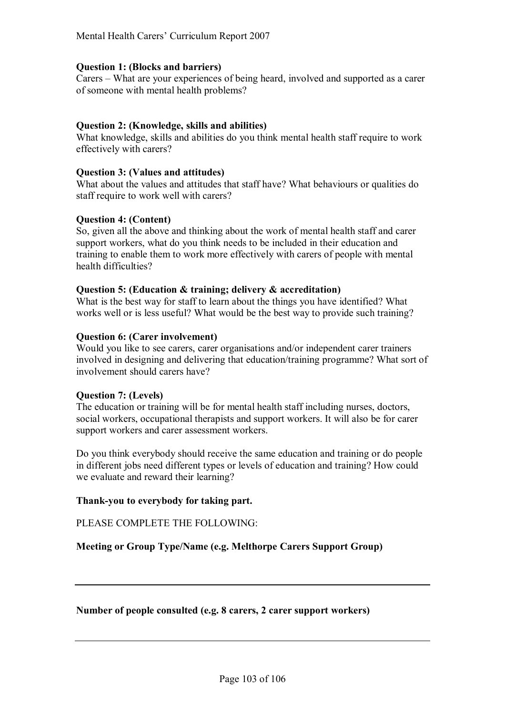#### **Question 1: (Blocks and barriers)**

Carers – What are your experiences of being heard, involved and supported as a carer of someone with mental health problems?

# **Question 2: (Knowledge, skills and abilities)**

What knowledge, skills and abilities do you think mental health staff require to work effectively with carers?

### **Question 3: (Values and attitudes)**

What about the values and attitudes that staff have? What behaviours or qualities do staff require to work well with carers?

### **Question 4: (Content)**

So, given all the above and thinking about the work of mental health staff and carer support workers, what do you think needs to be included in their education and training to enable them to work more effectively with carers of people with mental health difficulties?

### **Question 5: (Education & training; delivery & accreditation)**

What is the best way for staff to learn about the things you have identified? What works well or is less useful? What would be the best way to provide such training?

#### **Question 6: (Carer involvement)**

Would you like to see carers, carer organisations and/or independent carer trainers involved in designing and delivering that education/training programme? What sort of involvement should carers have?

#### **Question 7: (Levels)**

The education or training will be for mental health staff including nurses, doctors, social workers, occupational therapists and support workers. It will also be for carer support workers and carer assessment workers.

Do you think everybody should receive the same education and training or do people in different jobs need different types or levels of education and training? How could we evaluate and reward their learning?

# **Thank-you to everybody for taking part.**

PLEASE COMPLETE THE FOLLOWING:

**Meeting or Group Type/Name (e.g. Melthorpe Carers Support Group)** 

#### **Number of people consulted (e.g. 8 carers, 2 carer support workers)**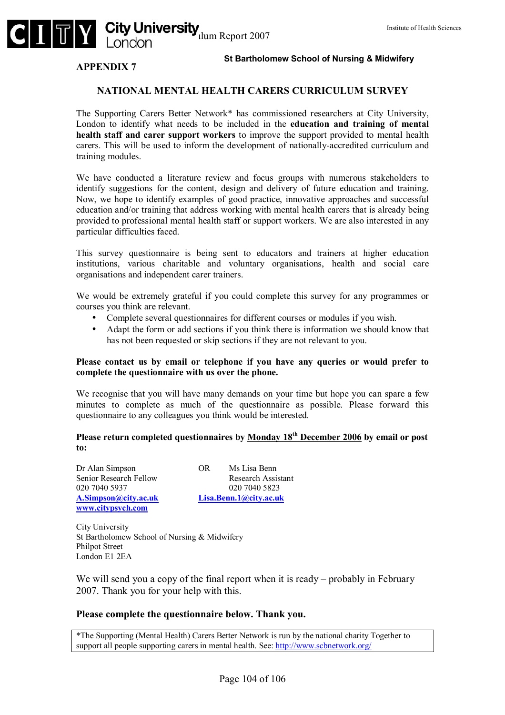

#### **APPENDIX 7**

#### **NATIONAL MENTAL HEALTH CARERS CURRICULUM SURVEY**

The Supporting Carers Better Network\* has commissioned researchers at City University, London to identify what needs to be included in the **education and training of mental health staff and carer support workers** to improve the support provided to mental health carers. This will be used to inform the development of nationally-accredited curriculum and training modules.

We have conducted a literature review and focus groups with numerous stakeholders to identify suggestions for the content, design and delivery of future education and training. Now, we hope to identify examples of good practice, innovative approaches and successful education and/or training that address working with mental health carers that is already being provided to professional mental health staff or support workers. We are also interested in any particular difficulties faced.

This survey questionnaire is being sent to educators and trainers at higher education institutions, various charitable and voluntary organisations, health and social care organisations and independent carer trainers.

We would be extremely grateful if you could complete this survey for any programmes or courses you think are relevant.

- Complete several questionnaires for different courses or modules if you wish.
- Adapt the form or add sections if you think there is information we should know that has not been requested or skip sections if they are not relevant to you.

#### **Please contact us by email or telephone if you have any queries or would prefer to complete the questionnaire with us over the phone.**

We recognise that you will have many demands on your time but hope you can spare a few minutes to complete as much of the questionnaire as possible. Please forward this questionnaire to any colleagues you think would be interested.

#### **Please return completed questionnaires by Monday 18th December 2006 by email or post to:**

Dr Alan Simpson OR Ms Lisa Benn Senior Research Fellow Research Assistant 020 7040 5937 020 7040 5823 **A.Simpson@city.ac.uk Lisa.Benn.1@city.ac.uk www.citypsych.com**

City University St Bartholomew School of Nursing & Midwifery Philpot Street London E1 2EA

We will send you a copy of the final report when it is ready  $-$  probably in February 2007. Thank you for your help with this.

#### **Please complete the questionnaire below. Thank you.**

\*The Supporting (Mental Health) Carers Better Network is run by the national charity Together to support all people supporting carers in mental health. See: http://www.scbnetwork.org/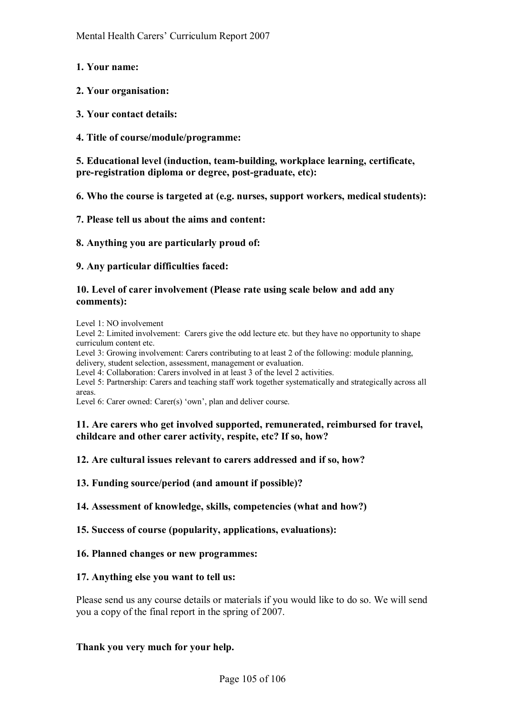- **1. Your name:**
- **2. Your organisation:**
- **3. Your contact details:**
- **4. Title of course/module/programme:**

**5. Educational level (induction, team-building, workplace learning, certificate, pre-registration diploma or degree, post-graduate, etc):** 

**6. Who the course is targeted at (e.g. nurses, support workers, medical students):** 

**7. Please tell us about the aims and content:** 

**8. Anything you are particularly proud of:** 

**9. Any particular difficulties faced:** 

#### **10. Level of carer involvement (Please rate using scale below and add any comments):**

Level 1: NO involvement

Level 2: Limited involvement: Carers give the odd lecture etc. but they have no opportunity to shape curriculum content etc.

Level 3: Growing involvement: Carers contributing to at least 2 of the following: module planning, delivery, student selection, assessment, management or evaluation.

Level 4: Collaboration: Carers involved in at least 3 of the level 2 activities.

Level 5: Partnership: Carers and teaching staff work together systematically and strategically across all areas.

Level 6: Carer owned: Carer $(s)$  'own', plan and deliver course.

### **11. Are carers who get involved supported, remunerated, reimbursed for travel, childcare and other carer activity, respite, etc? If so, how?**

**12. Are cultural issues relevant to carers addressed and if so, how?** 

**13. Funding source/period (and amount if possible)?** 

**14. Assessment of knowledge, skills, competencies (what and how?)** 

**15. Success of course (popularity, applications, evaluations):** 

**16. Planned changes or new programmes:** 

#### **17. Anything else you want to tell us:**

Please send us any course details or materials if you would like to do so. We will send you a copy of the final report in the spring of 2007.

#### **Thank you very much for your help.**